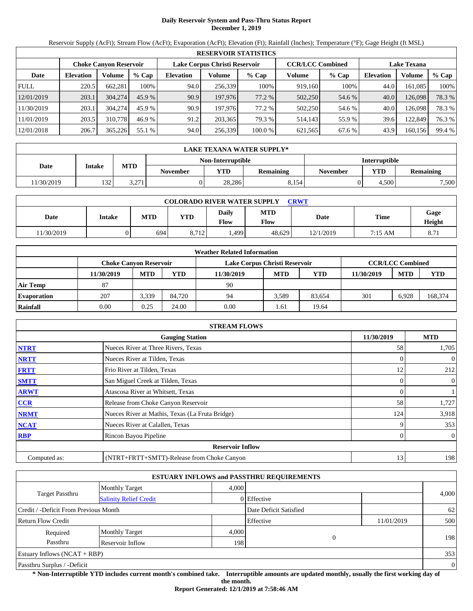# **Daily Reservoir System and Pass-Thru Status Report December 1, 2019**

Reservoir Supply (AcFt); Stream Flow (AcFt); Evaporation (AcFt); Elevation (Ft); Rainfall (Inches); Temperature (°F); Gage Height (ft MSL)

|             | <b>RESERVOIR STATISTICS</b> |                               |         |                               |         |         |                         |        |                    |         |        |  |  |
|-------------|-----------------------------|-------------------------------|---------|-------------------------------|---------|---------|-------------------------|--------|--------------------|---------|--------|--|--|
|             |                             | <b>Choke Canyon Reservoir</b> |         | Lake Corpus Christi Reservoir |         |         | <b>CCR/LCC Combined</b> |        | <b>Lake Texana</b> |         |        |  |  |
| Date        | <b>Elevation</b>            | Volume                        | $%$ Cap | <b>Elevation</b>              | Volume  | $%$ Cap | Volume                  | % Cap  | <b>Elevation</b>   | Volume  | % Cap  |  |  |
| <b>FULL</b> | 220.5                       | 662,281                       | 100%    | 94.0                          | 256.339 | 100%    | 919,160                 | 100%   | 44.0               | 161,085 | 100%   |  |  |
| 12/01/2019  | 203.1                       | 304,274                       | 45.9%   | 90.9                          | 197,976 | 77.2 %  | 502,250                 | 54.6 % | 40.0               | 126,098 | 78.3 % |  |  |
| 11/30/2019  | 203.1                       | 304,274                       | 45.9 %  | 90.9                          | 197,976 | 77.2 %  | 502,250                 | 54.6 % | 40.0               | 126,098 | 78.3 % |  |  |
| 11/01/2019  | 203.5                       | 310,778                       | 46.9 %  | 91.2                          | 203.365 | 79.3 %  | 514.143                 | 55.9%  | 39.6               | 122,849 | 76.3 % |  |  |
| 12/01/2018  | 206.7                       | 365,226                       | 55.1 %  | 94.0                          | 256,339 | 100.0 % | 621,565                 | 67.6 % | 43.9               | 160,156 | 99.4 % |  |  |

|            | <b>LAKE TEXANA WATER SUPPLY*</b> |            |                 |                   |                  |                      |            |                  |  |  |  |
|------------|----------------------------------|------------|-----------------|-------------------|------------------|----------------------|------------|------------------|--|--|--|
|            |                                  |            |                 | Non-Interruptible |                  | <b>Interruptible</b> |            |                  |  |  |  |
| Date       | <b>Intake</b>                    | <b>MTD</b> | <b>November</b> | YTD               | <b>Remaining</b> | <b>November</b>      | <b>YTD</b> | <b>Remaining</b> |  |  |  |
| 11/30/2019 | 132                              | 3,271      |                 | 28.286            | 8,154            |                      | 4.500      | 7,500            |  |  |  |

| <b>COLORADO RIVER WATER SUPPLY</b><br>CRWT |        |            |            |                      |                           |           |                   |                |  |  |
|--------------------------------------------|--------|------------|------------|----------------------|---------------------------|-----------|-------------------|----------------|--|--|
| Date                                       | Intake | <b>MTD</b> | <b>YTD</b> | Daily<br><b>Flow</b> | <b>MTD</b><br><b>Flow</b> | Date      | Time              | Gage<br>Height |  |  |
| 11/30/2019                                 |        | 694        | 8,712      | .499                 | 48.629                    | 12/1/2019 | $7:15 \text{ AM}$ | 8.71           |  |  |

|                    | <b>Weather Related Information</b> |            |        |                               |            |            |            |                         |            |  |  |  |
|--------------------|------------------------------------|------------|--------|-------------------------------|------------|------------|------------|-------------------------|------------|--|--|--|
|                    | Choke Canvon Reservoir             |            |        | Lake Corpus Christi Reservoir |            |            |            | <b>CCR/LCC Combined</b> |            |  |  |  |
|                    | 11/30/2019                         | <b>MTD</b> | YTD    | 11/30/2019                    | <b>MTD</b> | <b>YTD</b> | 11/30/2019 | <b>MTD</b>              | <b>YTD</b> |  |  |  |
| <b>Air Temp</b>    | 87                                 |            |        | 90                            |            |            |            |                         |            |  |  |  |
| <b>Evaporation</b> | 207                                | 3.339      | 84.720 | 94                            | 3.589      | 83.654     | 301        | 6.928                   | 168,374    |  |  |  |
| Rainfall           | 0.00                               | 0.25       | 24.00  | 0.00                          | .61        | 19.64      |            |                         |            |  |  |  |

|              | <b>STREAM FLOWS</b>                             |            |                |
|--------------|-------------------------------------------------|------------|----------------|
|              | <b>Gauging Station</b>                          | 11/30/2019 | <b>MTD</b>     |
| <b>NTRT</b>  | Nueces River at Three Rivers, Texas             | 58         | 1,705          |
| <b>NRTT</b>  | Nueces River at Tilden, Texas                   |            | $\theta$       |
| <b>FRTT</b>  | Frio River at Tilden, Texas                     | 12         | 212            |
| <b>SMTT</b>  | San Miguel Creek at Tilden, Texas               |            | $\overline{0}$ |
| <b>ARWT</b>  | Atascosa River at Whitsett, Texas               |            |                |
| CCR          | Release from Choke Canyon Reservoir             | 58         | 1,727          |
| <b>NRMT</b>  | Nueces River at Mathis, Texas (La Fruta Bridge) | 124        | 3,918          |
| <b>NCAT</b>  | Nueces River at Calallen, Texas                 |            | 353            |
| <b>RBP</b>   | Rincon Bayou Pipeline                           |            | $\overline{0}$ |
|              | <b>Reservoir Inflow</b>                         |            |                |
| Computed as: | (NTRT+FRTT+SMTT)-Release from Choke Canyon      | 13         | 198            |

|                                       |                               |       | <b>ESTUARY INFLOWS and PASSTHRU REQUIREMENTS</b> |            |                |
|---------------------------------------|-------------------------------|-------|--------------------------------------------------|------------|----------------|
|                                       | Monthly Target                | 4.000 |                                                  |            |                |
| <b>Target Passthru</b>                | <b>Salinity Relief Credit</b> |       | 0 Effective                                      |            | 4,000          |
| Credit / -Deficit From Previous Month |                               |       | Date Deficit Satisfied                           |            | 62             |
| <b>Return Flow Credit</b>             |                               |       | Effective                                        | 11/01/2019 | 500            |
| Required                              | <b>Monthly Target</b>         | 4,000 |                                                  |            |                |
| Passthru                              | Reservoir Inflow              | 198   | $\Omega$                                         |            | 198            |
| Estuary Inflows $(NCAT + RBP)$        |                               |       |                                                  |            | 353            |
| Passthru Surplus / -Deficit           |                               |       |                                                  |            | $\overline{0}$ |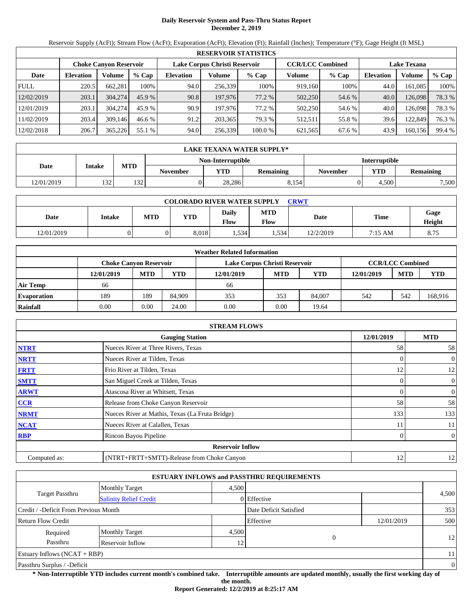# **Daily Reservoir System and Pass-Thru Status Report December 2, 2019**

Reservoir Supply (AcFt); Stream Flow (AcFt); Evaporation (AcFt); Elevation (Ft); Rainfall (Inches); Temperature (°F); Gage Height (ft MSL)

|             | <b>RESERVOIR STATISTICS</b> |                               |         |                  |                               |         |                         |         |                    |         |        |  |  |
|-------------|-----------------------------|-------------------------------|---------|------------------|-------------------------------|---------|-------------------------|---------|--------------------|---------|--------|--|--|
|             |                             | <b>Choke Canyon Reservoir</b> |         |                  | Lake Corpus Christi Reservoir |         | <b>CCR/LCC Combined</b> |         | <b>Lake Texana</b> |         |        |  |  |
| Date        | <b>Elevation</b>            | Volume                        | $%$ Cap | <b>Elevation</b> | Volume                        | $%$ Cap | Volume                  | $%$ Cap | <b>Elevation</b>   | Volume  | % Cap  |  |  |
| <b>FULL</b> | 220.5                       | 662,281                       | 100%    | 94.0             | 256,339                       | 100%    | 919,160                 | 100%    | 44.0               | 161,085 | 100%   |  |  |
| 12/02/2019  | 203.1                       | 304,274                       | 45.9%   | 90.8             | 197,976                       | 77.2 %  | 502,250                 | 54.6 %  | 40.0               | 126,098 | 78.3 % |  |  |
| 12/01/2019  | 203.1                       | 304,274                       | 45.9 %  | 90.9             | 197,976                       | 77.2 %  | 502,250                 | 54.6 %  | 40.0               | 126,098 | 78.3 % |  |  |
| 11/02/2019  | 203.4                       | 309.146                       | 46.6 %  | 91.2             | 203.365                       | 79.3 %  | 512.511                 | 55.8%   | 39.6               | 122,849 | 76.3 % |  |  |
| 12/02/2018  | 206.7                       | 365,226                       | 55.1 %  | 94.0             | 256,339                       | 100.0 % | 621,565                 | 67.6 %  | 43.9               | 160,156 | 99.4 % |  |  |

|            | LAKE TEXANA WATER SUPPLY* |            |                 |                   |                  |                      |       |                  |  |  |  |
|------------|---------------------------|------------|-----------------|-------------------|------------------|----------------------|-------|------------------|--|--|--|
|            |                           |            |                 | Non-Interruptible |                  | <b>Interruptible</b> |       |                  |  |  |  |
| Date       | <b>Intake</b>             | <b>MTD</b> | <b>November</b> | YTD-              | <b>Remaining</b> | <b>November</b>      | YTD   | <b>Remaining</b> |  |  |  |
| 12/01/2019 | 132                       | 132        |                 | 28.286            | 8.154            |                      | 4.500 | 7,500            |  |  |  |

| <b>COLORADO RIVER WATER SUPPLY</b><br><b>CRWT</b> |        |            |            |               |             |           |             |                |  |  |
|---------------------------------------------------|--------|------------|------------|---------------|-------------|-----------|-------------|----------------|--|--|
| Date                                              | Intake | <b>MTD</b> | <b>YTD</b> | Daily<br>Flow | MTD<br>Flow | Date      | <b>Time</b> | Gage<br>Height |  |  |
| 12/01/2019                                        |        |            | 8.018      | . 534         | .534        | 12/2/2019 | 7:15 AM     | 8.75           |  |  |

|                    |                               |            |        | <b>Weather Related Information</b> |            |            |            |                         |            |
|--------------------|-------------------------------|------------|--------|------------------------------------|------------|------------|------------|-------------------------|------------|
|                    | <b>Choke Canvon Reservoir</b> |            |        | Lake Corpus Christi Reservoir      |            |            |            | <b>CCR/LCC Combined</b> |            |
|                    | 12/01/2019                    | <b>MTD</b> | YTD    | 12/01/2019                         | <b>MTD</b> | <b>YTD</b> | 12/01/2019 | <b>MTD</b>              | <b>YTD</b> |
| <b>Air Temp</b>    | 66                            |            |        | 66                                 |            |            |            |                         |            |
| <b>Evaporation</b> | 189                           | 189        | 84.909 | 353                                | 353        | 84,007     | 542        | 542                     | 168,916    |
| Rainfall           | 0.00                          | 0.00       | 24.00  | 0.00                               | 0.00       | 19.64      |            |                         |            |

|              | <b>STREAM FLOWS</b>                             |            |                |
|--------------|-------------------------------------------------|------------|----------------|
|              | <b>Gauging Station</b>                          | 12/01/2019 | <b>MTD</b>     |
| <b>NTRT</b>  | Nueces River at Three Rivers, Texas             | 58         | 58             |
| <b>NRTT</b>  | Nueces River at Tilden, Texas                   | $\Omega$   | $\theta$       |
| <b>FRTT</b>  | Frio River at Tilden, Texas                     | 12         | 12             |
| <b>SMTT</b>  | San Miguel Creek at Tilden, Texas               | $\Omega$   | $\overline{0}$ |
| <b>ARWT</b>  | Atascosa River at Whitsett, Texas               | $\Omega$   | $\overline{0}$ |
| <b>CCR</b>   | Release from Choke Canyon Reservoir             | 58         | 58             |
| <b>NRMT</b>  | Nueces River at Mathis, Texas (La Fruta Bridge) | 133        | 133            |
| <b>NCAT</b>  | Nueces River at Calallen, Texas                 | 11         | 11             |
| <b>RBP</b>   | Rincon Bayou Pipeline                           | 0          | $\overline{0}$ |
|              | <b>Reservoir Inflow</b>                         |            |                |
| Computed as: | (NTRT+FRTT+SMTT)-Release from Choke Canyon      | 12         | 12             |

|                                       |                               |       | <b>ESTUARY INFLOWS and PASSTHRU REQUIREMENTS</b> |            |          |
|---------------------------------------|-------------------------------|-------|--------------------------------------------------|------------|----------|
|                                       | Monthly Target                | 4.500 |                                                  |            |          |
| Target Passthru                       | <b>Salinity Relief Credit</b> |       | 0 Effective                                      |            | 4,500    |
| Credit / -Deficit From Previous Month |                               |       | Date Deficit Satisfied                           |            | 353      |
| <b>Return Flow Credit</b>             |                               |       | Effective                                        | 12/01/2019 | 500      |
| Required                              | <b>Monthly Target</b>         | 4,500 |                                                  |            |          |
| Passthru                              | Reservoir Inflow              | 12    | 0                                                |            | 12       |
| Estuary Inflows $(NCAT + RBP)$        |                               |       |                                                  |            | 11       |
| Passthru Surplus / -Deficit           |                               |       |                                                  |            | $\theta$ |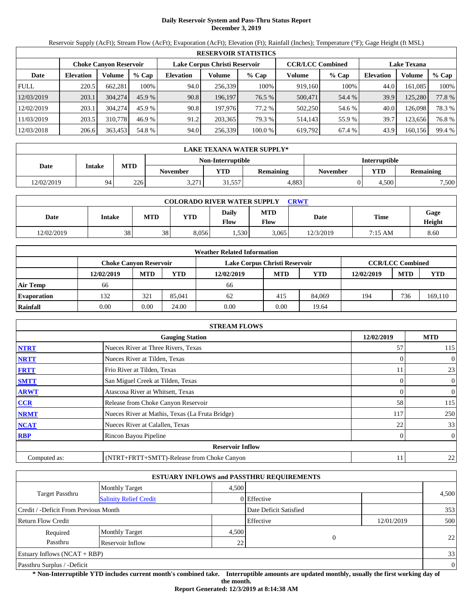# **Daily Reservoir System and Pass-Thru Status Report December 3, 2019**

Reservoir Supply (AcFt); Stream Flow (AcFt); Evaporation (AcFt); Elevation (Ft); Rainfall (Inches); Temperature (°F); Gage Height (ft MSL)

|             | <b>RESERVOIR STATISTICS</b> |                               |         |                  |                               |         |                         |         |                    |         |        |  |
|-------------|-----------------------------|-------------------------------|---------|------------------|-------------------------------|---------|-------------------------|---------|--------------------|---------|--------|--|
|             |                             | <b>Choke Canyon Reservoir</b> |         |                  | Lake Corpus Christi Reservoir |         | <b>CCR/LCC Combined</b> |         | <b>Lake Texana</b> |         |        |  |
| Date        | <b>Elevation</b>            | Volume                        | $%$ Cap | <b>Elevation</b> | Volume                        | $%$ Cap | Volume                  | $%$ Cap | Elevation          | Volume  | % Cap  |  |
| <b>FULL</b> | 220.5                       | 662,281                       | 100%    | 94.0             | 256,339                       | 100%    | 919.160                 | 100%    | 44.0               | 161,085 | 100%   |  |
| 12/03/2019  | 203.1                       | 304,274                       | 45.9%   | 90.8             | 196.197                       | 76.5 %  | 500,471                 | 54.4 %  | 39.9               | 125,280 | 77.8%  |  |
| 12/02/2019  | 203.1                       | 304,274                       | 45.9 %  | 90.8             | 197,976                       | 77.2 %  | 502,250                 | 54.6 %  | 40.0               | 126,098 | 78.3 % |  |
| 11/03/2019  | 203.5                       | 310,778                       | 46.9 %  | 91.2             | 203,365                       | 79.3 %  | 514.143                 | 55.9 %  | 39.7               | 123,656 | 76.8%  |  |
| 12/03/2018  | 206.6                       | 363,453                       | 54.8 %  | 94.0             | 256,339                       | 100.0 % | 619,792                 | 67.4 %  | 43.9               | 160,156 | 99.4 % |  |

|            | LAKE TEXANA WATER SUPPLY* |            |                 |                   |                  |                 |                      |           |  |  |  |
|------------|---------------------------|------------|-----------------|-------------------|------------------|-----------------|----------------------|-----------|--|--|--|
|            |                           |            |                 | Non-Interruptible |                  |                 | <b>Interruptible</b> |           |  |  |  |
| Date       | <b>Intake</b>             | <b>MTD</b> | <b>November</b> | <b>VTD</b>        | <b>Remaining</b> | <b>November</b> | <b>YTD</b>           | Remaining |  |  |  |
| 12/02/2019 | 94                        | 226        | 2.271<br>3.211  | 31,557            | 4.883            |                 | 4.500                | 7,500     |  |  |  |

| <b>COLORADO RIVER WATER SUPPLY</b><br>CRWT |        |            |       |                      |                    |           |             |                |  |  |
|--------------------------------------------|--------|------------|-------|----------------------|--------------------|-----------|-------------|----------------|--|--|
| Date                                       | Intake | <b>MTD</b> | YTD   | Daily<br><b>Flow</b> | <b>MTD</b><br>Flow | Date      | <b>Time</b> | Gage<br>Height |  |  |
| 12/02/2019                                 | 38     | 38         | 8.056 | .,530                | 3.065              | 12/3/2019 | 7:15 AM     | 8.60           |  |  |

|                    | <b>Weather Related Information</b> |            |        |                               |            |        |            |                         |         |  |  |
|--------------------|------------------------------------|------------|--------|-------------------------------|------------|--------|------------|-------------------------|---------|--|--|
|                    | <b>Choke Canvon Reservoir</b>      |            |        | Lake Corpus Christi Reservoir |            |        |            | <b>CCR/LCC Combined</b> |         |  |  |
|                    | 12/02/2019                         | <b>MTD</b> | YTD    | 12/02/2019                    | <b>MTD</b> | YTD    | 12/02/2019 | <b>MTD</b>              | YTD     |  |  |
| <b>Air Temp</b>    | 66                                 |            |        | 66                            |            |        |            |                         |         |  |  |
| <b>Evaporation</b> | 132                                | 321        | 85,041 | 62                            | 415        | 84,069 | 194        | 736                     | 169,110 |  |  |
| Rainfall           | 0.00                               | 0.00       | 24.00  | 0.00                          | 0.00       | 19.64  |            |                         |         |  |  |

|              | <b>STREAM FLOWS</b>                             |            |                |
|--------------|-------------------------------------------------|------------|----------------|
|              | <b>Gauging Station</b>                          | 12/02/2019 | <b>MTD</b>     |
| <b>NTRT</b>  | Nueces River at Three Rivers, Texas             | 57         | 115            |
| <b>NRTT</b>  | Nueces River at Tilden, Texas                   |            | $\overline{0}$ |
| <b>FRTT</b>  | Frio River at Tilden, Texas                     | 11         | 23             |
| <b>SMTT</b>  | San Miguel Creek at Tilden, Texas               | 0          | $\overline{0}$ |
| <b>ARWT</b>  | Atascosa River at Whitsett, Texas               | 0          | $\overline{0}$ |
| CCR          | Release from Choke Canyon Reservoir             | 58         | 115            |
| <b>NRMT</b>  | Nueces River at Mathis, Texas (La Fruta Bridge) | 117        | 250            |
| <b>NCAT</b>  | Nueces River at Calallen, Texas                 | 22         | 33             |
| <b>RBP</b>   | Rincon Bayou Pipeline                           | 0          | $\overline{0}$ |
|              | <b>Reservoir Inflow</b>                         |            |                |
| Computed as: | (NTRT+FRTT+SMTT)-Release from Choke Canyon      | 11         | 22             |

|                                       |                               |       | <b>ESTUARY INFLOWS and PASSTHRU REQUIREMENTS</b> |            |                |
|---------------------------------------|-------------------------------|-------|--------------------------------------------------|------------|----------------|
|                                       | <b>Monthly Target</b>         | 4.500 |                                                  |            |                |
| <b>Target Passthru</b>                | <b>Salinity Relief Credit</b> |       | 0 Effective                                      |            | 4,500          |
| Credit / -Deficit From Previous Month |                               |       | Date Deficit Satisfied                           |            | 353            |
| <b>Return Flow Credit</b>             |                               |       | Effective                                        | 12/01/2019 | 500            |
| Required                              | <b>Monthly Target</b>         | 4,500 |                                                  |            |                |
| Passthru                              | Reservoir Inflow              | 22    | 0                                                |            | 22             |
| Estuary Inflows $(NCAT + RBP)$        |                               |       |                                                  |            | 33             |
| Passthru Surplus / -Deficit           |                               |       |                                                  |            | $\overline{0}$ |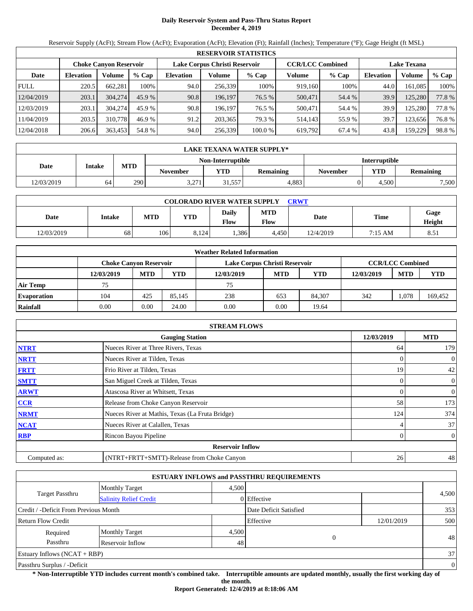# **Daily Reservoir System and Pass-Thru Status Report December 4, 2019**

Reservoir Supply (AcFt); Stream Flow (AcFt); Evaporation (AcFt); Elevation (Ft); Rainfall (Inches); Temperature (°F); Gage Height (ft MSL)

|             | <b>RESERVOIR STATISTICS</b> |                               |         |                  |                               |         |                         |         |                    |         |        |  |
|-------------|-----------------------------|-------------------------------|---------|------------------|-------------------------------|---------|-------------------------|---------|--------------------|---------|--------|--|
|             |                             | <b>Choke Canyon Reservoir</b> |         |                  | Lake Corpus Christi Reservoir |         | <b>CCR/LCC Combined</b> |         | <b>Lake Texana</b> |         |        |  |
| Date        | <b>Elevation</b>            | Volume                        | $%$ Cap | <b>Elevation</b> | Volume                        | $%$ Cap | Volume                  | $%$ Cap | <b>Elevation</b>   | Volume  | % Cap  |  |
| <b>FULL</b> | 220.5                       | 662.281                       | 100%    | 94.0             | 256,339                       | 100%    | 919,160                 | 100%    | 44.0               | 161.085 | 100%   |  |
| 12/04/2019  | 203.1                       | 304,274                       | 45.9%   | 90.8             | 196.197                       | 76.5 %  | 500,471                 | 54.4 %  | 39.9               | 125,280 | 77.8 % |  |
| 12/03/2019  | 203.1                       | 304,274                       | 45.9 %  | 90.8             | 196.197                       | 76.5 %  | 500,471                 | 54.4 %  | 39.9               | 125,280 | 77.8%  |  |
| 11/04/2019  | 203.5                       | 310,778                       | 46.9 %  | 91.2             | 203,365                       | 79.3 %  | 514,143                 | 55.9%   | 39.7               | 123,656 | 76.8%  |  |
| 12/04/2018  | 206.6                       | 363,453                       | 54.8 %  | 94.0             | 256,339                       | 100.0 % | 619,792                 | 67.4 %  | 43.8               | 159,229 | 98.8%  |  |

|            | LAKE TEXANA WATER SUPPLY* |            |                 |                   |           |                 |                      |                  |  |  |  |
|------------|---------------------------|------------|-----------------|-------------------|-----------|-----------------|----------------------|------------------|--|--|--|
|            |                           |            |                 | Non-Interruptible |           |                 | <b>Interruptible</b> |                  |  |  |  |
| Date       | <b>Intake</b>             | <b>MTD</b> | <b>November</b> | <b>YTD</b>        | Remaining | <b>November</b> | <b>YTD</b>           | <b>Remaining</b> |  |  |  |
| 12/03/2019 | 64                        | 2901       | 2.271<br>3.211  | 31,557            | 4.883     |                 | 4.500                | 7,500            |  |  |  |

| <b>COLORADO RIVER WATER SUPPLY</b><br>CRWT |        |            |            |                      |                    |           |             |                |  |  |
|--------------------------------------------|--------|------------|------------|----------------------|--------------------|-----------|-------------|----------------|--|--|
| Date                                       | Intake | <b>MTD</b> | <b>YTD</b> | Daily<br><b>Flow</b> | <b>MTD</b><br>Flow | Date      | <b>Time</b> | Gage<br>Height |  |  |
| 12/03/2019                                 | 68     | 106        | 8.124      | .386                 | 4.450              | 12/4/2019 | 7:15 AM     | 8.51           |  |  |

|                    |                               |            |        | <b>Weather Related Information</b> |            |            |            |                         |         |
|--------------------|-------------------------------|------------|--------|------------------------------------|------------|------------|------------|-------------------------|---------|
|                    | <b>Choke Canvon Reservoir</b> |            |        | Lake Corpus Christi Reservoir      |            |            |            | <b>CCR/LCC Combined</b> |         |
|                    | 12/03/2019                    | <b>MTD</b> | YTD    | 12/03/2019                         | <b>MTD</b> | <b>YTD</b> | 12/03/2019 | <b>MTD</b>              | YTD     |
| <b>Air Temp</b>    | 75                            |            |        | 75                                 |            |            |            |                         |         |
| <b>Evaporation</b> | 104                           | 425        | 85.145 | 238                                | 653        | 84.307     | 342        | 1,078                   | 169,452 |
| Rainfall           | 0.00                          | 0.00       | 24.00  | 0.00                               | 0.00       | 19.64      |            |                         |         |

|              | <b>STREAM FLOWS</b>                             |            |                |
|--------------|-------------------------------------------------|------------|----------------|
|              | <b>Gauging Station</b>                          | 12/03/2019 | <b>MTD</b>     |
| <b>NTRT</b>  | Nueces River at Three Rivers, Texas             | 64         | 179            |
| <b>NRTT</b>  | Nueces River at Tilden, Texas                   |            | $\overline{0}$ |
| <b>FRTT</b>  | Frio River at Tilden, Texas                     | 19         | 42             |
| <b>SMTT</b>  | San Miguel Creek at Tilden, Texas               | 0          | $\overline{0}$ |
| <b>ARWT</b>  | Atascosa River at Whitsett, Texas               | 0          | $\overline{0}$ |
| CCR          | Release from Choke Canyon Reservoir             | 58         | 173            |
| <b>NRMT</b>  | Nueces River at Mathis, Texas (La Fruta Bridge) | 124        | 374            |
| <b>NCAT</b>  | Nueces River at Calallen, Texas                 |            | 37             |
| <b>RBP</b>   | Rincon Bayou Pipeline                           | 0          | $\overline{0}$ |
|              | <b>Reservoir Inflow</b>                         |            |                |
| Computed as: | (NTRT+FRTT+SMTT)-Release from Choke Canyon      | 26         | 48             |

|                                       |                               |       | <b>ESTUARY INFLOWS and PASSTHRU REQUIREMENTS</b> |            |                |
|---------------------------------------|-------------------------------|-------|--------------------------------------------------|------------|----------------|
|                                       | <b>Monthly Target</b>         | 4.500 |                                                  |            |                |
| Target Passthru                       | <b>Salinity Relief Credit</b> |       | 0 Effective                                      |            | 4,500          |
| Credit / -Deficit From Previous Month |                               |       | Date Deficit Satisfied                           |            | 353            |
| <b>Return Flow Credit</b>             |                               |       | Effective                                        | 12/01/2019 | 500            |
| Required                              | <b>Monthly Target</b>         | 4,500 |                                                  |            |                |
| Passthru                              | Reservoir Inflow              | 48    | $\Omega$                                         |            | 48             |
| Estuary Inflows $(NCAT + RBP)$        |                               |       |                                                  |            | 37             |
| Passthru Surplus / -Deficit           |                               |       |                                                  |            | $\overline{0}$ |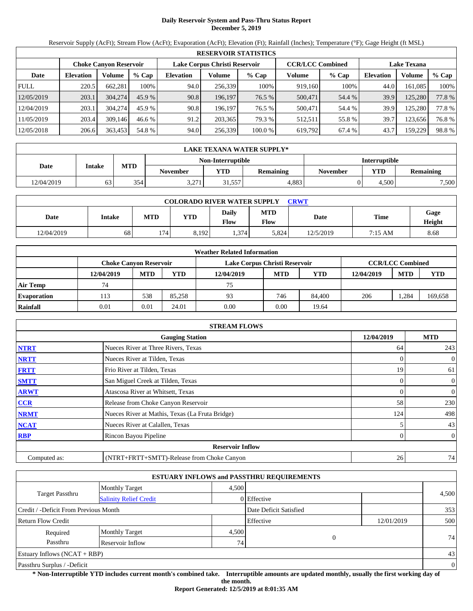# **Daily Reservoir System and Pass-Thru Status Report December 5, 2019**

Reservoir Supply (AcFt); Stream Flow (AcFt); Evaporation (AcFt); Elevation (Ft); Rainfall (Inches); Temperature (°F); Gage Height (ft MSL)

|             | <b>RESERVOIR STATISTICS</b> |                               |         |                  |                               |         |                         |         |                    |         |       |  |
|-------------|-----------------------------|-------------------------------|---------|------------------|-------------------------------|---------|-------------------------|---------|--------------------|---------|-------|--|
|             |                             | <b>Choke Canyon Reservoir</b> |         |                  | Lake Corpus Christi Reservoir |         | <b>CCR/LCC Combined</b> |         | <b>Lake Texana</b> |         |       |  |
| Date        | <b>Elevation</b>            | Volume                        | $%$ Cap | <b>Elevation</b> | Volume                        | $%$ Cap | Volume                  | $%$ Cap | <b>Elevation</b>   | Volume  | % Cap |  |
| <b>FULL</b> | 220.5                       | 662.281                       | 100%    | 94.0             | 256.339                       | 100%    | 919.160                 | 100%    | 44.0               | 161.085 | 100%  |  |
| 12/05/2019  | 203.1                       | 304,274                       | 45.9%   | 90.8             | 196.197                       | 76.5 %  | 500,471                 | 54.4 %  | 39.9               | 125.280 | 77.8% |  |
| 12/04/2019  | 203.1                       | 304,274                       | 45.9 %  | 90.8             | 196.197                       | 76.5 %  | 500,471                 | 54.4 %  | 39.9               | 125.280 | 77.8% |  |
| 11/05/2019  | 203.4                       | 309.146                       | 46.6%   | 91.2             | 203,365                       | 79.3 %  | 512.511                 | 55.8 %  | 39.7               | 123.656 | 76.8% |  |
| 12/05/2018  | 206.6                       | 363,453                       | 54.8 %  | 94.0             | 256,339                       | 100.0 % | 619,792                 | 67.4 %  | 43.7               | 159.229 | 98.8% |  |

|            | LAKE TEXANA WATER SUPPLY* |            |                 |                   |                  |                 |                      |           |  |  |  |
|------------|---------------------------|------------|-----------------|-------------------|------------------|-----------------|----------------------|-----------|--|--|--|
|            |                           |            |                 | Non-Interruptible |                  |                 | <b>Interruptible</b> |           |  |  |  |
| Date       | <b>Intake</b>             | <b>MTD</b> | <b>November</b> | <b>VTD</b>        | <b>Remaining</b> | <b>November</b> | <b>YTD</b>           | Remaining |  |  |  |
| 12/04/2019 | 63                        | 354        | 2.271<br>3.211  | 31,557            | 4.883            |                 | 4.500                | 7,500     |  |  |  |

| <b>COLORADO RIVER WATER SUPPLY</b><br>CRWT |        |            |            |                             |                    |           |             |                |  |  |
|--------------------------------------------|--------|------------|------------|-----------------------------|--------------------|-----------|-------------|----------------|--|--|
| Date                                       | Intake | <b>MTD</b> | <b>YTD</b> | <b>Daily</b><br><b>Flow</b> | <b>MTD</b><br>Flow | Date      | <b>Time</b> | Gage<br>Height |  |  |
| 12/04/2019                                 | 68     | 174        | 8,192      | 1,374                       | 5,824              | 12/5/2019 | 7:15 AM     | 8.68           |  |  |

|                    |                               |            |        | <b>Weather Related Information</b> |            |        |            |                         |         |
|--------------------|-------------------------------|------------|--------|------------------------------------|------------|--------|------------|-------------------------|---------|
|                    | <b>Choke Canvon Reservoir</b> |            |        | Lake Corpus Christi Reservoir      |            |        |            | <b>CCR/LCC Combined</b> |         |
|                    | 12/04/2019                    | <b>MTD</b> | YTD    | 12/04/2019                         | <b>MTD</b> | YTD    | 12/04/2019 | <b>MTD</b>              | YTD     |
| <b>Air Temp</b>    | 74                            |            |        | 75                                 |            |        |            |                         |         |
| <b>Evaporation</b> | 113                           | 538        | 85.258 | 93                                 | 746        | 84,400 | 206        | .284                    | 169,658 |
| Rainfall           | 0.01                          | 0.01       | 24.01  | 0.00                               | 0.00       | 19.64  |            |                         |         |

|              | <b>STREAM FLOWS</b>                             |            |                |
|--------------|-------------------------------------------------|------------|----------------|
|              | <b>Gauging Station</b>                          | 12/04/2019 | <b>MTD</b>     |
| <b>NTRT</b>  | Nueces River at Three Rivers, Texas             | 64         | 243            |
| <b>NRTT</b>  | Nueces River at Tilden, Texas                   |            | $\overline{0}$ |
| <b>FRTT</b>  | Frio River at Tilden, Texas                     | 19         | 61             |
| <b>SMTT</b>  | San Miguel Creek at Tilden, Texas               | 0          | $\overline{0}$ |
| <b>ARWT</b>  | Atascosa River at Whitsett, Texas               | 0          | $\overline{0}$ |
| CCR          | Release from Choke Canyon Reservoir             | 58         | 230            |
| <b>NRMT</b>  | Nueces River at Mathis, Texas (La Fruta Bridge) | 124        | 498            |
| <b>NCAT</b>  | Nueces River at Calallen, Texas                 |            | 43             |
| <b>RBP</b>   | Rincon Bayou Pipeline                           | 0          | $\overline{0}$ |
|              | <b>Reservoir Inflow</b>                         |            |                |
| Computed as: | (NTRT+FRTT+SMTT)-Release from Choke Canyon      | 26         | 74             |

|                                                         |                       |                 | <b>ESTUARY INFLOWS and PASSTHRU REQUIREMENTS</b> |            |                |
|---------------------------------------------------------|-----------------------|-----------------|--------------------------------------------------|------------|----------------|
|                                                         | <b>Monthly Target</b> | 4.500           |                                                  |            |                |
| <b>Target Passthru</b><br><b>Salinity Relief Credit</b> |                       |                 | 0 Effective                                      |            | 4,500          |
| Credit / -Deficit From Previous Month                   |                       |                 | Date Deficit Satisfied                           |            | 353            |
| <b>Return Flow Credit</b>                               |                       |                 | Effective                                        | 12/01/2019 | 500            |
| Required                                                | <b>Monthly Target</b> | 4,500           |                                                  |            |                |
| Passthru                                                | Reservoir Inflow      | 74 <sub>1</sub> | 0                                                |            | 74             |
| Estuary Inflows $(NCAT + RBP)$                          |                       |                 |                                                  |            | 43             |
| Passthru Surplus / -Deficit                             |                       |                 |                                                  |            | $\overline{0}$ |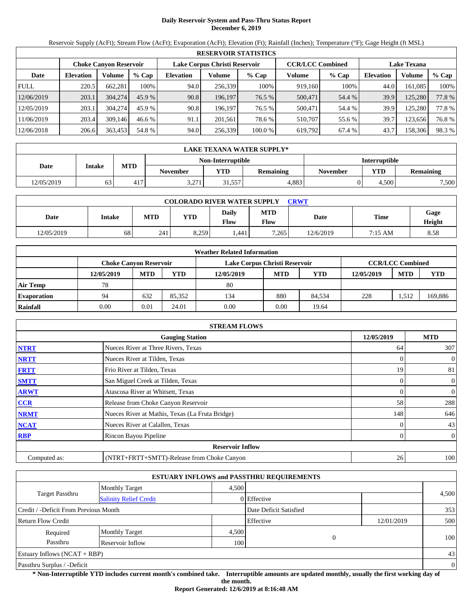# **Daily Reservoir System and Pass-Thru Status Report December 6, 2019**

Reservoir Supply (AcFt); Stream Flow (AcFt); Evaporation (AcFt); Elevation (Ft); Rainfall (Inches); Temperature (°F); Gage Height (ft MSL)

|             | <b>RESERVOIR STATISTICS</b> |                               |         |                  |                               |         |                         |         |                    |         |        |
|-------------|-----------------------------|-------------------------------|---------|------------------|-------------------------------|---------|-------------------------|---------|--------------------|---------|--------|
|             |                             | <b>Choke Canyon Reservoir</b> |         |                  | Lake Corpus Christi Reservoir |         | <b>CCR/LCC Combined</b> |         | <b>Lake Texana</b> |         |        |
| Date        | <b>Elevation</b>            | Volume                        | $%$ Cap | <b>Elevation</b> | Volume                        | $%$ Cap | Volume                  | $%$ Cap | <b>Elevation</b>   | Volume  | % Cap  |
| <b>FULL</b> | 220.5                       | 662.281                       | 100%    | 94.0             | 256,339                       | 100%    | 919,160                 | 100%    | 44.0               | 161.085 | 100%   |
| 12/06/2019  | 203.1                       | 304,274                       | 45.9%   | 90.8             | 196.197                       | 76.5 %  | 500,471                 | 54.4 %  | 39.9               | 125,280 | 77.8 % |
| 12/05/2019  | 203.1                       | 304,274                       | 45.9 %  | 90.8             | 196.197                       | 76.5 %  | 500,471                 | 54.4 %  | 39.9               | 125,280 | 77.8%  |
| 11/06/2019  | 203.4                       | 309.146                       | 46.6%   | 91.1             | 201,561                       | 78.6 %  | 510.707                 | 55.6 %  | 39.7               | 123,656 | 76.8%  |
| 12/06/2018  | 206.6                       | 363,453                       | 54.8 %  | 94.0             | 256,339                       | 100.0 % | 619,792                 | 67.4 %  | 43.7               | 158,306 | 98.3 % |

|            | LAKE TEXANA WATER SUPPLY* |            |                 |                   |                  |                      |            |                  |  |  |  |  |
|------------|---------------------------|------------|-----------------|-------------------|------------------|----------------------|------------|------------------|--|--|--|--|
|            |                           |            |                 | Non-Interruptible |                  | <b>Interruptible</b> |            |                  |  |  |  |  |
| Date       | <b>Intake</b>             | <b>MTD</b> | November        | <b>YTD</b>        | <b>Remaining</b> | <b>November</b>      | <b>YTD</b> | <b>Remaining</b> |  |  |  |  |
| 12/05/2019 | 63                        | 417        | 3.271<br>3.ZI 1 | 31,557            | 4.883            |                      | 4.500      | 7,500            |  |  |  |  |

| <b>COLORADO RIVER WATER SUPPLY</b><br>CRWT |        |            |       |                             |                    |           |             |                |  |  |
|--------------------------------------------|--------|------------|-------|-----------------------------|--------------------|-----------|-------------|----------------|--|--|
| Date                                       | Intake | <b>MTD</b> | VTD   | <b>Daily</b><br><b>Flow</b> | <b>MTD</b><br>Flow | Date      | <b>Time</b> | Gage<br>Height |  |  |
| 12/05/2019                                 | 68     | 241        | 8.259 | .441                        | 7,265              | 12/6/2019 | 7:15 AM     | 8.58           |  |  |

|                    |                               |            |        | <b>Weather Related Information</b> |            |        |            |                         |         |
|--------------------|-------------------------------|------------|--------|------------------------------------|------------|--------|------------|-------------------------|---------|
|                    | <b>Choke Canvon Reservoir</b> |            |        | Lake Corpus Christi Reservoir      |            |        |            | <b>CCR/LCC Combined</b> |         |
|                    | 12/05/2019                    | <b>MTD</b> | YTD    | 12/05/2019                         | <b>MTD</b> | YTD    | 12/05/2019 | <b>MTD</b>              | YTD     |
| <b>Air Temp</b>    | 78                            |            |        | 80                                 |            |        |            |                         |         |
| <b>Evaporation</b> | 94                            | 632        | 85.352 | 134                                | 880        | 84.534 | 228        | 1.512                   | 169,886 |
| Rainfall           | 0.00                          | 0.01       | 24.01  | 0.00                               | 0.00       | 19.64  |            |                         |         |

|              | <b>STREAM FLOWS</b>                             |            |                |
|--------------|-------------------------------------------------|------------|----------------|
|              | <b>Gauging Station</b>                          | 12/05/2019 | <b>MTD</b>     |
| <b>NTRT</b>  | Nueces River at Three Rivers, Texas             | 64         | 307            |
| <b>NRTT</b>  | Nueces River at Tilden, Texas                   | 0          | $\overline{0}$ |
| <b>FRTT</b>  | Frio River at Tilden, Texas                     | 19         | 81             |
| <b>SMTT</b>  | San Miguel Creek at Tilden, Texas               | 0          | $\overline{0}$ |
| <b>ARWT</b>  | Atascosa River at Whitsett, Texas               | 0          | $\overline{0}$ |
| CCR          | Release from Choke Canyon Reservoir             | 58         | 288            |
| <b>NRMT</b>  | Nueces River at Mathis, Texas (La Fruta Bridge) | 148        | 646            |
| <b>NCAT</b>  | Nueces River at Calallen, Texas                 |            | 43             |
| <b>RBP</b>   | Rincon Bayou Pipeline                           | 0          | $\overline{0}$ |
|              | <b>Reservoir Inflow</b>                         |            |                |
| Computed as: | (NTRT+FRTT+SMTT)-Release from Choke Canyon      | 26         | 100            |

|                                       |                               |       | <b>ESTUARY INFLOWS and PASSTHRU REQUIREMENTS</b> |            |                |
|---------------------------------------|-------------------------------|-------|--------------------------------------------------|------------|----------------|
|                                       | Monthly Target                | 4.500 |                                                  |            |                |
| <b>Target Passthru</b>                | <b>Salinity Relief Credit</b> |       | 0 Effective                                      |            | 4,500          |
| Credit / -Deficit From Previous Month |                               |       | Date Deficit Satisfied                           |            | 353            |
| <b>Return Flow Credit</b>             |                               |       | Effective                                        | 12/01/2019 | 500            |
| Required                              | <b>Monthly Target</b>         | 4,500 |                                                  |            |                |
| Passthru                              | Reservoir Inflow              | 100   | $\Omega$                                         |            | 100            |
| Estuary Inflows $(NCAT + RBP)$        |                               |       |                                                  |            | 43             |
| Passthru Surplus / -Deficit           |                               |       |                                                  |            | $\overline{0}$ |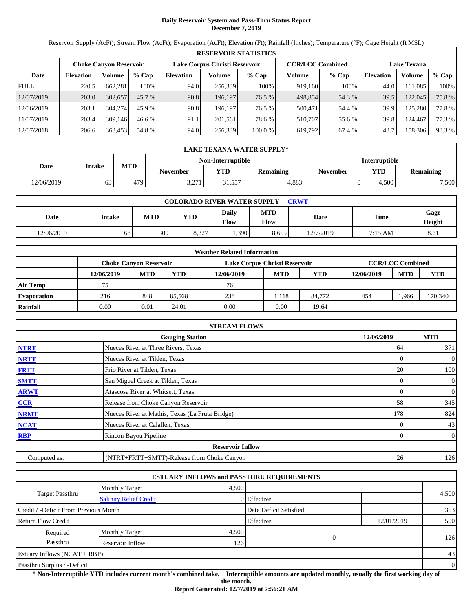# **Daily Reservoir System and Pass-Thru Status Report December 7, 2019**

Reservoir Supply (AcFt); Stream Flow (AcFt); Evaporation (AcFt); Elevation (Ft); Rainfall (Inches); Temperature (°F); Gage Height (ft MSL)

|             | <b>RESERVOIR STATISTICS</b>                                    |         |         |                  |         |         |                         |         |                  |                    |        |  |  |
|-------------|----------------------------------------------------------------|---------|---------|------------------|---------|---------|-------------------------|---------|------------------|--------------------|--------|--|--|
|             | Lake Corpus Christi Reservoir<br><b>Choke Canyon Reservoir</b> |         |         |                  |         |         | <b>CCR/LCC Combined</b> |         |                  | <b>Lake Texana</b> |        |  |  |
| Date        | <b>Elevation</b>                                               | Volume  | $%$ Cap | <b>Elevation</b> | Volume  | $%$ Cap | Volume                  | $%$ Cap | <b>Elevation</b> | Volume             | % Cap  |  |  |
| <b>FULL</b> | 220.5                                                          | 662,281 | 100%    | 94.0             | 256,339 | 100%    | 919,160                 | 100%    | 44.0             | 161.085            | 100%   |  |  |
| 12/07/2019  | 203.0                                                          | 302,657 | 45.7 %  | 90.8             | 196.197 | 76.5 %  | 498,854                 | 54.3 %  | 39.5             | 122,045            | 75.8%  |  |  |
| 12/06/2019  | 203.1                                                          | 304,274 | 45.9 %  | 90.8             | 196.197 | 76.5 %  | 500,471                 | 54.4 %  | 39.9             | 125.280            | 77.8 % |  |  |
| 11/07/2019  | 203.4                                                          | 309,146 | 46.6 %  | 91.1             | 201.561 | 78.6 %  | 510,707                 | 55.6 %  | 39.8             | 124.467            | 77.3 % |  |  |
| 12/07/2018  | 206.6                                                          | 363,453 | 54.8 %  | 94.0             | 256,339 | 100.0 % | 619,792                 | 67.4 %  | 43.7             | 158,306            | 98.3 % |  |  |

|            | LAKE TEXANA WATER SUPPLY* |            |                 |                   |           |                      |            |                  |  |  |  |
|------------|---------------------------|------------|-----------------|-------------------|-----------|----------------------|------------|------------------|--|--|--|
|            |                           |            |                 | Non-Interruptible |           | <b>Interruptible</b> |            |                  |  |  |  |
| Date       | <b>Intake</b>             | <b>MTD</b> | <b>November</b> | <b>YTD</b>        | Remaining | <b>November</b>      | <b>YTD</b> | <b>Remaining</b> |  |  |  |
| 12/06/2019 | 63                        | 479        | 2.271<br>3.211  | 31,557            | 4.883     |                      | 4.500      | 7,500            |  |  |  |

| <b>COLORADO RIVER WATER SUPPLY</b><br>CRWT |        |            |       |                      |                    |           |             |                |  |  |
|--------------------------------------------|--------|------------|-------|----------------------|--------------------|-----------|-------------|----------------|--|--|
| Date                                       | Intake | <b>MTD</b> | YTD   | Daily<br><b>Flow</b> | <b>MTD</b><br>Flow | Date      | <b>Time</b> | Gage<br>Height |  |  |
| 12/06/2019                                 | 68     | 309        | 8.327 | 1,390                | 8.655              | 12/7/2019 | 7:15 AM     | 8.61           |  |  |

|                    | <b>Weather Related Information</b> |            |        |                               |            |        |            |                         |            |  |  |
|--------------------|------------------------------------|------------|--------|-------------------------------|------------|--------|------------|-------------------------|------------|--|--|
|                    | <b>Choke Canvon Reservoir</b>      |            |        | Lake Corpus Christi Reservoir |            |        |            | <b>CCR/LCC Combined</b> |            |  |  |
|                    | 12/06/2019                         | <b>MTD</b> | YTD    | 12/06/2019                    | <b>MTD</b> | YTD    | 12/06/2019 | <b>MTD</b>              | <b>YTD</b> |  |  |
| <b>Air Temp</b>    | 75                                 |            |        | 76                            |            |        |            |                         |            |  |  |
| <b>Evaporation</b> | 216                                | 848        | 85,568 | 238                           | .118       | 84.772 | 454        | .966                    | 170,340    |  |  |
| Rainfall           | 0.00                               | 0.01       | 24.01  | 0.00                          | 0.00       | 19.64  |            |                         |            |  |  |

|              | <b>STREAM FLOWS</b>                             |            |                |
|--------------|-------------------------------------------------|------------|----------------|
|              | <b>Gauging Station</b>                          | 12/06/2019 | <b>MTD</b>     |
| <b>NTRT</b>  | Nueces River at Three Rivers, Texas             | 64         | 371            |
| <b>NRTT</b>  | Nueces River at Tilden, Texas                   |            | $\overline{0}$ |
| <b>FRTT</b>  | Frio River at Tilden, Texas                     | 20         | 100            |
| <b>SMTT</b>  | San Miguel Creek at Tilden, Texas               | $\Omega$   | $\overline{0}$ |
| <b>ARWT</b>  | Atascosa River at Whitsett, Texas               |            | $\overline{0}$ |
| <b>CCR</b>   | Release from Choke Canyon Reservoir             | 58         | 345            |
| <b>NRMT</b>  | Nueces River at Mathis, Texas (La Fruta Bridge) | 178        | 824            |
| <b>NCAT</b>  | Nueces River at Calallen, Texas                 |            | 43             |
| <b>RBP</b>   | Rincon Bayou Pipeline                           | 0          | $\overline{0}$ |
|              | <b>Reservoir Inflow</b>                         |            |                |
| Computed as: | (NTRT+FRTT+SMTT)-Release from Choke Canyon      | 26         | 126            |

|                                       |                               |       | <b>ESTUARY INFLOWS and PASSTHRU REQUIREMENTS</b> |            |                |
|---------------------------------------|-------------------------------|-------|--------------------------------------------------|------------|----------------|
|                                       | <b>Monthly Target</b>         | 4.500 |                                                  |            |                |
| Target Passthru                       | <b>Salinity Relief Credit</b> |       | 0 Effective                                      |            | 4,500          |
| Credit / -Deficit From Previous Month |                               |       | Date Deficit Satisfied                           |            | 353            |
| <b>Return Flow Credit</b>             |                               |       | Effective                                        | 12/01/2019 | 500            |
| Required                              | <b>Monthly Target</b>         | 4,500 |                                                  |            |                |
| Passthru                              | Reservoir Inflow              | 126   |                                                  | 0          | 126            |
| <b>Estuary Inflows (NCAT + RBP)</b>   |                               |       |                                                  |            | 43             |
| Passthru Surplus / -Deficit           |                               |       |                                                  |            | $\overline{0}$ |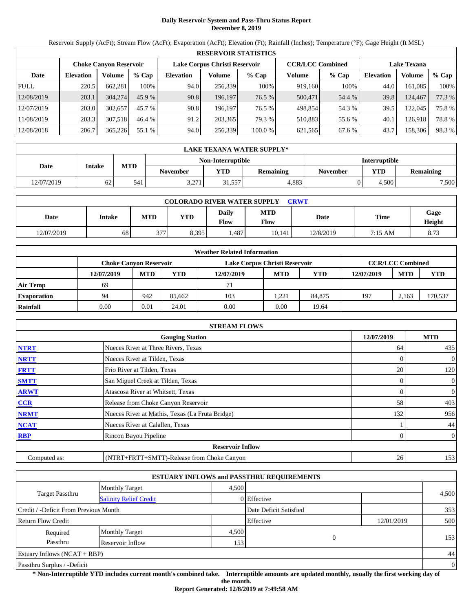# **Daily Reservoir System and Pass-Thru Status Report December 8, 2019**

Reservoir Supply (AcFt); Stream Flow (AcFt); Evaporation (AcFt); Elevation (Ft); Rainfall (Inches); Temperature (°F); Gage Height (ft MSL)

|             | <b>RESERVOIR STATISTICS</b> |                               |         |                               |         |         |                         |         |                    |         |        |  |  |
|-------------|-----------------------------|-------------------------------|---------|-------------------------------|---------|---------|-------------------------|---------|--------------------|---------|--------|--|--|
|             |                             | <b>Choke Canyon Reservoir</b> |         | Lake Corpus Christi Reservoir |         |         | <b>CCR/LCC Combined</b> |         | <b>Lake Texana</b> |         |        |  |  |
| Date        | <b>Elevation</b>            | Volume                        | $%$ Cap | <b>Elevation</b>              | Volume  | $%$ Cap | Volume                  | $%$ Cap | <b>Elevation</b>   | Volume  | % Cap  |  |  |
| <b>FULL</b> | 220.5                       | 662.281                       | 100%    | 94.0                          | 256.339 | 100%    | 919.160                 | 100%    | 44.0               | 161.085 | 100%   |  |  |
| 12/08/2019  | 203.1                       | 304,274                       | 45.9%   | 90.8                          | 196.197 | 76.5 %  | 500,471                 | 54.4 %  | 39.8               | 124,467 | 77.3 % |  |  |
| 12/07/2019  | 203.0                       | 302,657                       | 45.7 %  | 90.8                          | 196.197 | 76.5 %  | 498.854                 | 54.3 %  | 39.5               | 122,045 | 75.8%  |  |  |
| 11/08/2019  | 203.3                       | 307.518                       | 46.4 %  | 91.2                          | 203,365 | 79.3 %  | 510.883                 | 55.6 %  | 40.1               | 126.918 | 78.8%  |  |  |
| 12/08/2018  | 206.7                       | 365,226                       | 55.1 %  | 94.0                          | 256,339 | 100.0 % | 621,565                 | 67.6 %  | 43.7               | 158,306 | 98.3%  |  |  |

|            | LAKE TEXANA WATER SUPPLY* |            |                 |                   |           |                      |            |                  |  |  |  |
|------------|---------------------------|------------|-----------------|-------------------|-----------|----------------------|------------|------------------|--|--|--|
|            |                           |            |                 | Non-Interruptible |           | <b>Interruptible</b> |            |                  |  |  |  |
| Date       | <b>Intake</b>             | <b>MTD</b> | <b>November</b> | <b>YTD</b>        | Remaining | <b>November</b>      | <b>YTD</b> | <b>Remaining</b> |  |  |  |
| 12/07/2019 | 62                        | 541        | 2.271<br>3.211  | 31,557            | 4.883     |                      | 4.500      | 7,500            |  |  |  |

| <b>COLORADO RIVER WATER SUPPLY</b><br>CRWT |        |            |            |                      |                    |           |             |                |  |  |
|--------------------------------------------|--------|------------|------------|----------------------|--------------------|-----------|-------------|----------------|--|--|
| Date                                       | Intake | <b>MTD</b> | <b>YTD</b> | Daily<br><b>Flow</b> | <b>MTD</b><br>Flow | Date      | <b>Time</b> | Gage<br>Height |  |  |
| 12/07/2019                                 | 68     | 377        | 8.395      | .487                 | 10,141             | 12/8/2019 | 7:15 AM     | 8.73           |  |  |

|                    | <b>Weather Related Information</b> |            |        |                               |            |            |            |                         |         |  |  |
|--------------------|------------------------------------|------------|--------|-------------------------------|------------|------------|------------|-------------------------|---------|--|--|
|                    | <b>Choke Canvon Reservoir</b>      |            |        | Lake Corpus Christi Reservoir |            |            |            | <b>CCR/LCC Combined</b> |         |  |  |
|                    | 12/07/2019                         | <b>MTD</b> | YTD    | 12/07/2019                    | <b>MTD</b> | <b>YTD</b> | 12/07/2019 | <b>MTD</b>              | YTD     |  |  |
| <b>Air Temp</b>    | 69                                 |            |        | 71                            |            |            |            |                         |         |  |  |
| <b>Evaporation</b> | 94                                 | 942        | 85.662 | 103                           | .221       | 84,875     | 197        | 2.163                   | 170,537 |  |  |
| Rainfall           | 0.00                               | 0.01       | 24.01  | 0.00                          | 0.00       | 19.64      |            |                         |         |  |  |

|              | <b>STREAM FLOWS</b>                             |            |                |
|--------------|-------------------------------------------------|------------|----------------|
|              | <b>Gauging Station</b>                          | 12/07/2019 | <b>MTD</b>     |
| <b>NTRT</b>  | Nueces River at Three Rivers, Texas             | 64         | 435            |
| <b>NRTT</b>  | Nueces River at Tilden, Texas                   |            | $\overline{0}$ |
| <b>FRTT</b>  | Frio River at Tilden, Texas                     | 20         | 120            |
| <b>SMTT</b>  | San Miguel Creek at Tilden, Texas               | 0          | $\overline{0}$ |
| <b>ARWT</b>  | Atascosa River at Whitsett, Texas               | 0          | $\overline{0}$ |
| CCR          | Release from Choke Canyon Reservoir             | 58         | 403            |
| <b>NRMT</b>  | Nueces River at Mathis, Texas (La Fruta Bridge) | 132        | 956            |
| <b>NCAT</b>  | Nueces River at Calallen, Texas                 |            | 44             |
| <b>RBP</b>   | Rincon Bayou Pipeline                           | 0          | $\overline{0}$ |
|              | <b>Reservoir Inflow</b>                         |            |                |
| Computed as: | (NTRT+FRTT+SMTT)-Release from Choke Canyon      | 26         | 153            |

|                                                         |                       |       | <b>ESTUARY INFLOWS and PASSTHRU REQUIREMENTS</b> |            |                |
|---------------------------------------------------------|-----------------------|-------|--------------------------------------------------|------------|----------------|
|                                                         | <b>Monthly Target</b> | 4.500 |                                                  |            |                |
| <b>Target Passthru</b><br><b>Salinity Relief Credit</b> |                       |       | 0 Effective                                      |            | 4,500          |
| Credit / -Deficit From Previous Month                   |                       |       | Date Deficit Satisfied                           |            | 353            |
| <b>Return Flow Credit</b>                               |                       |       | Effective                                        | 12/01/2019 | 500            |
| Required                                                | <b>Monthly Target</b> | 4,500 |                                                  |            |                |
| Passthru                                                | Reservoir Inflow      | 153   | 0                                                |            | 153            |
| Estuary Inflows $(NCAT + RBP)$                          |                       |       |                                                  |            | 44             |
| Passthru Surplus / -Deficit                             |                       |       |                                                  |            | $\overline{0}$ |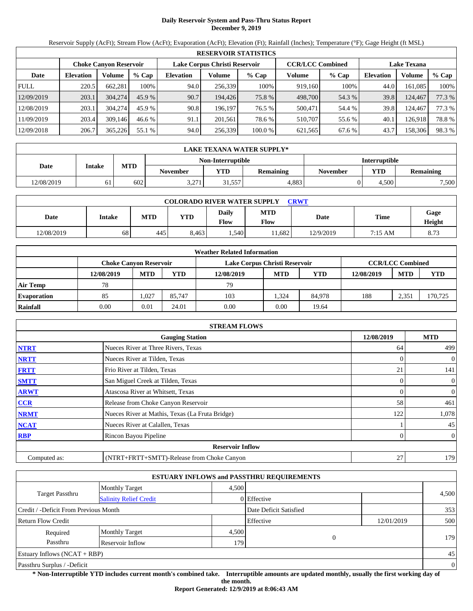# **Daily Reservoir System and Pass-Thru Status Report December 9, 2019**

Reservoir Supply (AcFt); Stream Flow (AcFt); Evaporation (AcFt); Elevation (Ft); Rainfall (Inches); Temperature (°F); Gage Height (ft MSL)

|             | <b>RESERVOIR STATISTICS</b>   |         |                               |                  |         |                         |         |                    |                  |         |        |  |  |
|-------------|-------------------------------|---------|-------------------------------|------------------|---------|-------------------------|---------|--------------------|------------------|---------|--------|--|--|
|             | <b>Choke Canyon Reservoir</b> |         | Lake Corpus Christi Reservoir |                  |         | <b>CCR/LCC Combined</b> |         | <b>Lake Texana</b> |                  |         |        |  |  |
| Date        | <b>Elevation</b>              | Volume  | $%$ Cap                       | <b>Elevation</b> | Volume  | $%$ Cap                 | Volume  | $%$ Cap            | <b>Elevation</b> | Volume  | % Cap  |  |  |
| <b>FULL</b> | 220.5                         | 662.281 | 100%                          | 94.0             | 256,339 | 100%                    | 919,160 | 100%               | 44.0             | 161.085 | 100%   |  |  |
| 12/09/2019  | 203.1                         | 304,274 | 45.9%                         | 90.7             | 194.426 | 75.8 %                  | 498,700 | 54.3 %             | 39.8             | 124,467 | 77.3 % |  |  |
| 12/08/2019  | 203.1                         | 304,274 | 45.9 %                        | 90.8             | 196.197 | 76.5 %                  | 500,471 | 54.4 %             | 39.8             | 124.467 | 77.3 % |  |  |
| 11/09/2019  | 203.4                         | 309.146 | 46.6%                         | 91.1             | 201,561 | 78.6 %                  | 510.707 | 55.6 %             | 40.1             | 126.918 | 78.8%  |  |  |
| 12/09/2018  | 206.7                         | 365,226 | 55.1 %                        | 94.0             | 256,339 | 100.0 %                 | 621,565 | 67.6 %             | 43.7             | 158,306 | 98.3 % |  |  |

|            | LAKE TEXANA WATER SUPPLY* |            |          |                   |                  |                      |            |                  |  |  |  |
|------------|---------------------------|------------|----------|-------------------|------------------|----------------------|------------|------------------|--|--|--|
|            |                           |            |          | Non-Interruptible |                  | <b>Interruptible</b> |            |                  |  |  |  |
| Date       | <b>Intake</b>             | <b>MTD</b> | November | <b>YTD</b>        | <b>Remaining</b> | <b>November</b>      | <b>YTD</b> | <b>Remaining</b> |  |  |  |
| 12/08/2019 | 61                        | 602        | 3.271    | 31,557            | 4.883            |                      | 4.500      | 7,500            |  |  |  |

| <b>COLORADO RIVER WATER SUPPLY</b><br>CRWT |        |            |            |                      |                    |           |         |                |  |  |
|--------------------------------------------|--------|------------|------------|----------------------|--------------------|-----------|---------|----------------|--|--|
| Date                                       | Intake | <b>MTD</b> | <b>YTD</b> | Daily<br><b>Flow</b> | <b>MTD</b><br>Flow | Date      | Time    | Gage<br>Height |  |  |
| 12/08/2019                                 | 68     | 445        | 8.463      | .,540                | 1.682              | 12/9/2019 | 7:15 AM | 8.73           |  |  |

|                    | <b>Weather Related Information</b> |            |        |                               |            |        |            |                         |         |  |  |
|--------------------|------------------------------------|------------|--------|-------------------------------|------------|--------|------------|-------------------------|---------|--|--|
|                    | <b>Choke Canvon Reservoir</b>      |            |        | Lake Corpus Christi Reservoir |            |        |            | <b>CCR/LCC Combined</b> |         |  |  |
|                    | 12/08/2019                         | <b>MTD</b> | YTD    | 12/08/2019                    | <b>MTD</b> | YTD    | 12/08/2019 | <b>MTD</b>              | YTD     |  |  |
| <b>Air Temp</b>    | 78                                 |            |        | 79                            |            |        |            |                         |         |  |  |
| <b>Evaporation</b> | 85                                 | ,027       | 85,747 | 103                           | .324       | 84.978 | 188        | 2.351                   | 170,725 |  |  |
| Rainfall           | 0.00                               | 0.01       | 24.01  | 0.00                          | 0.00       | 19.64  |            |                         |         |  |  |

|              | <b>STREAM FLOWS</b>                             |            |                |
|--------------|-------------------------------------------------|------------|----------------|
|              | <b>Gauging Station</b>                          | 12/08/2019 | <b>MTD</b>     |
| <b>NTRT</b>  | Nueces River at Three Rivers, Texas             | 64         | 499            |
| <b>NRTT</b>  | Nueces River at Tilden, Texas                   |            | $\overline{0}$ |
| <b>FRTT</b>  | Frio River at Tilden, Texas                     | 21         | 141            |
| <b>SMTT</b>  | San Miguel Creek at Tilden, Texas               | 0          | $\overline{0}$ |
| <b>ARWT</b>  | Atascosa River at Whitsett, Texas               | 0          | $\overline{0}$ |
| CCR          | Release from Choke Canyon Reservoir             | 58         | 461            |
| <b>NRMT</b>  | Nueces River at Mathis, Texas (La Fruta Bridge) | 122        | 1,078          |
| <b>NCAT</b>  | Nueces River at Calallen, Texas                 |            | 45             |
| <b>RBP</b>   | Rincon Bayou Pipeline                           | 0          | $\overline{0}$ |
|              | <b>Reservoir Inflow</b>                         |            |                |
| Computed as: | (NTRT+FRTT+SMTT)-Release from Choke Canyon      | 27         | 179            |

|                                       |                               |       | <b>ESTUARY INFLOWS and PASSTHRU REQUIREMENTS</b> |            |                |
|---------------------------------------|-------------------------------|-------|--------------------------------------------------|------------|----------------|
|                                       | Monthly Target                | 4.500 |                                                  |            |                |
| <b>Target Passthru</b>                | <b>Salinity Relief Credit</b> |       | 0 Effective                                      |            | 4,500          |
| Credit / -Deficit From Previous Month |                               |       | Date Deficit Satisfied                           |            | 353            |
| <b>Return Flow Credit</b>             |                               |       | Effective                                        | 12/01/2019 | 500            |
| Required                              | <b>Monthly Target</b>         | 4,500 |                                                  |            |                |
| Passthru                              | Reservoir Inflow              | 179   | $\Omega$                                         |            | 179            |
| Estuary Inflows $(NCAT + RBP)$        |                               |       |                                                  |            | 45             |
| Passthru Surplus / -Deficit           |                               |       |                                                  |            | $\overline{0}$ |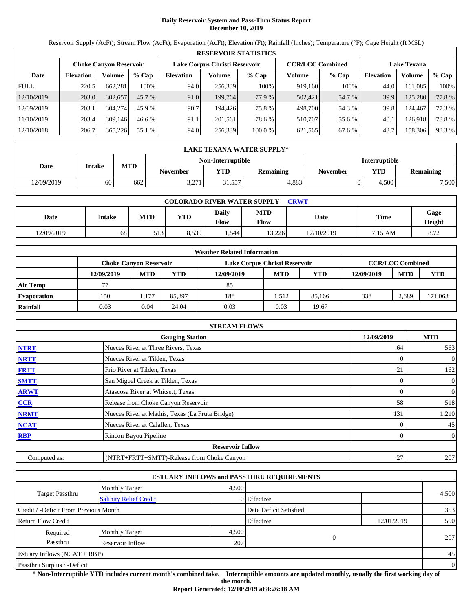# **Daily Reservoir System and Pass-Thru Status Report December 10, 2019**

Reservoir Supply (AcFt); Stream Flow (AcFt); Evaporation (AcFt); Elevation (Ft); Rainfall (Inches); Temperature (°F); Gage Height (ft MSL)

|             | <b>RESERVOIR STATISTICS</b> |                               |          |                               |         |         |                         |         |                    |         |        |  |  |
|-------------|-----------------------------|-------------------------------|----------|-------------------------------|---------|---------|-------------------------|---------|--------------------|---------|--------|--|--|
|             |                             | <b>Choke Canyon Reservoir</b> |          | Lake Corpus Christi Reservoir |         |         | <b>CCR/LCC Combined</b> |         | <b>Lake Texana</b> |         |        |  |  |
| Date        | <b>Elevation</b>            | Volume                        | $%$ Cap  | <b>Elevation</b>              | Volume  | $%$ Cap | Volume                  | $%$ Cap | <b>Elevation</b>   | Volume  | % Cap  |  |  |
| <b>FULL</b> | 220.5                       | 662.281                       | 100%     | 94.0                          | 256,339 | 100%    | 919,160                 | 100%    | 44.0               | 161.085 | 100%   |  |  |
| 12/10/2019  | 203.0                       | 302,657                       | $45.7\%$ | 91.0                          | 199.764 | 77.9 %  | 502,421                 | 54.7 %  | 39.9               | 125,280 | 77.8 % |  |  |
| 12/09/2019  | 203.1                       | 304,274                       | 45.9 %   | 90.7                          | 194.426 | 75.8 %  | 498,700                 | 54.3 %  | 39.8               | 124.467 | 77.3 % |  |  |
| 11/10/2019  | 203.4                       | 309.146                       | 46.6%    | 91.1                          | 201.561 | 78.6 %  | 510.707                 | 55.6 %  | 40.1               | 126.918 | 78.8%  |  |  |
| 12/10/2018  | 206.7                       | 365,226                       | 55.1 %   | 94.0                          | 256,339 | 100.0 % | 621,565                 | 67.6 %  | 43.7               | 158,306 | 98.3 % |  |  |

|            | LAKE TEXANA WATER SUPPLY* |            |                 |                   |                  |                 |                      |                  |  |  |  |
|------------|---------------------------|------------|-----------------|-------------------|------------------|-----------------|----------------------|------------------|--|--|--|
|            |                           |            |                 | Non-Interruptible |                  |                 | <b>Interruptible</b> |                  |  |  |  |
| Date       | <b>Intake</b>             | <b>MTD</b> | <b>November</b> | <b>VTD</b>        | <b>Remaining</b> | <b>November</b> | <b>YTD</b>           | <b>Remaining</b> |  |  |  |
| 12/09/2019 | 60                        | 662        | 2.271<br>3.211  | 31,557            | 4.883            |                 | 4.500                | 7,500            |  |  |  |

| <b>COLORADO RIVER WATER SUPPLY</b><br><b>CRWT</b> |        |            |            |               |                    |            |         |                       |  |  |  |
|---------------------------------------------------|--------|------------|------------|---------------|--------------------|------------|---------|-----------------------|--|--|--|
| Date                                              | Intake | <b>MTD</b> | <b>YTD</b> | Daily<br>Flow | <b>MTD</b><br>Flow | Date       | Time    | Gage<br><b>Height</b> |  |  |  |
| 12/09/2019                                        | 68     | 513        | 8.530      | .544          | 13.226             | 12/10/2019 | 7:15 AM | 8.72                  |  |  |  |

|                    | <b>Weather Related Information</b> |                               |        |                               |            |            |            |                         |            |  |  |
|--------------------|------------------------------------|-------------------------------|--------|-------------------------------|------------|------------|------------|-------------------------|------------|--|--|
|                    |                                    | <b>Choke Canvon Reservoir</b> |        | Lake Corpus Christi Reservoir |            |            |            | <b>CCR/LCC Combined</b> |            |  |  |
|                    | 12/09/2019                         | <b>MTD</b>                    | YTD    | 12/09/2019                    | <b>MTD</b> | <b>YTD</b> | 12/09/2019 | <b>MTD</b>              | <b>YTD</b> |  |  |
| <b>Air Temp</b>    |                                    |                               |        | 85                            |            |            |            |                         |            |  |  |
| <b>Evaporation</b> | 150                                | 1,177                         | 85,897 | 188                           | 1.512      | 85,166     | 338        | 2.689                   | 171,063    |  |  |
| Rainfall           | 0.03                               | 0.04                          | 24.04  | 0.03                          | 0.03       | 19.67      |            |                         |            |  |  |

|              | <b>STREAM FLOWS</b>                             |            |                |
|--------------|-------------------------------------------------|------------|----------------|
|              | <b>Gauging Station</b>                          | 12/09/2019 | <b>MTD</b>     |
| <b>NTRT</b>  | Nueces River at Three Rivers, Texas             | 64         | 563            |
| <b>NRTT</b>  | Nueces River at Tilden, Texas                   | $\Omega$   | $\overline{0}$ |
| <b>FRTT</b>  | Frio River at Tilden, Texas                     | 21         | 162            |
| <b>SMTT</b>  | San Miguel Creek at Tilden, Texas               | $\Omega$   | $\overline{0}$ |
| <b>ARWT</b>  | Atascosa River at Whitsett, Texas               | $\Omega$   | $\mathbf{0}$   |
| <b>CCR</b>   | Release from Choke Canyon Reservoir             | 58         | 518            |
| <b>NRMT</b>  | Nueces River at Mathis, Texas (La Fruta Bridge) | 131        | 1,210          |
| <b>NCAT</b>  | Nueces River at Calallen, Texas                 |            | 45             |
| <b>RBP</b>   | Rincon Bayou Pipeline                           | $\theta$   | $\overline{0}$ |
|              | <b>Reservoir Inflow</b>                         |            |                |
| Computed as: | (NTRT+FRTT+SMTT)-Release from Choke Canyon      | 27         | 207            |

|                                       |                               |       | <b>ESTUARY INFLOWS and PASSTHRU REQUIREMENTS</b> |            |                |
|---------------------------------------|-------------------------------|-------|--------------------------------------------------|------------|----------------|
|                                       | <b>Monthly Target</b>         | 4.500 |                                                  |            |                |
| Target Passthru                       | <b>Salinity Relief Credit</b> |       | 0 Effective                                      |            | 4,500          |
| Credit / -Deficit From Previous Month |                               |       | Date Deficit Satisfied                           |            | 353            |
| <b>Return Flow Credit</b>             |                               |       | Effective                                        | 12/01/2019 | 500            |
| Required                              | <b>Monthly Target</b>         | 4,500 |                                                  |            |                |
| Passthru                              | Reservoir Inflow              | 207   |                                                  | 0          | 207            |
| <b>Estuary Inflows (NCAT + RBP)</b>   |                               |       |                                                  |            | 45             |
| Passthru Surplus / -Deficit           |                               |       |                                                  |            | $\overline{0}$ |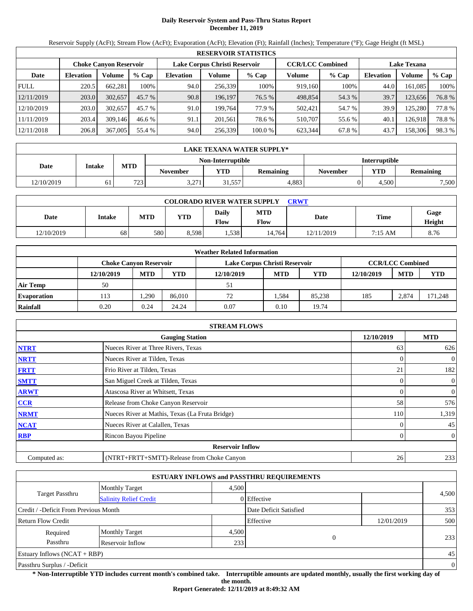# **Daily Reservoir System and Pass-Thru Status Report December 11, 2019**

Reservoir Supply (AcFt); Stream Flow (AcFt); Evaporation (AcFt); Elevation (Ft); Rainfall (Inches); Temperature (°F); Gage Height (ft MSL)

|             | <b>RESERVOIR STATISTICS</b> |                               |          |                               |         |         |                         |         |                    |         |       |  |  |
|-------------|-----------------------------|-------------------------------|----------|-------------------------------|---------|---------|-------------------------|---------|--------------------|---------|-------|--|--|
|             |                             | <b>Choke Canyon Reservoir</b> |          | Lake Corpus Christi Reservoir |         |         | <b>CCR/LCC Combined</b> |         | <b>Lake Texana</b> |         |       |  |  |
| Date        | <b>Elevation</b>            | Volume                        | $%$ Cap  | <b>Elevation</b>              | Volume  | $%$ Cap | Volume                  | $%$ Cap | <b>Elevation</b>   | Volume  | % Cap |  |  |
| <b>FULL</b> | 220.5                       | 662.281                       | 100%     | 94.0                          | 256,339 | 100%    | 919,160                 | 100%    | 44.0               | 161.085 | 100%  |  |  |
| 12/11/2019  | 203.0                       | 302,657                       | $45.7\%$ | 90.8                          | 196,197 | 76.5 %  | 498,854                 | 54.3 %  | 39.7               | 123,656 | 76.8% |  |  |
| 12/10/2019  | 203.0                       | 302,657                       | 45.7 %   | 91.0                          | 199.764 | 77.9 %  | 502,421                 | 54.7 %  | 39.9               | 125.280 | 77.8% |  |  |
| 11/11/2019  | 203.4                       | 309.146                       | 46.6%    | 91.1                          | 201.561 | 78.6 %  | 510.707                 | 55.6 %  | 40.1               | 126.918 | 78.8% |  |  |
| 12/11/2018  | 206.8                       | 367,005                       | 55.4 %   | 94.0                          | 256,339 | 100.0 % | 623.344                 | 67.8%   | 43.7               | 158,306 | 98.3% |  |  |

|            | <b>LAKE TEXANA WATER SUPPLY*</b> |            |                                           |            |                  |                 |            |                  |  |  |  |
|------------|----------------------------------|------------|-------------------------------------------|------------|------------------|-----------------|------------|------------------|--|--|--|
|            |                                  |            | Non-Interruptible<br><b>Interruptible</b> |            |                  |                 |            |                  |  |  |  |
| Date       | <b>Intake</b>                    | <b>MTD</b> | <b>November</b>                           | <b>VTD</b> | <b>Remaining</b> | <b>November</b> | <b>YTD</b> | <b>Remaining</b> |  |  |  |
| 12/10/2019 |                                  | 723        | 2.271<br>3.211                            | 31,557     | 4.883            |                 | 4.500      | 7,500            |  |  |  |

| <b>COLORADO RIVER WATER SUPPLY</b><br><b>CRWT</b> |        |            |            |               |                    |            |         |                |  |  |
|---------------------------------------------------|--------|------------|------------|---------------|--------------------|------------|---------|----------------|--|--|
| Date                                              | Intake | <b>MTD</b> | <b>YTD</b> | Daily<br>Flow | <b>MTD</b><br>Flow | Date       | Time    | Gage<br>Height |  |  |
| 12/10/2019                                        | 68     | 580        | 8,598      | 1,538         | 14.764             | 12/11/2019 | 7:15 AM | 8.76           |  |  |

|                    | <b>Weather Related Information</b> |                               |        |                               |            |            |            |                         |            |  |  |  |
|--------------------|------------------------------------|-------------------------------|--------|-------------------------------|------------|------------|------------|-------------------------|------------|--|--|--|
|                    |                                    | <b>Choke Canvon Reservoir</b> |        | Lake Corpus Christi Reservoir |            |            |            | <b>CCR/LCC Combined</b> |            |  |  |  |
|                    | 12/10/2019                         | <b>MTD</b>                    | YTD    | 12/10/2019                    | <b>MTD</b> | <b>YTD</b> | 12/10/2019 | <b>MTD</b>              | <b>YTD</b> |  |  |  |
| <b>Air Temp</b>    | 50                                 |                               |        | 51                            |            |            |            |                         |            |  |  |  |
| <b>Evaporation</b> | 113                                | ,290                          | 86.010 | 72                            | .584       | 85.238     | 185        | 2.874                   | 171,248    |  |  |  |
| Rainfall           | 0.20                               | 0.24                          | 24.24  | 0.07                          | 0.10       | 19.74      |            |                         |            |  |  |  |

|              | <b>STREAM FLOWS</b>                             |                |                |
|--------------|-------------------------------------------------|----------------|----------------|
|              | <b>Gauging Station</b>                          | 12/10/2019     | <b>MTD</b>     |
| <b>NTRT</b>  | Nueces River at Three Rivers, Texas             | 63             | 626            |
| <b>NRTT</b>  | Nueces River at Tilden, Texas                   |                | $\mathbf{0}$   |
| <b>FRTT</b>  | Frio River at Tilden, Texas                     | 21             | 182            |
| <b>SMTT</b>  | San Miguel Creek at Tilden, Texas               | $\overline{0}$ | $\mathbf{0}$   |
| <b>ARWT</b>  | Atascosa River at Whitsett, Texas               | $\Omega$       | $\mathbf{0}$   |
| CCR          | Release from Choke Canyon Reservoir             | 58             | 576            |
| <b>NRMT</b>  | Nueces River at Mathis, Texas (La Fruta Bridge) | 110            | 1,319          |
| <b>NCAT</b>  | Nueces River at Calallen, Texas                 |                | 45             |
| <b>RBP</b>   | Rincon Bayou Pipeline                           | $\Omega$       | $\overline{0}$ |
|              | <b>Reservoir Inflow</b>                         |                |                |
| Computed as: | (NTRT+FRTT+SMTT)-Release from Choke Canyon      | 26             | 233            |

|                                       |                               |       | <b>ESTUARY INFLOWS and PASSTHRU REQUIREMENTS</b> |            |          |
|---------------------------------------|-------------------------------|-------|--------------------------------------------------|------------|----------|
|                                       | <b>Monthly Target</b>         | 4.500 |                                                  |            |          |
| <b>Target Passthru</b>                | <b>Salinity Relief Credit</b> |       | 0 Effective                                      |            | 4,500    |
| Credit / -Deficit From Previous Month |                               |       | Date Deficit Satisfied                           |            | 353      |
| <b>Return Flow Credit</b>             |                               |       | Effective                                        | 12/01/2019 | 500      |
| Required                              | <b>Monthly Target</b>         | 4,500 |                                                  |            |          |
| Passthru                              | Reservoir Inflow              | 233   | $\overline{0}$                                   |            | 233      |
| Estuary Inflows $(NCAT + RBP)$        |                               |       |                                                  |            | 45       |
| Passthru Surplus / -Deficit           |                               |       |                                                  |            | $\theta$ |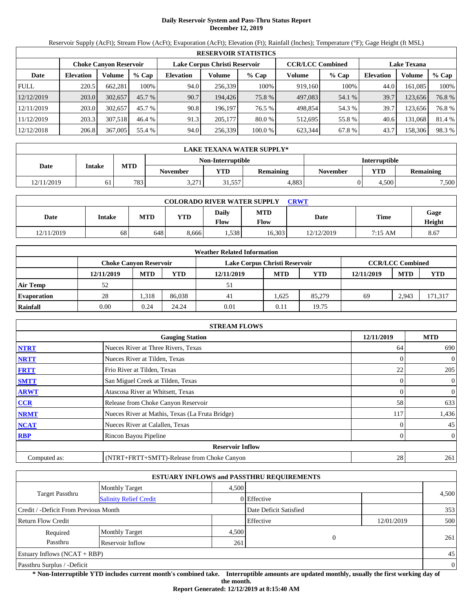# **Daily Reservoir System and Pass-Thru Status Report December 12, 2019**

Reservoir Supply (AcFt); Stream Flow (AcFt); Evaporation (AcFt); Elevation (Ft); Rainfall (Inches); Temperature (°F); Gage Height (ft MSL)

|             | <b>RESERVOIR STATISTICS</b> |                               |         |                  |                               |          |                         |         |                    |         |        |  |
|-------------|-----------------------------|-------------------------------|---------|------------------|-------------------------------|----------|-------------------------|---------|--------------------|---------|--------|--|
|             |                             | <b>Choke Canyon Reservoir</b> |         |                  | Lake Corpus Christi Reservoir |          | <b>CCR/LCC Combined</b> |         | <b>Lake Texana</b> |         |        |  |
| Date        | <b>Elevation</b>            | Volume                        | $%$ Cap | <b>Elevation</b> | Volume                        | $%$ Cap  | Volume                  | $%$ Cap | <b>Elevation</b>   | Volume  | % Cap  |  |
| <b>FULL</b> | 220.5                       | 662.281                       | 100%    | 94.0             | 256,339                       | 100%     | 919,160                 | 100%    | 44.0               | 161.085 | 100%   |  |
| 12/12/2019  | 203.0                       | 302,657                       | 45.7 %  | 90.7             | 194.426                       | 75.8 %   | 497,083                 | 54.1 %  | 39.7               | 123,656 | 76.8%  |  |
| 12/11/2019  | 203.0                       | 302,657                       | 45.7 %  | 90.8             | 196.197                       | 76.5 %   | 498.854                 | 54.3 %  | 39.7               | 123,656 | 76.8%  |  |
| 11/12/2019  | 203.3                       | 307,518                       | 46.4 %  | 91.3             | 205,177                       | $80.0\%$ | 512,695                 | 55.8%   | 40.6               | 131,068 | 81.4 % |  |
| 12/12/2018  | 206.8                       | 367,005                       | 55.4 %  | 94.0             | 256,339                       | 100.0 %  | 623,344                 | 67.8 %  | 43.7               | 158,306 | 98.3%  |  |

|            | LAKE TEXANA WATER SUPPLY* |            |                 |                   |                      |                 |            |                  |  |  |  |
|------------|---------------------------|------------|-----------------|-------------------|----------------------|-----------------|------------|------------------|--|--|--|
|            |                           |            |                 | Non-Interruptible | <b>Interruptible</b> |                 |            |                  |  |  |  |
| Date       | <b>Intake</b>             | <b>MTD</b> | <b>November</b> | <b>YTD</b>        | Remaining            | <b>November</b> | <b>YTD</b> | <b>Remaining</b> |  |  |  |
| 12/11/2019 | 61                        | 783        | 2.271<br>3.211  | 31,557            | 4.883                |                 | 4.500      | 7,500            |  |  |  |

| <b>COLORADO RIVER WATER SUPPLY</b><br>CRWT |               |            |            |               |                    |            |         |                       |  |  |  |
|--------------------------------------------|---------------|------------|------------|---------------|--------------------|------------|---------|-----------------------|--|--|--|
| Date                                       | <b>Intake</b> | <b>MTD</b> | <b>YTD</b> | Daily<br>Flow | <b>MTD</b><br>Flow | Date       | Time    | Gage<br><b>Height</b> |  |  |  |
| 12/11/2019                                 | 68            | 648        | 8,666      | 1,538         | 16,303             | 12/12/2019 | 7:15 AM | 8.67                  |  |  |  |

|                    | <b>Weather Related Information</b> |            |        |                               |            |            |            |                         |         |  |  |  |
|--------------------|------------------------------------|------------|--------|-------------------------------|------------|------------|------------|-------------------------|---------|--|--|--|
|                    | <b>Choke Canvon Reservoir</b>      |            |        | Lake Corpus Christi Reservoir |            |            |            | <b>CCR/LCC Combined</b> |         |  |  |  |
|                    | 12/11/2019                         | <b>MTD</b> | YTD    | 12/11/2019                    | <b>MTD</b> | <b>YTD</b> | 12/11/2019 | <b>MTD</b>              | YTD     |  |  |  |
| <b>Air Temp</b>    | 52                                 |            |        | 51                            |            |            |            |                         |         |  |  |  |
| <b>Evaporation</b> | 28                                 | .318       | 86.038 | 41                            | .625       | 85,279     | 69         | 2.943                   | 171,317 |  |  |  |
| Rainfall           | 0.00                               | 0.24       | 24.24  | 0.01                          | 0.11       | 19.75      |            |                         |         |  |  |  |

|              | <b>STREAM FLOWS</b>                             |            |                |
|--------------|-------------------------------------------------|------------|----------------|
|              | <b>Gauging Station</b>                          | 12/11/2019 | <b>MTD</b>     |
| <b>NTRT</b>  | Nueces River at Three Rivers, Texas             | 64         | 690            |
| <b>NRTT</b>  | Nueces River at Tilden, Texas                   | 0          | $\overline{0}$ |
| <b>FRTT</b>  | Frio River at Tilden, Texas                     | 22         | 205            |
| <b>SMTT</b>  | San Miguel Creek at Tilden, Texas               | 0          | $\overline{0}$ |
| <b>ARWT</b>  | Atascosa River at Whitsett, Texas               | 0          | $\overline{0}$ |
| CCR          | Release from Choke Canyon Reservoir             | 58         | 633            |
| <b>NRMT</b>  | Nueces River at Mathis, Texas (La Fruta Bridge) | 117        | 1,436          |
| <b>NCAT</b>  | Nueces River at Calallen, Texas                 |            | 45             |
| <b>RBP</b>   | Rincon Bayou Pipeline                           | 0          | $\overline{0}$ |
|              | <b>Reservoir Inflow</b>                         |            |                |
| Computed as: | (NTRT+FRTT+SMTT)-Release from Choke Canyon      | 28         | 261            |

|                                       |                               |       | <b>ESTUARY INFLOWS and PASSTHRU REQUIREMENTS</b> |            |                |
|---------------------------------------|-------------------------------|-------|--------------------------------------------------|------------|----------------|
|                                       | Monthly Target                | 4.500 |                                                  |            |                |
| <b>Target Passthru</b>                | <b>Salinity Relief Credit</b> |       | 0 Effective                                      |            | 4,500          |
| Credit / -Deficit From Previous Month |                               |       | Date Deficit Satisfied                           |            | 353            |
| <b>Return Flow Credit</b>             |                               |       | Effective                                        | 12/01/2019 | 500            |
| Required                              | <b>Monthly Target</b>         | 4,500 |                                                  |            |                |
| Passthru                              | Reservoir Inflow              | 261   | $\Omega$                                         |            | 261            |
| Estuary Inflows $(NCAT + RBP)$        |                               |       |                                                  |            | 45             |
| Passthru Surplus / -Deficit           |                               |       |                                                  |            | $\overline{0}$ |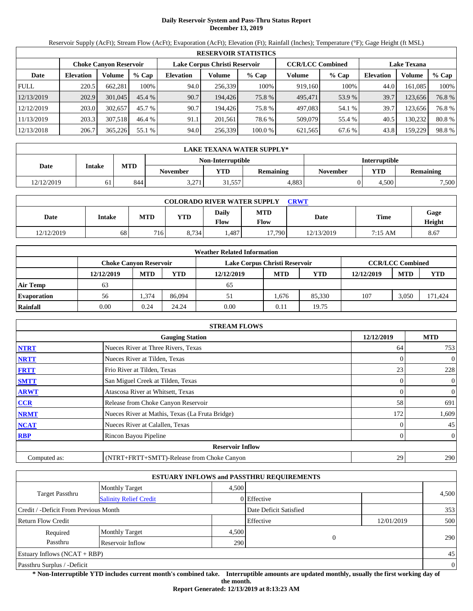# **Daily Reservoir System and Pass-Thru Status Report December 13, 2019**

Reservoir Supply (AcFt); Stream Flow (AcFt); Evaporation (AcFt); Elevation (Ft); Rainfall (Inches); Temperature (°F); Gage Height (ft MSL)

|             | <b>RESERVOIR STATISTICS</b> |                               |         |                  |                               |         |                         |         |                    |         |       |  |  |
|-------------|-----------------------------|-------------------------------|---------|------------------|-------------------------------|---------|-------------------------|---------|--------------------|---------|-------|--|--|
|             |                             | <b>Choke Canyon Reservoir</b> |         |                  | Lake Corpus Christi Reservoir |         | <b>CCR/LCC Combined</b> |         | <b>Lake Texana</b> |         |       |  |  |
| Date        | <b>Elevation</b>            | Volume                        | $%$ Cap | <b>Elevation</b> | Volume                        | $%$ Cap | Volume                  | $%$ Cap | <b>Elevation</b>   | Volume  | % Cap |  |  |
| <b>FULL</b> | 220.5                       | 662.281                       | 100%    | 94.0             | 256.339                       | 100%    | 919.160                 | 100%    | 44.0               | 161.085 | 100%  |  |  |
| 12/13/2019  | 202.9                       | 301,045                       | 45.4%   | 90.7             | 194.426                       | 75.8 %  | 495.471                 | 53.9 %  | 39.7               | 123.656 | 76.8% |  |  |
| 12/12/2019  | 203.0                       | 302,657                       | 45.7 %  | 90.7             | 194.426                       | 75.8 %  | 497,083                 | 54.1 %  | 39.7               | 123.656 | 76.8% |  |  |
| 11/13/2019  | 203.3                       | 307.518                       | 46.4 %  | 91.1             | 201.561                       | 78.6 %  | 509,079                 | 55.4 %  | 40.5               | 130.232 | 80.8% |  |  |
| 12/13/2018  | 206.7                       | 365,226                       | 55.1 %  | 94.0             | 256,339                       | 100.0 % | 621,565                 | 67.6 %  | 43.8               | 159,229 | 98.8% |  |  |

|            | <b>LAKE TEXANA WATER SUPPLY*</b> |                                           |                 |            |                  |                 |            |                  |  |  |  |
|------------|----------------------------------|-------------------------------------------|-----------------|------------|------------------|-----------------|------------|------------------|--|--|--|
|            |                                  | Non-Interruptible<br><b>Interruptible</b> |                 |            |                  |                 |            |                  |  |  |  |
| Date       | <b>Intake</b>                    | <b>MTD</b>                                | <b>November</b> | <b>VTD</b> | <b>Remaining</b> | <b>November</b> | <b>YTD</b> | <b>Remaining</b> |  |  |  |
| 12/12/2019 |                                  | 844                                       | 2.271<br>3.211  | 31,557     | 4.883            |                 | 4.500      | 7,500            |  |  |  |

| <b>COLORADO RIVER WATER SUPPLY</b><br>CRWT |               |            |            |               |                    |            |         |                       |  |  |  |
|--------------------------------------------|---------------|------------|------------|---------------|--------------------|------------|---------|-----------------------|--|--|--|
| Date                                       | <b>Intake</b> | <b>MTD</b> | <b>YTD</b> | Daily<br>Flow | <b>MTD</b><br>Flow | Date       | Time    | Gage<br><b>Height</b> |  |  |  |
| 12/12/2019                                 | 68            | 716        | 8.734      | .487          | 17,790             | 12/13/2019 | 7:15 AM | 8.67                  |  |  |  |

|                    | <b>Weather Related Information</b> |                               |        |                               |            |            |            |                         |            |  |  |  |
|--------------------|------------------------------------|-------------------------------|--------|-------------------------------|------------|------------|------------|-------------------------|------------|--|--|--|
|                    |                                    | <b>Choke Canvon Reservoir</b> |        | Lake Corpus Christi Reservoir |            |            |            | <b>CCR/LCC Combined</b> |            |  |  |  |
|                    | 12/12/2019                         | <b>MTD</b>                    | YTD    | 12/12/2019                    | <b>MTD</b> | <b>YTD</b> | 12/12/2019 | <b>MTD</b>              | <b>YTD</b> |  |  |  |
| <b>Air Temp</b>    | 63                                 |                               |        | 65                            |            |            |            |                         |            |  |  |  |
| <b>Evaporation</b> | 56                                 | .374                          | 86,094 | 51                            | 1.676      | 85.330     | 107        | 3.050                   | 171,424    |  |  |  |
| Rainfall           | 0.00                               | 0.24                          | 24.24  | 0.00                          | 0.11       | 19.75      |            |                         |            |  |  |  |

|              | <b>STREAM FLOWS</b>                             |            |                |
|--------------|-------------------------------------------------|------------|----------------|
|              | <b>Gauging Station</b>                          | 12/12/2019 | <b>MTD</b>     |
| <b>NTRT</b>  | Nueces River at Three Rivers, Texas             | 64         | 753            |
| <b>NRTT</b>  | Nueces River at Tilden, Texas                   | 0          | $\overline{0}$ |
| <b>FRTT</b>  | Frio River at Tilden, Texas                     | 23         | 228            |
| <b>SMTT</b>  | San Miguel Creek at Tilden, Texas               | 0          | $\overline{0}$ |
| <b>ARWT</b>  | Atascosa River at Whitsett, Texas               | 0          | $\overline{0}$ |
| CCR          | Release from Choke Canyon Reservoir             | 58         | 691            |
| <b>NRMT</b>  | Nueces River at Mathis, Texas (La Fruta Bridge) | 172        | 1,609          |
| <b>NCAT</b>  | Nueces River at Calallen, Texas                 |            | 45             |
| <b>RBP</b>   | Rincon Bayou Pipeline                           | 0          | $\overline{0}$ |
|              | <b>Reservoir Inflow</b>                         |            |                |
| Computed as: | (NTRT+FRTT+SMTT)-Release from Choke Canyon      | 29         | 290            |

|                                       |                               |       | <b>ESTUARY INFLOWS and PASSTHRU REQUIREMENTS</b> |            |                |
|---------------------------------------|-------------------------------|-------|--------------------------------------------------|------------|----------------|
|                                       | Monthly Target                | 4.500 |                                                  |            |                |
| <b>Target Passthru</b>                | <b>Salinity Relief Credit</b> |       | 0 Effective                                      |            | 4,500          |
| Credit / -Deficit From Previous Month |                               |       | Date Deficit Satisfied                           |            | 353            |
| <b>Return Flow Credit</b>             |                               |       | Effective                                        | 12/01/2019 | 500            |
| Required                              | <b>Monthly Target</b>         | 4,500 |                                                  |            |                |
| Passthru                              | Reservoir Inflow              | 290   | $\Omega$                                         |            | 290            |
| Estuary Inflows $(NCAT + RBP)$        |                               |       |                                                  |            | 45             |
| Passthru Surplus / -Deficit           |                               |       |                                                  |            | $\overline{0}$ |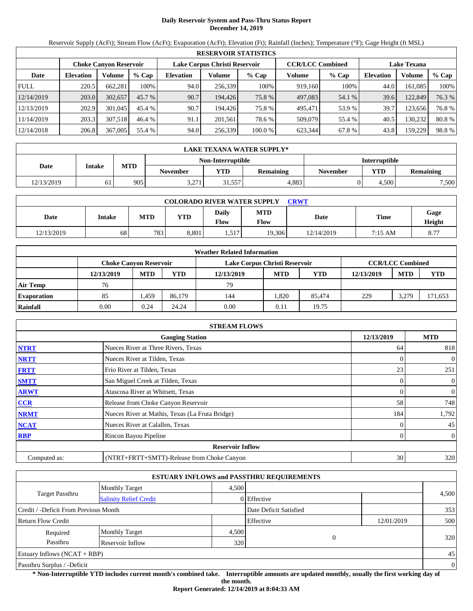# **Daily Reservoir System and Pass-Thru Status Report December 14, 2019**

Reservoir Supply (AcFt); Stream Flow (AcFt); Evaporation (AcFt); Elevation (Ft); Rainfall (Inches); Temperature (°F); Gage Height (ft MSL)

|             | <b>RESERVOIR STATISTICS</b> |                               |          |                               |         |         |                         |         |                    |         |        |  |  |
|-------------|-----------------------------|-------------------------------|----------|-------------------------------|---------|---------|-------------------------|---------|--------------------|---------|--------|--|--|
|             |                             | <b>Choke Canyon Reservoir</b> |          | Lake Corpus Christi Reservoir |         |         | <b>CCR/LCC Combined</b> |         | <b>Lake Texana</b> |         |        |  |  |
| Date        | <b>Elevation</b>            | Volume                        | $%$ Cap  | <b>Elevation</b>              | Volume  | $%$ Cap | Volume                  | $%$ Cap | <b>Elevation</b>   | Volume  | % Cap  |  |  |
| <b>FULL</b> | 220.5                       | 662.281                       | 100%     | 94.0                          | 256.339 | 100%    | 919.160                 | 100%    | 44.0               | 161.085 | 100%   |  |  |
| 12/14/2019  | 203.0                       | 302,657                       | $45.7\%$ | 90.7                          | 194.426 | 75.8 %  | 497,083                 | 54.1 %  | 39.6               | 122,849 | 76.3 % |  |  |
| 12/13/2019  | 202.9                       | 301,045                       | 45.4 %   | 90.7                          | 194.426 | 75.8 %  | 495.471                 | 53.9 %  | 39.7               | 123.656 | 76.8%  |  |  |
| 11/14/2019  | 203.3                       | 307.518                       | 46.4 %   | 91.1                          | 201.561 | 78.6 %  | 509,079                 | 55.4 %  | 40.5               | 130.232 | 80.8%  |  |  |
| 12/14/2018  | 206.8                       | 367,005                       | 55.4 %   | 94.0                          | 256,339 | 100.0 % | 623.344                 | 67.8 %  | 43.8               | 159,229 | 98.8%  |  |  |

|            | LAKE TEXANA WATER SUPPLY* |                                           |                 |            |           |                 |            |                  |  |  |  |
|------------|---------------------------|-------------------------------------------|-----------------|------------|-----------|-----------------|------------|------------------|--|--|--|
|            |                           | <b>Interruptible</b><br>Non-Interruptible |                 |            |           |                 |            |                  |  |  |  |
| Date       | <b>Intake</b>             | <b>MTD</b>                                | <b>November</b> | <b>YTD</b> | Remaining | <b>November</b> | <b>YTD</b> | <b>Remaining</b> |  |  |  |
| 12/13/2019 | 61                        | 905                                       | 2.271<br>3.211  | 31,557     | 4.883     |                 | 4.500      | 7,500            |  |  |  |

| <b>COLORADO RIVER WATER SUPPLY</b><br>CRWT |               |            |            |               |                    |            |         |                       |  |  |  |
|--------------------------------------------|---------------|------------|------------|---------------|--------------------|------------|---------|-----------------------|--|--|--|
| Date                                       | <b>Intake</b> | <b>MTD</b> | <b>YTD</b> | Daily<br>Flow | <b>MTD</b><br>Flow | Date       | Time    | Gage<br><b>Height</b> |  |  |  |
| 12/13/2019                                 | 68            | 783        | 8,801      | 517<br>1.J.L  | 19.306             | 12/14/2019 | 7:15 AM | 8.77                  |  |  |  |

|                    | <b>Weather Related Information</b> |            |        |                               |            |            |            |                         |            |  |  |  |
|--------------------|------------------------------------|------------|--------|-------------------------------|------------|------------|------------|-------------------------|------------|--|--|--|
|                    | <b>Choke Canvon Reservoir</b>      |            |        | Lake Corpus Christi Reservoir |            |            |            | <b>CCR/LCC Combined</b> |            |  |  |  |
|                    | 12/13/2019                         | <b>MTD</b> | YTD    | 12/13/2019                    | <b>MTD</b> | <b>YTD</b> | 12/13/2019 | <b>MTD</b>              | <b>YTD</b> |  |  |  |
| <b>Air Temp</b>    | 76                                 |            |        | 79                            |            |            |            |                         |            |  |  |  |
| <b>Evaporation</b> | 85                                 | .459       | 86.179 | 144                           | .820       | 85.474     | 229        | 3.279                   | 171,653    |  |  |  |
| Rainfall           | 0.00                               | 0.24       | 24.24  | 0.00                          | 0.11       | 19.75      |            |                         |            |  |  |  |

|              | <b>STREAM FLOWS</b>                             |            |                |
|--------------|-------------------------------------------------|------------|----------------|
|              | <b>Gauging Station</b>                          | 12/13/2019 | <b>MTD</b>     |
| <b>NTRT</b>  | Nueces River at Three Rivers, Texas             | 64         | 818            |
| <b>NRTT</b>  | Nueces River at Tilden, Texas                   | 0          | $\overline{0}$ |
| <b>FRTT</b>  | Frio River at Tilden, Texas                     | 23         | 251            |
| <b>SMTT</b>  | San Miguel Creek at Tilden, Texas               | 0          | $\overline{0}$ |
| <b>ARWT</b>  | Atascosa River at Whitsett, Texas               | 0          | $\overline{0}$ |
| CCR          | Release from Choke Canyon Reservoir             | 58         | 748            |
| <b>NRMT</b>  | Nueces River at Mathis, Texas (La Fruta Bridge) | 184        | 1,792          |
| <b>NCAT</b>  | Nueces River at Calallen, Texas                 |            | 45             |
| <b>RBP</b>   | Rincon Bayou Pipeline                           | 0          | $\overline{0}$ |
|              | <b>Reservoir Inflow</b>                         |            |                |
| Computed as: | (NTRT+FRTT+SMTT)-Release from Choke Canyon      | 30         | 320            |

|                                       |                               |       | <b>ESTUARY INFLOWS and PASSTHRU REQUIREMENTS</b> |            |                |
|---------------------------------------|-------------------------------|-------|--------------------------------------------------|------------|----------------|
|                                       | Monthly Target                | 4.500 |                                                  |            |                |
| <b>Target Passthru</b>                | <b>Salinity Relief Credit</b> |       | 0 Effective                                      |            | 4,500          |
| Credit / -Deficit From Previous Month |                               |       | Date Deficit Satisfied                           |            | 353            |
| <b>Return Flow Credit</b>             |                               |       | Effective                                        | 12/01/2019 | 500            |
| Required                              | <b>Monthly Target</b>         | 4,500 |                                                  |            |                |
| Passthru                              | Reservoir Inflow              | 320   | $\Omega$                                         |            | 320            |
| Estuary Inflows $(NCAT + RBP)$        |                               |       |                                                  |            | 45             |
| Passthru Surplus / -Deficit           |                               |       |                                                  |            | $\overline{0}$ |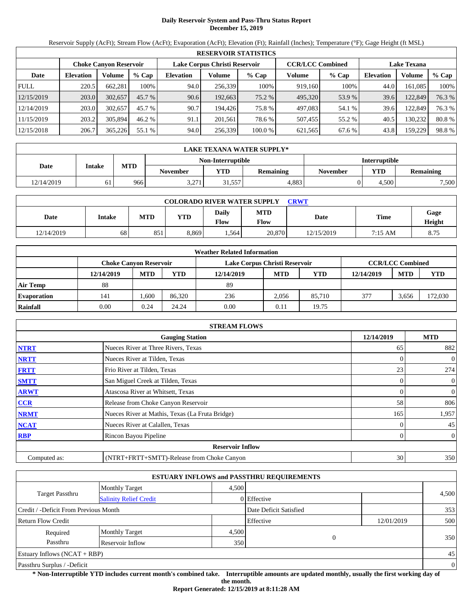# **Daily Reservoir System and Pass-Thru Status Report December 15, 2019**

Reservoir Supply (AcFt); Stream Flow (AcFt); Evaporation (AcFt); Elevation (Ft); Rainfall (Inches); Temperature (°F); Gage Height (ft MSL)

|             | <b>RESERVOIR STATISTICS</b> |                               |          |                  |                               |         |                         |         |                    |         |        |  |  |
|-------------|-----------------------------|-------------------------------|----------|------------------|-------------------------------|---------|-------------------------|---------|--------------------|---------|--------|--|--|
|             |                             | <b>Choke Canyon Reservoir</b> |          |                  | Lake Corpus Christi Reservoir |         | <b>CCR/LCC Combined</b> |         | <b>Lake Texana</b> |         |        |  |  |
| Date        | <b>Elevation</b>            | Volume                        | $%$ Cap  | <b>Elevation</b> | Volume                        | $%$ Cap | Volume                  | $%$ Cap | <b>Elevation</b>   | Volume  | % Cap  |  |  |
| <b>FULL</b> | 220.5                       | 662.281                       | 100%     | 94.0             | 256,339                       | 100%    | 919.160                 | 100%    | 44.0               | 161.085 | 100%   |  |  |
| 12/15/2019  | 203.0                       | 302,657                       | $45.7\%$ | 90.6             | 192,663                       | 75.2 %  | 495,320                 | 53.9%   | 39.6               | 122,849 | 76.3 % |  |  |
| 12/14/2019  | 203.0                       | 302,657                       | 45.7 %   | 90.7             | 194.426                       | 75.8 %  | 497,083                 | 54.1 %  | 39.6               | 122,849 | 76.3 % |  |  |
| 11/15/2019  | 203.2                       | 305,894                       | 46.2 %   | 91.1             | 201.561                       | 78.6 %  | 507,455                 | 55.2 %  | 40.5               | 130.232 | 80.8%  |  |  |
| 12/15/2018  | 206.7                       | 365,226                       | 55.1 %   | 94.0             | 256,339                       | 100.0 % | 621,565                 | 67.6 %  | 43.8               | 159.229 | 98.8%  |  |  |

|            | <b>LAKE TEXANA WATER SUPPLY*</b> |            |                 |                   |                  |                      |       |           |  |  |  |  |
|------------|----------------------------------|------------|-----------------|-------------------|------------------|----------------------|-------|-----------|--|--|--|--|
|            |                                  |            |                 | Non-Interruptible |                  | <b>Interruptible</b> |       |           |  |  |  |  |
| Date       | <b>Intake</b>                    | <b>MTD</b> | <b>November</b> | <b>YTD</b>        | <b>Remaining</b> | November             | YTD   | Remaining |  |  |  |  |
| 12/14/2019 |                                  | 966        | 3,271           | 31,557            | 4.883            |                      | 4.500 | 7,500     |  |  |  |  |

| <b>COLORADO RIVER WATER SUPPLY</b><br><b>CRWT</b> |        |            |            |               |                    |            |             |                |  |  |  |
|---------------------------------------------------|--------|------------|------------|---------------|--------------------|------------|-------------|----------------|--|--|--|
| Date                                              | Intake | <b>MTD</b> | <b>YTD</b> | Daily<br>Flow | <b>MTD</b><br>Flow | Date       | <b>Time</b> | Gage<br>Height |  |  |  |
| 12/14/2019                                        | 68     | 851        | 8,869      | .564          | 20,870             | 12/15/2019 | 7:15 AM     | 8.75           |  |  |  |

|                    | <b>Weather Related Information</b> |                               |        |                               |            |            |            |                         |            |  |  |  |
|--------------------|------------------------------------|-------------------------------|--------|-------------------------------|------------|------------|------------|-------------------------|------------|--|--|--|
|                    |                                    | <b>Choke Canvon Reservoir</b> |        | Lake Corpus Christi Reservoir |            |            |            | <b>CCR/LCC Combined</b> |            |  |  |  |
|                    | 12/14/2019                         | <b>MTD</b>                    | YTD    | 12/14/2019                    | <b>MTD</b> | <b>YTD</b> | 12/14/2019 | <b>MTD</b>              | <b>YTD</b> |  |  |  |
| <b>Air Temp</b>    | 88                                 |                               |        | 89                            |            |            |            |                         |            |  |  |  |
| <b>Evaporation</b> | 141                                | .600                          | 86.320 | 236                           | 2.056      | 85,710     | 377        | 3.656                   | 172,030    |  |  |  |
| Rainfall           | 0.00                               | 0.24                          | 24.24  | 0.00                          | 0.11       | 19.75      |            |                         |            |  |  |  |

|              | <b>STREAM FLOWS</b>                             |            |                |
|--------------|-------------------------------------------------|------------|----------------|
|              | <b>Gauging Station</b>                          | 12/14/2019 | <b>MTD</b>     |
| <b>NTRT</b>  | Nueces River at Three Rivers, Texas             | 65         | 882            |
| <b>NRTT</b>  | Nueces River at Tilden, Texas                   | $\Omega$   | $\overline{0}$ |
| <b>FRTT</b>  | Frio River at Tilden, Texas                     | 23         | 274            |
| <b>SMTT</b>  | San Miguel Creek at Tilden, Texas               | $\Omega$   | $\overline{0}$ |
| <b>ARWT</b>  | Atascosa River at Whitsett, Texas               | $\Omega$   | $\mathbf{0}$   |
| <b>CCR</b>   | Release from Choke Canyon Reservoir             | 58         | 806            |
| <b>NRMT</b>  | Nueces River at Mathis, Texas (La Fruta Bridge) | 165        | 1,957          |
| <b>NCAT</b>  | Nueces River at Calallen, Texas                 |            | 45             |
| <b>RBP</b>   | Rincon Bayou Pipeline                           | $\Omega$   | $\overline{0}$ |
|              | <b>Reservoir Inflow</b>                         |            |                |
| Computed as: | (NTRT+FRTT+SMTT)-Release from Choke Canyon      | 30         | 350            |

|                                       |                               |       | <b>ESTUARY INFLOWS and PASSTHRU REQUIREMENTS</b> |            |                |
|---------------------------------------|-------------------------------|-------|--------------------------------------------------|------------|----------------|
|                                       | <b>Monthly Target</b>         | 4.500 |                                                  |            |                |
| Target Passthru                       | <b>Salinity Relief Credit</b> |       | 0 Effective                                      |            | 4,500          |
| Credit / -Deficit From Previous Month |                               |       | Date Deficit Satisfied                           |            | 353            |
| <b>Return Flow Credit</b>             |                               |       | Effective                                        | 12/01/2019 | 500            |
| Required                              | <b>Monthly Target</b>         | 4,500 |                                                  |            |                |
| Passthru                              | Reservoir Inflow              | 350   |                                                  | 0          | 350            |
| <b>Estuary Inflows (NCAT + RBP)</b>   |                               |       |                                                  |            | 45             |
| Passthru Surplus / -Deficit           |                               |       |                                                  |            | $\overline{0}$ |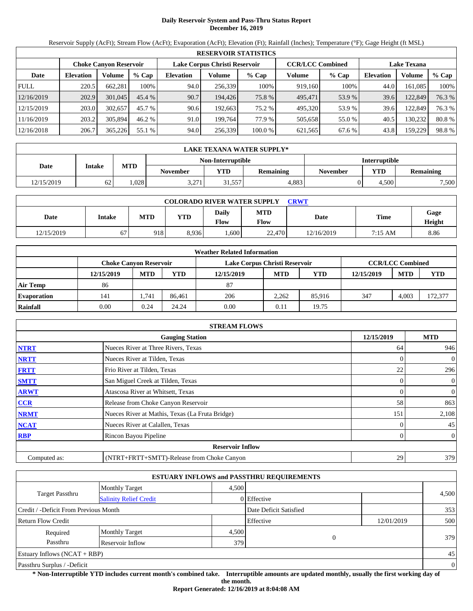# **Daily Reservoir System and Pass-Thru Status Report December 16, 2019**

Reservoir Supply (AcFt); Stream Flow (AcFt); Evaporation (AcFt); Elevation (Ft); Rainfall (Inches); Temperature (°F); Gage Height (ft MSL)

|             | <b>RESERVOIR STATISTICS</b> |                               |         |                               |         |         |                         |         |                    |         |        |  |  |
|-------------|-----------------------------|-------------------------------|---------|-------------------------------|---------|---------|-------------------------|---------|--------------------|---------|--------|--|--|
|             |                             | <b>Choke Canyon Reservoir</b> |         | Lake Corpus Christi Reservoir |         |         | <b>CCR/LCC Combined</b> |         | <b>Lake Texana</b> |         |        |  |  |
| Date        | <b>Elevation</b>            | Volume                        | $%$ Cap | <b>Elevation</b>              | Volume  | $%$ Cap | Volume                  | $%$ Cap | <b>Elevation</b>   | Volume  | % Cap  |  |  |
| <b>FULL</b> | 220.5                       | 662.281                       | 100%    | 94.0                          | 256.339 | 100%    | 919.160                 | 100%    | 44.0               | 161.085 | 100%   |  |  |
| 12/16/2019  | 202.9                       | 301,045                       | 45.4%   | 90.7                          | 194.426 | 75.8 %  | 495.471                 | 53.9 %  | 39.6               | 122,849 | 76.3 % |  |  |
| 12/15/2019  | 203.0                       | 302,657                       | 45.7 %  | 90.6                          | 192.663 | 75.2 %  | 495.320                 | 53.9 %  | 39.6               | 122,849 | 76.3 % |  |  |
| 11/16/2019  | 203.2                       | 305,894                       | 46.2 %  | 91.0                          | 199.764 | 77.9 %  | 505.658                 | 55.0 %  | 40.5               | 130.232 | 80.8%  |  |  |
| 12/16/2018  | 206.7                       | 365,226                       | 55.1 %  | 94.0                          | 256,339 | 100.0 % | 621,565                 | 67.6 %  | 43.8               | 159,229 | 98.8%  |  |  |

|            | LAKE TEXANA WATER SUPPLY* |            |                 |                   |                  |                      |            |                  |  |  |  |
|------------|---------------------------|------------|-----------------|-------------------|------------------|----------------------|------------|------------------|--|--|--|
|            |                           |            |                 | Non-Interruptible |                  | <b>Interruptible</b> |            |                  |  |  |  |
| Date       | <b>Intake</b>             | <b>MTD</b> | <b>November</b> | VTD               | <b>Remaining</b> | November             | <b>YTD</b> | <b>Remaining</b> |  |  |  |
| 12/15/2019 | 52                        | .028       | 3,271           | 1,557             | 4.883            |                      | 4.500      | 7,500            |  |  |  |

| <b>COLORADO RIVER WATER SUPPLY</b><br>CRWT |               |            |            |               |                    |            |         |                       |  |  |  |
|--------------------------------------------|---------------|------------|------------|---------------|--------------------|------------|---------|-----------------------|--|--|--|
| Date                                       | <b>Intake</b> | <b>MTD</b> | <b>YTD</b> | Daily<br>Flow | <b>MTD</b><br>Flow | Date       | Time    | Gage<br><b>Height</b> |  |  |  |
| 12/15/2019                                 | 67            | 918        | 8,936      | .600          | 22,470             | 12/16/2019 | 7:15 AM | 8.86                  |  |  |  |

|                    | <b>Weather Related Information</b> |            |        |                               |            |        |            |                         |         |  |  |
|--------------------|------------------------------------|------------|--------|-------------------------------|------------|--------|------------|-------------------------|---------|--|--|
|                    | <b>Choke Canvon Reservoir</b>      |            |        | Lake Corpus Christi Reservoir |            |        |            | <b>CCR/LCC Combined</b> |         |  |  |
|                    | 12/15/2019                         | <b>MTD</b> | YTD    | 12/15/2019                    | <b>MTD</b> | YTD    | 12/15/2019 | <b>MTD</b>              | YTD     |  |  |
| <b>Air Temp</b>    | 86                                 |            |        | 87                            |            |        |            |                         |         |  |  |
| <b>Evaporation</b> | 141                                | 1,741      | 86.461 | 206                           | 2.262      | 85.916 | 347        | 4.003                   | 172,377 |  |  |
| Rainfall           | 0.00                               | 0.24       | 24.24  | 0.00                          | 0.11       | 19.75  |            |                         |         |  |  |

|              | <b>STREAM FLOWS</b>                             |            |                |
|--------------|-------------------------------------------------|------------|----------------|
|              | <b>Gauging Station</b>                          | 12/15/2019 | <b>MTD</b>     |
| <b>NTRT</b>  | Nueces River at Three Rivers, Texas             | 64         | 946            |
| <b>NRTT</b>  | Nueces River at Tilden, Texas                   | 0          | $\overline{0}$ |
| <b>FRTT</b>  | Frio River at Tilden, Texas                     | 22         | 296            |
| <b>SMTT</b>  | San Miguel Creek at Tilden, Texas               | 0          | $\overline{0}$ |
| <b>ARWT</b>  | Atascosa River at Whitsett, Texas               | 0          | $\overline{0}$ |
| CCR          | Release from Choke Canyon Reservoir             | 58         | 863            |
| <b>NRMT</b>  | Nueces River at Mathis, Texas (La Fruta Bridge) | 151        | 2,108          |
| <b>NCAT</b>  | Nueces River at Calallen, Texas                 |            | 45             |
| <b>RBP</b>   | Rincon Bayou Pipeline                           | 0          | $\overline{0}$ |
|              | <b>Reservoir Inflow</b>                         |            |                |
| Computed as: | (NTRT+FRTT+SMTT)-Release from Choke Canyon      | 29         | 379            |

|                                       |                               |       | <b>ESTUARY INFLOWS and PASSTHRU REQUIREMENTS</b> |            |                |
|---------------------------------------|-------------------------------|-------|--------------------------------------------------|------------|----------------|
|                                       | Monthly Target                | 4.500 |                                                  |            |                |
| <b>Target Passthru</b>                | <b>Salinity Relief Credit</b> |       | 0 Effective                                      |            | 4,500          |
| Credit / -Deficit From Previous Month |                               |       | Date Deficit Satisfied                           |            | 353            |
| <b>Return Flow Credit</b>             |                               |       | Effective                                        | 12/01/2019 | 500            |
| Required                              | <b>Monthly Target</b>         | 4,500 |                                                  |            |                |
| Passthru                              | Reservoir Inflow              | 379   | $\Omega$                                         |            | 379            |
| Estuary Inflows $(NCAT + RBP)$        |                               |       |                                                  |            | 45             |
| Passthru Surplus / -Deficit           |                               |       |                                                  |            | $\overline{0}$ |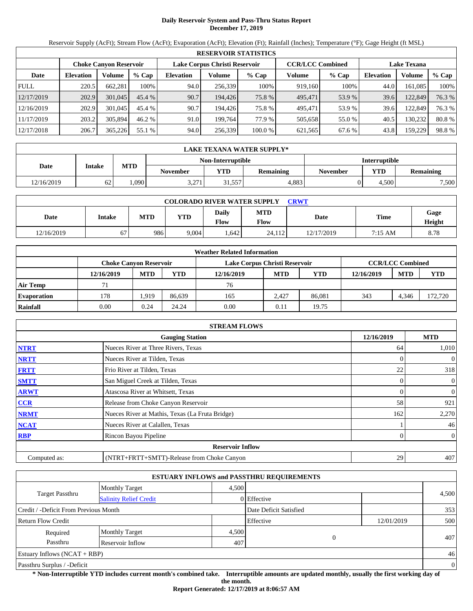# **Daily Reservoir System and Pass-Thru Status Report December 17, 2019**

Reservoir Supply (AcFt); Stream Flow (AcFt); Evaporation (AcFt); Elevation (Ft); Rainfall (Inches); Temperature (°F); Gage Height (ft MSL)

|             | <b>RESERVOIR STATISTICS</b> |                               |         |                  |                               |         |                         |        |                    |         |        |  |  |
|-------------|-----------------------------|-------------------------------|---------|------------------|-------------------------------|---------|-------------------------|--------|--------------------|---------|--------|--|--|
|             |                             | <b>Choke Canyon Reservoir</b> |         |                  | Lake Corpus Christi Reservoir |         | <b>CCR/LCC Combined</b> |        | <b>Lake Texana</b> |         |        |  |  |
| Date        | <b>Elevation</b>            | Volume                        | $%$ Cap | <b>Elevation</b> | Volume                        | $%$ Cap | Volume                  | % Cap  | <b>Elevation</b>   | Volume  | % Cap  |  |  |
| <b>FULL</b> | 220.5                       | 662,281                       | 100%    | 94.0             | 256.339                       | 100%    | 919,160                 | 100%   | 44.0               | 161,085 | 100%   |  |  |
| 12/17/2019  | 202.9                       | 301,045                       | 45.4 %  | 90.7             | 194.426                       | 75.8 %  | 495,471                 | 53.9 % | 39.6               | 122,849 | 76.3 % |  |  |
| 12/16/2019  | 202.9                       | 301,045                       | 45.4 %  | 90.7             | 194.426                       | 75.8%   | 495,471                 | 53.9 % | 39.6               | 122,849 | 76.3 % |  |  |
| 11/17/2019  | 203.2                       | 305,894                       | 46.2 %  | 91.0             | 199.764                       | 77.9 %  | 505.658                 | 55.0 % | 40.5               | 130.232 | 80.8%  |  |  |
| 12/17/2018  | 206.7                       | 365,226                       | 55.1 %  | 94.0             | 256,339                       | 100.0 % | 621,565                 | 67.6 % | 43.8               | 159.229 | 98.8%  |  |  |

|            | LAKE TEXANA WATER SUPPLY* |            |          |                   |           |                      |       |           |  |  |  |  |
|------------|---------------------------|------------|----------|-------------------|-----------|----------------------|-------|-----------|--|--|--|--|
|            |                           |            |          | Non-Interruptible |           | <b>Interruptible</b> |       |           |  |  |  |  |
| Date       | <b>Intake</b>             | <b>MTD</b> | November | YTD               | Remaining | <b>November</b>      | YTD   | Remaining |  |  |  |  |
| 12/16/2019 | 62                        | .090       | 3.271    | 31.557            | 4.883     |                      | 4.500 | 7,500     |  |  |  |  |

| <b>COLORADO RIVER WATER SUPPLY</b><br><b>CRWT</b> |        |            |            |               |                    |            |             |                |  |  |  |
|---------------------------------------------------|--------|------------|------------|---------------|--------------------|------------|-------------|----------------|--|--|--|
| Date                                              | Intake | <b>MTD</b> | <b>YTD</b> | Daily<br>Flow | <b>MTD</b><br>Flow | Date       | <b>Time</b> | Gage<br>Height |  |  |  |
| 12/16/2019                                        | 67     | 986        | 9,004      | .642          | 24,112             | 12/17/2019 | 7:15 AM     | 8.78           |  |  |  |

|                    |            |                               |        | <b>Weather Related Information</b> |            |            |            |                         |            |
|--------------------|------------|-------------------------------|--------|------------------------------------|------------|------------|------------|-------------------------|------------|
|                    |            | <b>Choke Canvon Reservoir</b> |        | Lake Corpus Christi Reservoir      |            |            |            | <b>CCR/LCC Combined</b> |            |
|                    | 12/16/2019 | <b>MTD</b>                    | YTD    | 12/16/2019                         | <b>MTD</b> | <b>YTD</b> | 12/16/2019 | <b>MTD</b>              | <b>YTD</b> |
| <b>Air Temp</b>    | 71         |                               |        | 76                                 |            |            |            |                         |            |
| <b>Evaporation</b> | 178        | .919                          | 86.639 | 165                                | 2.427      | 86,081     | 343        | 4.346                   | 172.720    |
| Rainfall           | 0.00       | 0.24                          | 24.24  | 0.00                               | 0.11       | 19.75      |            |                         |            |

|              | <b>STREAM FLOWS</b>                             |            |                |
|--------------|-------------------------------------------------|------------|----------------|
|              | <b>Gauging Station</b>                          | 12/16/2019 | <b>MTD</b>     |
| <b>NTRT</b>  | Nueces River at Three Rivers, Texas             | 64         | 1,010          |
| <b>NRTT</b>  | Nueces River at Tilden, Texas                   |            | $\overline{0}$ |
| <b>FRTT</b>  | Frio River at Tilden, Texas                     | 22         | 318            |
| <b>SMTT</b>  | San Miguel Creek at Tilden, Texas               | 0          | $\overline{0}$ |
| <b>ARWT</b>  | Atascosa River at Whitsett, Texas               | 0          | $\overline{0}$ |
| CCR          | Release from Choke Canyon Reservoir             | 58         | 921            |
| <b>NRMT</b>  | Nueces River at Mathis, Texas (La Fruta Bridge) | 162        | 2,270          |
| <b>NCAT</b>  | Nueces River at Calallen, Texas                 |            | 46             |
| <b>RBP</b>   | Rincon Bayou Pipeline                           | 0          | $\overline{0}$ |
|              | <b>Reservoir Inflow</b>                         |            |                |
| Computed as: | (NTRT+FRTT+SMTT)-Release from Choke Canyon      | 29         | 407            |

|                                       |                               |       | <b>ESTUARY INFLOWS and PASSTHRU REQUIREMENTS</b> |            |                |
|---------------------------------------|-------------------------------|-------|--------------------------------------------------|------------|----------------|
|                                       | Monthly Target                | 4.500 |                                                  |            |                |
| <b>Target Passthru</b>                | <b>Salinity Relief Credit</b> |       | 0 Effective                                      |            | 4,500          |
| Credit / -Deficit From Previous Month |                               |       | Date Deficit Satisfied                           |            | 353            |
| <b>Return Flow Credit</b>             |                               |       | Effective                                        | 12/01/2019 | 500            |
| Required                              | <b>Monthly Target</b>         | 4,500 |                                                  |            |                |
| Passthru                              | Reservoir Inflow              | 407   |                                                  | $\Omega$   | 407            |
| Estuary Inflows $(NCAT + RBP)$        |                               |       |                                                  |            | 46             |
| Passthru Surplus / -Deficit           |                               |       |                                                  |            | $\overline{0}$ |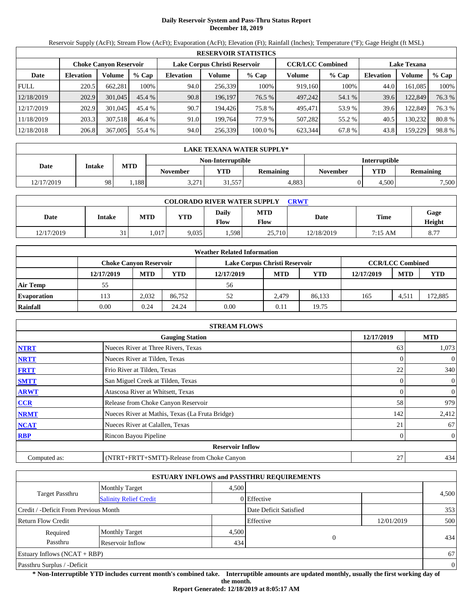# **Daily Reservoir System and Pass-Thru Status Report December 18, 2019**

Reservoir Supply (AcFt); Stream Flow (AcFt); Evaporation (AcFt); Elevation (Ft); Rainfall (Inches); Temperature (°F); Gage Height (ft MSL)

|             | <b>RESERVOIR STATISTICS</b> |                               |         |                  |                               |         |                         |         |                    |         |        |  |  |
|-------------|-----------------------------|-------------------------------|---------|------------------|-------------------------------|---------|-------------------------|---------|--------------------|---------|--------|--|--|
|             |                             | <b>Choke Canyon Reservoir</b> |         |                  | Lake Corpus Christi Reservoir |         | <b>CCR/LCC Combined</b> |         | <b>Lake Texana</b> |         |        |  |  |
| Date        | <b>Elevation</b>            | Volume                        | $%$ Cap | <b>Elevation</b> | Volume                        | $%$ Cap | Volume                  | $%$ Cap | <b>Elevation</b>   | Volume  | % Cap  |  |  |
| <b>FULL</b> | 220.5                       | 662.281                       | 100%    | 94.0             | 256,339                       | 100%    | 919,160                 | 100%    | 44.0               | 161.085 | 100%   |  |  |
| 12/18/2019  | 202.9                       | 301,045                       | 45.4%   | 90.8             | 196,197                       | 76.5 %  | 497,242                 | 54.1 %  | 39.6               | 122,849 | 76.3 % |  |  |
| 12/17/2019  | 202.9                       | 301,045                       | 45.4 %  | 90.7             | 194.426                       | 75.8 %  | 495.471                 | 53.9 %  | 39.6               | 122,849 | 76.3 % |  |  |
| 11/18/2019  | 203.3                       | 307.518                       | 46.4 %  | 91.0             | 199.764                       | 77.9 %  | 507.282                 | 55.2 %  | 40.5               | 130.232 | 80.8%  |  |  |
| 12/18/2018  | 206.8                       | 367,005                       | 55.4 %  | 94.0             | 256,339                       | 100.0 % | 623.344                 | 67.8 %  | 43.8               | 159,229 | 98.8%  |  |  |

|            | <b>LAKE TEXANA WATER SUPPLY*</b> |            |          |                   |           |                      |            |                  |  |  |  |
|------------|----------------------------------|------------|----------|-------------------|-----------|----------------------|------------|------------------|--|--|--|
|            |                                  |            |          | Non-Interruptible |           | <b>Interruptible</b> |            |                  |  |  |  |
| Date       | <b>Intake</b>                    | <b>MTD</b> | November | YTD               | Remaining | <b>November</b>      | <b>YTD</b> | <b>Remaining</b> |  |  |  |
| 12/17/2019 | 98                               | .188       | 3,271    | 0.557             | 4.883     |                      | 4.500      | 7,500            |  |  |  |

| <b>COLORADO RIVER WATER SUPPLY</b><br>CRWT |        |            |            |                      |                    |            |             |                       |  |  |  |
|--------------------------------------------|--------|------------|------------|----------------------|--------------------|------------|-------------|-----------------------|--|--|--|
| Date                                       | Intake | <b>MTD</b> | <b>YTD</b> | Daily<br><b>Flow</b> | <b>MTD</b><br>Flow | Date       | <b>Time</b> | Gage<br><b>Height</b> |  |  |  |
| 12/17/2019                                 | 31     | .017       | 9.035      | 1,598                | 25,710             | 12/18/2019 | 7:15 AM     | 8.77                  |  |  |  |

|                    |                               |            |        | <b>Weather Related Information</b> |            |            |            |                         |         |
|--------------------|-------------------------------|------------|--------|------------------------------------|------------|------------|------------|-------------------------|---------|
|                    | <b>Choke Canvon Reservoir</b> |            |        | Lake Corpus Christi Reservoir      |            |            |            | <b>CCR/LCC Combined</b> |         |
|                    | 12/17/2019                    | <b>MTD</b> | YTD    | 12/17/2019                         | <b>MTD</b> | <b>YTD</b> | 12/17/2019 | <b>MTD</b>              | YTD     |
| <b>Air Temp</b>    | 55                            |            |        | 56                                 |            |            |            |                         |         |
| <b>Evaporation</b> | 113                           | 2,032      | 86.752 | 52                                 | 2.479      | 86,133     | 165        | 4.511                   | 172,885 |
| Rainfall           | 0.00                          | 0.24       | 24.24  | 0.00                               | 0.11       | 19.75      |            |                         |         |

|              | <b>STREAM FLOWS</b>                             |            |                |
|--------------|-------------------------------------------------|------------|----------------|
|              | <b>Gauging Station</b>                          | 12/17/2019 | <b>MTD</b>     |
| <b>NTRT</b>  | Nueces River at Three Rivers, Texas             | 63         | 1,073          |
| <b>NRTT</b>  | Nueces River at Tilden, Texas                   |            | $\overline{0}$ |
| <b>FRTT</b>  | Frio River at Tilden, Texas                     | 22         | 340            |
| <b>SMTT</b>  | San Miguel Creek at Tilden, Texas               | 0          | $\overline{0}$ |
| <b>ARWT</b>  | Atascosa River at Whitsett, Texas               | 0          | $\overline{0}$ |
| <b>CCR</b>   | Release from Choke Canyon Reservoir             | 58         | 979            |
| <b>NRMT</b>  | Nueces River at Mathis, Texas (La Fruta Bridge) | 142        | 2,412          |
| <b>NCAT</b>  | Nueces River at Calallen, Texas                 | 21         | 67             |
| <b>RBP</b>   | Rincon Bayou Pipeline                           | 0          | $\overline{0}$ |
|              | <b>Reservoir Inflow</b>                         |            |                |
| Computed as: | (NTRT+FRTT+SMTT)-Release from Choke Canyon      | 27         | 434            |

|                                       |                               |       | <b>ESTUARY INFLOWS and PASSTHRU REQUIREMENTS</b> |            |                |
|---------------------------------------|-------------------------------|-------|--------------------------------------------------|------------|----------------|
|                                       | <b>Monthly Target</b>         | 4.500 |                                                  |            |                |
| <b>Target Passthru</b>                | <b>Salinity Relief Credit</b> |       | 0 Effective                                      |            | 4,500          |
| Credit / -Deficit From Previous Month |                               |       | Date Deficit Satisfied                           |            | 353            |
| <b>Return Flow Credit</b>             |                               |       | Effective                                        | 12/01/2019 | 500            |
| Required                              | <b>Monthly Target</b>         | 4,500 |                                                  |            |                |
| Passthru                              | Reservoir Inflow              | 434   |                                                  | 0          | 434            |
| Estuary Inflows $(NCAT + RBP)$        |                               |       |                                                  |            | 67             |
| Passthru Surplus / -Deficit           |                               |       |                                                  |            | $\overline{0}$ |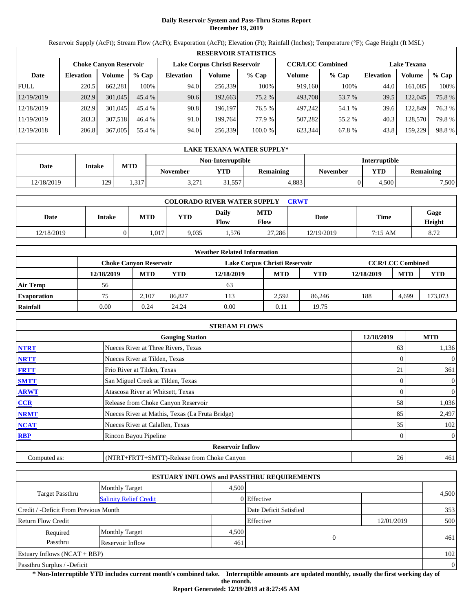# **Daily Reservoir System and Pass-Thru Status Report December 19, 2019**

Reservoir Supply (AcFt); Stream Flow (AcFt); Evaporation (AcFt); Elevation (Ft); Rainfall (Inches); Temperature (°F); Gage Height (ft MSL)

|             | <b>RESERVOIR STATISTICS</b> |                               |         |                  |                                                          |         |         |                    |                  |         |        |  |  |
|-------------|-----------------------------|-------------------------------|---------|------------------|----------------------------------------------------------|---------|---------|--------------------|------------------|---------|--------|--|--|
|             |                             | <b>Choke Canyon Reservoir</b> |         |                  | <b>CCR/LCC Combined</b><br>Lake Corpus Christi Reservoir |         |         | <b>Lake Texana</b> |                  |         |        |  |  |
| Date        | <b>Elevation</b>            | Volume                        | $%$ Cap | <b>Elevation</b> | Volume                                                   | $%$ Cap | Volume  | $%$ Cap            | <b>Elevation</b> | Volume  | % Cap  |  |  |
| <b>FULL</b> | 220.5                       | 662.281                       | 100%    | 94.0             | 256,339                                                  | 100%    | 919,160 | 100%               | 44.0             | 161.085 | 100%   |  |  |
| 12/19/2019  | 202.9                       | 301,045                       | 45.4%   | 90.6             | 192,663                                                  | 75.2 %  | 493,708 | 53.7 %             | 39.5             | 122,045 | 75.8%  |  |  |
| 12/18/2019  | 202.9                       | 301,045                       | 45.4 %  | 90.8             | 196.197                                                  | 76.5 %  | 497.242 | 54.1 %             | 39.6             | 122,849 | 76.3 % |  |  |
| 11/19/2019  | 203.3                       | 307.518                       | 46.4 %  | 91.0             | 199.764                                                  | 77.9 %  | 507.282 | 55.2 %             | 40.3             | 128,570 | 79.8%  |  |  |
| 12/19/2018  | 206.8                       | 367,005                       | 55.4 %  | 94.0             | 256,339                                                  | 100.0 % | 623.344 | 67.8 %             | 43.8             | 159.229 | 98.8%  |  |  |

|            | LAKE TEXANA WATER SUPPLY* |            |                 |                   |                  |                      |            |                  |  |  |  |
|------------|---------------------------|------------|-----------------|-------------------|------------------|----------------------|------------|------------------|--|--|--|
|            |                           |            |                 | Non-Interruptible |                  | <b>Interruptible</b> |            |                  |  |  |  |
| Date       | <b>Intake</b>             | <b>MTD</b> | <b>November</b> | YTD               | <b>Remaining</b> | <b>November</b>      | <b>YTD</b> | <b>Remaining</b> |  |  |  |
| 12/18/2019 | 129                       | 1,317      | 3,271           | 31,557            | 4.883            |                      | 4.500      | 7,500            |  |  |  |

| <b>COLORADO RIVER WATER SUPPLY</b><br>CRWT |        |            |            |                      |             |            |             |                       |  |  |  |
|--------------------------------------------|--------|------------|------------|----------------------|-------------|------------|-------------|-----------------------|--|--|--|
| Date                                       | Intake | <b>MTD</b> | <b>YTD</b> | Daily<br><b>Flow</b> | MTD<br>Flow | Date       | <b>Time</b> | Gage<br><b>Height</b> |  |  |  |
| 12/18/2019                                 |        | .017       | 9.035      | 1,576                | 27,286      | 12/19/2019 | 7:15 AM     | 8.72                  |  |  |  |

|                    |                               |            |        | <b>Weather Related Information</b> |            |            |            |                         |            |
|--------------------|-------------------------------|------------|--------|------------------------------------|------------|------------|------------|-------------------------|------------|
|                    | <b>Choke Canvon Reservoir</b> |            |        | Lake Corpus Christi Reservoir      |            |            |            | <b>CCR/LCC Combined</b> |            |
|                    | 12/18/2019                    | <b>MTD</b> | YTD    | 12/18/2019                         | <b>MTD</b> | <b>YTD</b> | 12/18/2019 | <b>MTD</b>              | <b>YTD</b> |
| <b>Air Temp</b>    | 56                            |            |        | 63                                 |            |            |            |                         |            |
| <b>Evaporation</b> | 75                            | 2.107      | 86,827 | 113                                | 2.592      | 86.246     | 188        | 4,699                   | 173,073    |
| Rainfall           | 0.00                          | 0.24       | 24.24  | 0.00                               | 0.11       | 19.75      |            |                         |            |

|              | <b>STREAM FLOWS</b>                             |            |                |
|--------------|-------------------------------------------------|------------|----------------|
|              | <b>Gauging Station</b>                          | 12/18/2019 | <b>MTD</b>     |
| <b>NTRT</b>  | Nueces River at Three Rivers, Texas             | 63         | 1,136          |
| <b>NRTT</b>  | Nueces River at Tilden, Texas                   |            | $\overline{0}$ |
| <b>FRTT</b>  | Frio River at Tilden, Texas                     | 21         | 361            |
| <b>SMTT</b>  | San Miguel Creek at Tilden, Texas               | 0          | $\overline{0}$ |
| <b>ARWT</b>  | Atascosa River at Whitsett, Texas               | 0          | $\overline{0}$ |
| <b>CCR</b>   | Release from Choke Canyon Reservoir             | 58         | 1,036          |
| <b>NRMT</b>  | Nueces River at Mathis, Texas (La Fruta Bridge) | 85         | 2,497          |
| <b>NCAT</b>  | Nueces River at Calallen, Texas                 | 35         | 102            |
| <b>RBP</b>   | Rincon Bayou Pipeline                           | 0          | $\overline{0}$ |
|              | <b>Reservoir Inflow</b>                         |            |                |
| Computed as: | (NTRT+FRTT+SMTT)-Release from Choke Canyon      | 26         | 461            |

|                                       |                               |       | <b>ESTUARY INFLOWS and PASSTHRU REQUIREMENTS</b> |            |                |
|---------------------------------------|-------------------------------|-------|--------------------------------------------------|------------|----------------|
|                                       | <b>Monthly Target</b>         | 4.500 |                                                  |            |                |
| <b>Target Passthru</b>                | <b>Salinity Relief Credit</b> |       | 0 Effective                                      |            | 4,500          |
| Credit / -Deficit From Previous Month |                               |       | Date Deficit Satisfied                           |            | 353            |
| <b>Return Flow Credit</b>             |                               |       | Effective                                        | 12/01/2019 | 500            |
| Required                              | <b>Monthly Target</b>         | 4,500 |                                                  |            |                |
| Passthru                              | Reservoir Inflow              | 461   |                                                  | 0          | 461            |
| Estuary Inflows $(NCAT + RBP)$        |                               |       |                                                  |            | 102            |
| Passthru Surplus / -Deficit           |                               |       |                                                  |            | $\overline{0}$ |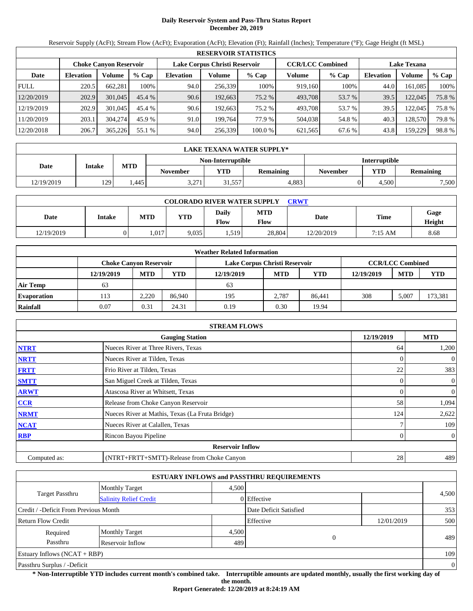# **Daily Reservoir System and Pass-Thru Status Report December 20, 2019**

Reservoir Supply (AcFt); Stream Flow (AcFt); Evaporation (AcFt); Elevation (Ft); Rainfall (Inches); Temperature (°F); Gage Height (ft MSL)

|             | <b>RESERVOIR STATISTICS</b> |                               |         |                               |         |         |                         |        |                    |         |       |  |
|-------------|-----------------------------|-------------------------------|---------|-------------------------------|---------|---------|-------------------------|--------|--------------------|---------|-------|--|
|             |                             | <b>Choke Canyon Reservoir</b> |         | Lake Corpus Christi Reservoir |         |         | <b>CCR/LCC Combined</b> |        | <b>Lake Texana</b> |         |       |  |
| Date        | <b>Elevation</b>            | Volume                        | $%$ Cap | <b>Elevation</b>              | Volume  | $%$ Cap | Volume                  | % Cap  | <b>Elevation</b>   | Volume  | % Cap |  |
| <b>FULL</b> | 220.5                       | 662,281                       | 100%    | 94.0                          | 256.339 | 100%    | 919,160                 | 100%   | 44.0               | 161,085 | 100%  |  |
| 12/20/2019  | 202.9                       | 301,045                       | 45.4 %  | 90.6                          | 192,663 | 75.2 %  | 493,708                 | 53.7 % | 39.5               | 122,045 | 75.8% |  |
| 12/19/2019  | 202.9                       | 301,045                       | 45.4 %  | 90.6                          | 192.663 | 75.2 %  | 493.708                 | 53.7 % | 39.5               | 122,045 | 75.8% |  |
| 11/20/2019  | 203.1                       | 304,274                       | 45.9 %  | 91.0                          | 199.764 | 77.9 %  | 504.038                 | 54.8%  | 40.3               | 128,570 | 79.8% |  |
| 12/20/2018  | 206.7                       | 365,226                       | 55.1 %  | 94.0                          | 256,339 | 100.0 % | 621,565                 | 67.6 % | 43.8               | 159.229 | 98.8% |  |

|            | LAKE TEXANA WATER SUPPLY* |            |                 |                   |                  |                      |            |                  |  |  |  |
|------------|---------------------------|------------|-----------------|-------------------|------------------|----------------------|------------|------------------|--|--|--|
|            |                           |            |                 | Non-Interruptible |                  | <b>Interruptible</b> |            |                  |  |  |  |
| Date       | <b>Intake</b>             | <b>MTD</b> | <b>November</b> | VTD               | <b>Remaining</b> | November             | <b>YTD</b> | <b>Remaining</b> |  |  |  |
| 12/19/2019 | 129                       | .445       | 3,271           | 1,557             | 4.883            |                      | 4.500      | 7,500            |  |  |  |

| <b>COLORADO RIVER WATER SUPPLY</b><br>CRWT |        |            |            |                      |             |            |             |                       |  |  |  |
|--------------------------------------------|--------|------------|------------|----------------------|-------------|------------|-------------|-----------------------|--|--|--|
| Date                                       | Intake | <b>MTD</b> | <b>YTD</b> | Daily<br><b>Flow</b> | MTD<br>Flow | Date       | <b>Time</b> | Gage<br><b>Height</b> |  |  |  |
| 12/19/2019                                 |        | .017       | 9.035      | 1,519                | 28,804      | 12/20/2019 | 7:15 AM     | 8.68                  |  |  |  |

|                    |                               |            |        | <b>Weather Related Information</b> |            |        |            |                         |         |
|--------------------|-------------------------------|------------|--------|------------------------------------|------------|--------|------------|-------------------------|---------|
|                    | <b>Choke Canvon Reservoir</b> |            |        | Lake Corpus Christi Reservoir      |            |        |            | <b>CCR/LCC Combined</b> |         |
|                    | 12/19/2019                    | <b>MTD</b> | YTD    | 12/19/2019                         | <b>MTD</b> | YTD    | 12/19/2019 | <b>MTD</b>              | YTD     |
| <b>Air Temp</b>    | 63                            |            |        | 63                                 |            |        |            |                         |         |
| <b>Evaporation</b> | . 13                          | 2,220      | 86,940 | 195                                | 2.787      | 86.441 | 308        | 5.007                   | 173,381 |
| Rainfall           | 0.07                          | 0.31       | 24.31  | 0.19                               | 0.30       | 19.94  |            |                         |         |

|              | <b>STREAM FLOWS</b>                             |                |                |
|--------------|-------------------------------------------------|----------------|----------------|
|              | <b>Gauging Station</b>                          | 12/19/2019     | <b>MTD</b>     |
| <b>NTRT</b>  | Nueces River at Three Rivers, Texas             | 64             | 1,200          |
| <b>NRTT</b>  | Nueces River at Tilden, Texas                   |                | $\overline{0}$ |
| <b>FRTT</b>  | Frio River at Tilden, Texas                     | 22             | 383            |
| <b>SMTT</b>  | San Miguel Creek at Tilden, Texas               | 0              | $\overline{0}$ |
| <b>ARWT</b>  | Atascosa River at Whitsett, Texas               | $\overline{0}$ | $\overline{0}$ |
| CCR          | Release from Choke Canyon Reservoir             | 58             | 1,094          |
| <b>NRMT</b>  | Nueces River at Mathis, Texas (La Fruta Bridge) | 124            | 2,622          |
| <b>NCAT</b>  | Nueces River at Calallen, Texas                 |                | 109            |
| <b>RBP</b>   | Rincon Bayou Pipeline                           | 0              | $\overline{0}$ |
|              | <b>Reservoir Inflow</b>                         |                |                |
| Computed as: | (NTRT+FRTT+SMTT)-Release from Choke Canyon      | 28             | 489            |

|                                       |                               |       | <b>ESTUARY INFLOWS and PASSTHRU REQUIREMENTS</b> |            |                |
|---------------------------------------|-------------------------------|-------|--------------------------------------------------|------------|----------------|
|                                       | <b>Monthly Target</b>         | 4.500 |                                                  |            |                |
| <b>Target Passthru</b>                | <b>Salinity Relief Credit</b> |       | 0 Effective                                      |            | 4,500          |
| Credit / -Deficit From Previous Month |                               |       | Date Deficit Satisfied                           |            | 353            |
| <b>Return Flow Credit</b>             |                               |       | Effective                                        | 12/01/2019 | 500            |
| Required                              | <b>Monthly Target</b>         | 4,500 |                                                  |            |                |
| Passthru                              | Reservoir Inflow              | 489   | $\overline{0}$                                   |            | 489            |
| Estuary Inflows $(NCAT + RBP)$        |                               |       |                                                  |            | 109            |
| Passthru Surplus / -Deficit           |                               |       |                                                  |            | $\overline{0}$ |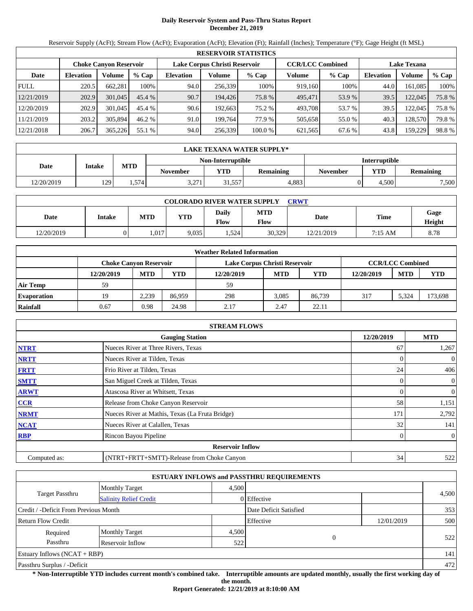# **Daily Reservoir System and Pass-Thru Status Report December 21, 2019**

Reservoir Supply (AcFt); Stream Flow (AcFt); Evaporation (AcFt); Elevation (Ft); Rainfall (Inches); Temperature (°F); Gage Height (ft MSL)

|             |                               |         |         |                  |                               | <b>RESERVOIR STATISTICS</b> |         |                         |                    |         |       |
|-------------|-------------------------------|---------|---------|------------------|-------------------------------|-----------------------------|---------|-------------------------|--------------------|---------|-------|
|             | <b>Choke Canyon Reservoir</b> |         |         |                  | Lake Corpus Christi Reservoir |                             |         | <b>CCR/LCC Combined</b> | <b>Lake Texana</b> |         |       |
| Date        | <b>Elevation</b>              | Volume  | $%$ Cap | <b>Elevation</b> | Volume                        | $%$ Cap                     | Volume  | $%$ Cap                 | <b>Elevation</b>   | Volume  | % Cap |
| <b>FULL</b> | 220.5                         | 662.281 | 100%    | 94.0             | 256,339                       | 100%                        | 919,160 | 100%                    | 44.0               | 161.085 | 100%  |
| 12/21/2019  | 202.9                         | 301,045 | 45.4%   | 90.7             | 194,426                       | 75.8 %                      | 495,471 | 53.9 %                  | 39.5               | 122,045 | 75.8% |
| 12/20/2019  | 202.9                         | 301,045 | 45.4 %  | 90.6             | 192.663                       | 75.2 %                      | 493.708 | 53.7 %                  | 39.5               | 122,045 | 75.8% |
| 11/21/2019  | 203.2                         | 305,894 | 46.2 %  | 91.0             | 199.764                       | 77.9 %                      | 505,658 | 55.0 %                  | 40.3               | 128,570 | 79.8% |
| 12/21/2018  | 206.7                         | 365,226 | 55.1 %  | 94.0             | 256,339                       | 100.0 %                     | 621,565 | 67.6 %                  | 43.8               | 159.229 | 98.8% |

|            | LAKE TEXANA WATER SUPPLY* |            |                 |                   |                  |          |                      |                  |  |
|------------|---------------------------|------------|-----------------|-------------------|------------------|----------|----------------------|------------------|--|
|            |                           |            |                 | Non-Interruptible |                  |          | <b>Interruptible</b> |                  |  |
| Date       | <b>Intake</b>             | <b>MTD</b> | <b>November</b> | VTD               | <b>Remaining</b> | November | <b>YTD</b>           | <b>Remaining</b> |  |
| 12/20/2019 | 129                       | 1.574      | 3,271           | 31,557            | 4.883            |          | 4.500                | 7,500            |  |

| <b>COLORADO RIVER WATER SUPPLY</b><br>CRWT |        |            |            |                      |             |            |             |                       |  |  |
|--------------------------------------------|--------|------------|------------|----------------------|-------------|------------|-------------|-----------------------|--|--|
| Date                                       | Intake | <b>MTD</b> | <b>YTD</b> | Daily<br><b>Flow</b> | MTD<br>Flow | Date       | <b>Time</b> | Gage<br><b>Height</b> |  |  |
| 12/20/2019                                 |        | .017       | 9.035      | . . 524              | 30,329      | 12/21/2019 | 7:15 AM     | 8.78                  |  |  |

|                    |                               |            |        | <b>Weather Related Information</b> |            |        |            |                         |         |
|--------------------|-------------------------------|------------|--------|------------------------------------|------------|--------|------------|-------------------------|---------|
|                    | <b>Choke Canvon Reservoir</b> |            |        | Lake Corpus Christi Reservoir      |            |        |            | <b>CCR/LCC Combined</b> |         |
|                    | 12/20/2019                    | <b>MTD</b> | YTD    | 12/20/2019                         | <b>MTD</b> | YTD    | 12/20/2019 | <b>MTD</b>              | YTD     |
| <b>Air Temp</b>    | 59                            |            |        | 59                                 |            |        |            |                         |         |
| <b>Evaporation</b> | 19                            | 2.239      | 86.959 | 298                                | 3.085      | 86.739 | 317        | 5.324                   | 173,698 |
| Rainfall           | 0.67                          | 0.98       | 24.98  | 2.17                               | 2.47       | 22.11  |            |                         |         |

|              | <b>STREAM FLOWS</b>                             |            |                |
|--------------|-------------------------------------------------|------------|----------------|
|              | <b>Gauging Station</b>                          | 12/20/2019 | <b>MTD</b>     |
| <b>NTRT</b>  | Nueces River at Three Rivers, Texas             | 67         | 1,267          |
| <b>NRTT</b>  | Nueces River at Tilden, Texas                   |            | $\overline{0}$ |
| <b>FRTT</b>  | Frio River at Tilden, Texas                     | 24         | 406            |
| <b>SMTT</b>  | San Miguel Creek at Tilden, Texas               | 0          | $\overline{0}$ |
| <b>ARWT</b>  | Atascosa River at Whitsett, Texas               | 0          | $\overline{0}$ |
| CCR          | Release from Choke Canyon Reservoir             | 58         | 1,151          |
| <b>NRMT</b>  | Nueces River at Mathis, Texas (La Fruta Bridge) | 171        | 2,792          |
| <b>NCAT</b>  | Nueces River at Calallen, Texas                 | 32         | 141            |
| <b>RBP</b>   | Rincon Bayou Pipeline                           | 0          | $\overline{0}$ |
|              | <b>Reservoir Inflow</b>                         |            |                |
| Computed as: | (NTRT+FRTT+SMTT)-Release from Choke Canyon      | 34         | 522            |

|                                       |                               |       | <b>ESTUARY INFLOWS and PASSTHRU REQUIREMENTS</b> |            |       |
|---------------------------------------|-------------------------------|-------|--------------------------------------------------|------------|-------|
|                                       | <b>Monthly Target</b>         | 4.500 |                                                  |            |       |
| <b>Target Passthru</b>                | <b>Salinity Relief Credit</b> |       | 0 Effective                                      |            | 4,500 |
| Credit / -Deficit From Previous Month |                               |       | Date Deficit Satisfied                           |            | 353   |
| <b>Return Flow Credit</b>             |                               |       | Effective                                        | 12/01/2019 | 500   |
| Required                              | <b>Monthly Target</b>         | 4,500 |                                                  |            |       |
| Passthru                              | Reservoir Inflow              | 522   | $\mathbf{0}$                                     |            | 522   |
| Estuary Inflows $(NCAT + RBP)$        |                               |       |                                                  |            | 141   |
| Passthru Surplus / -Deficit           |                               |       |                                                  |            | 472   |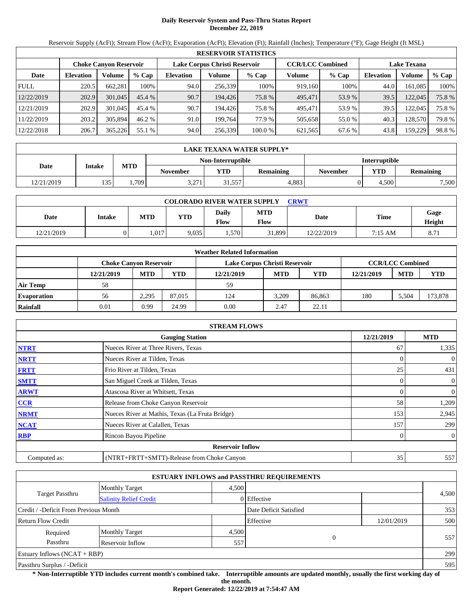# **Daily Reservoir System and Pass-Thru Status Report December 22, 2019**

Reservoir Supply (AcFt); Stream Flow (AcFt); Evaporation (AcFt); Elevation (Ft); Rainfall (Inches); Temperature (°F); Gage Height (ft MSL)

|             |                  |                               |         |                               |         | <b>RESERVOIR STATISTICS</b> |                         |         |                    |         |       |
|-------------|------------------|-------------------------------|---------|-------------------------------|---------|-----------------------------|-------------------------|---------|--------------------|---------|-------|
|             |                  | <b>Choke Canyon Reservoir</b> |         | Lake Corpus Christi Reservoir |         |                             | <b>CCR/LCC Combined</b> |         | <b>Lake Texana</b> |         |       |
| Date        | <b>Elevation</b> | Volume                        | $%$ Cap | <b>Elevation</b>              | Volume  | $%$ Cap                     | Volume                  | $%$ Cap | <b>Elevation</b>   | Volume  | % Cap |
| <b>FULL</b> | 220.5            | 662.281                       | 100%    | 94.0                          | 256,339 | 100%                        | 919,160                 | 100%    | 44.0               | 161.085 | 100%  |
| 12/22/2019  | 202.9            | 301,045                       | 45.4%   | 90.7                          | 194,426 | 75.8 %                      | 495,471                 | 53.9 %  | 39.5               | 122,045 | 75.8% |
| 12/21/2019  | 202.9            | 301,045                       | 45.4 %  | 90.7                          | 194.426 | 75.8 %                      | 495.471                 | 53.9 %  | 39.5               | 122,045 | 75.8% |
| 11/22/2019  | 203.2            | 305,894                       | 46.2 %  | 91.0                          | 199.764 | 77.9 %                      | 505,658                 | 55.0 %  | 40.3               | 128,570 | 79.8% |
| 12/22/2018  | 206.7            | 365,226                       | 55.1 %  | 94.0                          | 256,339 | 100.0 %                     | 621,565                 | 67.6 %  | 43.8               | 159.229 | 98.8% |

|            | LAKE TEXANA WATER SUPPLY* |            |                 |                   |                  |          |                      |                  |  |
|------------|---------------------------|------------|-----------------|-------------------|------------------|----------|----------------------|------------------|--|
|            |                           |            |                 | Non-Interruptible |                  |          | <b>Interruptible</b> |                  |  |
| Date       | <b>Intake</b>             | <b>MTD</b> | <b>November</b> | VTD               | <b>Remaining</b> | November | <b>YTD</b>           | <b>Remaining</b> |  |
| 12/21/2019 | 135                       | .709       | 3,271           | 1,557             | 4.883            |          | 4.500                | 7,500            |  |

| <b>COLORADO RIVER WATER SUPPLY</b><br>CRWT |        |            |            |                      |                    |            |             |                       |  |  |  |
|--------------------------------------------|--------|------------|------------|----------------------|--------------------|------------|-------------|-----------------------|--|--|--|
| Date                                       | Intake | <b>MTD</b> | <b>YTD</b> | Daily<br><b>Flow</b> | <b>MTD</b><br>Flow | Date       | <b>Time</b> | Gage<br><b>Height</b> |  |  |  |
| 12/21/2019                                 |        | .017       | 9.035      | 1,570                | 31,899             | 12/22/2019 | 7:15 AM     | 8.71                  |  |  |  |

|                    |                               |            |        | <b>Weather Related Information</b> |            |            |            |                         |         |
|--------------------|-------------------------------|------------|--------|------------------------------------|------------|------------|------------|-------------------------|---------|
|                    | <b>Choke Canvon Reservoir</b> |            |        | Lake Corpus Christi Reservoir      |            |            |            | <b>CCR/LCC Combined</b> |         |
|                    | 12/21/2019                    | <b>MTD</b> | YTD    | 12/21/2019                         | <b>MTD</b> | <b>YTD</b> | 12/21/2019 | <b>MTD</b>              | YTD     |
| <b>Air Temp</b>    | 58                            |            |        | 59                                 |            |            |            |                         |         |
| <b>Evaporation</b> | 56                            | 2.295      | 87.015 | 124                                | 3.209      | 86.863     | 180        | 5.504                   | 173,878 |
| Rainfall           | 0.01                          | 0.99       | 24.99  | 0.00                               | 2.47       | 22.11      |            |                         |         |

|              | <b>STREAM FLOWS</b>                             |                |                |
|--------------|-------------------------------------------------|----------------|----------------|
|              | <b>Gauging Station</b>                          | 12/21/2019     | <b>MTD</b>     |
| <b>NTRT</b>  | Nueces River at Three Rivers, Texas             | 67             | 1,335          |
| <b>NRTT</b>  | Nueces River at Tilden, Texas                   |                | $\overline{0}$ |
| <b>FRTT</b>  | Frio River at Tilden, Texas                     | 25             | 431            |
| <b>SMTT</b>  | San Miguel Creek at Tilden, Texas               | 0              | $\overline{0}$ |
| <b>ARWT</b>  | Atascosa River at Whitsett, Texas               | $\overline{0}$ | $\overline{0}$ |
| <b>CCR</b>   | Release from Choke Canyon Reservoir             | 58             | 1,209          |
| <b>NRMT</b>  | Nueces River at Mathis, Texas (La Fruta Bridge) | 153            | 2,945          |
| <b>NCAT</b>  | Nueces River at Calallen, Texas                 | 157            | 299            |
| <b>RBP</b>   | Rincon Bayou Pipeline                           | 0              | $\overline{0}$ |
|              | <b>Reservoir Inflow</b>                         |                |                |
| Computed as: | (NTRT+FRTT+SMTT)-Release from Choke Canyon      | 35             | 557            |

|                                                         |                       |       | <b>ESTUARY INFLOWS and PASSTHRU REQUIREMENTS</b> |            |       |
|---------------------------------------------------------|-----------------------|-------|--------------------------------------------------|------------|-------|
|                                                         | <b>Monthly Target</b> | 4.500 |                                                  |            |       |
| <b>Target Passthru</b><br><b>Salinity Relief Credit</b> |                       |       | 0 Effective                                      |            | 4,500 |
| Credit / -Deficit From Previous Month                   |                       |       | Date Deficit Satisfied                           |            | 353   |
| <b>Return Flow Credit</b>                               |                       |       | Effective                                        | 12/01/2019 | 500   |
| Required                                                | <b>Monthly Target</b> | 4,500 |                                                  |            |       |
| Passthru                                                | Reservoir Inflow      | 557   | $\theta$                                         |            | 557   |
| Estuary Inflows $(NCAT + RBP)$                          |                       |       |                                                  |            | 299   |
| Passthru Surplus / -Deficit                             |                       |       |                                                  |            | 595   |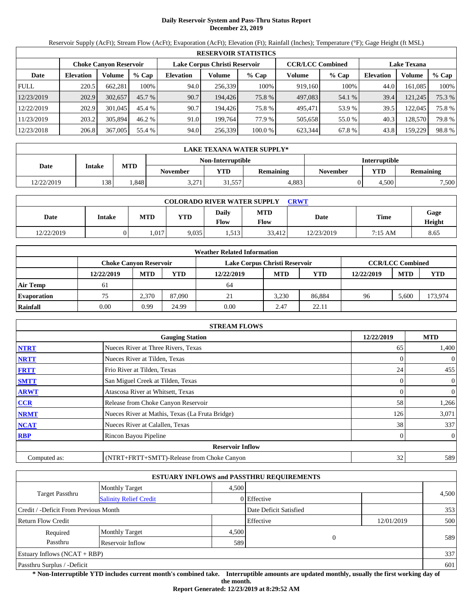# **Daily Reservoir System and Pass-Thru Status Report December 23, 2019**

Reservoir Supply (AcFt); Stream Flow (AcFt); Evaporation (AcFt); Elevation (Ft); Rainfall (Inches); Temperature (°F); Gage Height (ft MSL)

|             | <b>RESERVOIR STATISTICS</b>                                                               |         |          |                  |         |         |         |                    |                  |         |        |  |  |
|-------------|-------------------------------------------------------------------------------------------|---------|----------|------------------|---------|---------|---------|--------------------|------------------|---------|--------|--|--|
|             | <b>CCR/LCC Combined</b><br>Lake Corpus Christi Reservoir<br><b>Choke Canyon Reservoir</b> |         |          |                  |         |         |         | <b>Lake Texana</b> |                  |         |        |  |  |
| Date        | <b>Elevation</b>                                                                          | Volume  | $%$ Cap  | <b>Elevation</b> | Volume  | $%$ Cap | Volume  | $%$ Cap            | <b>Elevation</b> | Volume  | % Cap  |  |  |
| <b>FULL</b> | 220.5                                                                                     | 662.281 | 100%     | 94.0             | 256,339 | 100%    | 919.160 | 100%               | 44.0             | 161.085 | 100%   |  |  |
| 12/23/2019  | 202.9                                                                                     | 302,657 | $45.7\%$ | 90.7             | 194.426 | 75.8 %  | 497,083 | 54.1 %             | 39.4             | 121,245 | 75.3 % |  |  |
| 12/22/2019  | 202.9                                                                                     | 301,045 | 45.4 %   | 90.7             | 194.426 | 75.8 %  | 495.471 | 53.9 %             | 39.5             | 122.045 | 75.8 % |  |  |
| 11/23/2019  | 203.2                                                                                     | 305.894 | 46.2%    | 91.0             | 199.764 | 77.9 %  | 505,658 | 55.0 %             | 40.3             | 128.570 | 79.8%  |  |  |
| 12/23/2018  | 206.8                                                                                     | 367,005 | 55.4 %   | 94.0             | 256,339 | 100.0 % | 623.344 | 67.8%              | 43.8             | 159,229 | 98.8%  |  |  |

|            | LAKE TEXANA WATER SUPPLY* |            |                 |                   |                  |                      |            |                  |  |  |  |
|------------|---------------------------|------------|-----------------|-------------------|------------------|----------------------|------------|------------------|--|--|--|
|            |                           |            |                 | Non-Interruptible |                  | <b>Interruptible</b> |            |                  |  |  |  |
| Date       | <b>Intake</b>             | <b>MTD</b> | <b>November</b> | VTD               | <b>Remaining</b> | November             | <b>YTD</b> | <b>Remaining</b> |  |  |  |
| 12/22/2019 | 138                       | .848       | 3,271           | 1,557             | 4.883            |                      | 4.500      | 7,500            |  |  |  |

| <b>COLORADO RIVER WATER SUPPLY</b><br>CRWT |        |            |            |                      |                    |            |             |                       |  |  |  |
|--------------------------------------------|--------|------------|------------|----------------------|--------------------|------------|-------------|-----------------------|--|--|--|
| Date                                       | Intake | <b>MTD</b> | <b>YTD</b> | Daily<br><b>Flow</b> | <b>MTD</b><br>Flow | Date       | <b>Time</b> | Gage<br><b>Height</b> |  |  |  |
| 12/22/2019                                 |        | .017       | 9.035      | 513<br>ل 1 ب 1       | 33.412             | 12/23/2019 | 7:15 AM     | 8.65                  |  |  |  |

|                    |                               |            |        | <b>Weather Related Information</b> |            |            |            |                         |         |
|--------------------|-------------------------------|------------|--------|------------------------------------|------------|------------|------------|-------------------------|---------|
|                    | <b>Choke Canvon Reservoir</b> |            |        | Lake Corpus Christi Reservoir      |            |            |            | <b>CCR/LCC Combined</b> |         |
|                    | 12/22/2019                    | <b>MTD</b> | YTD    | 12/22/2019                         | <b>MTD</b> | <b>YTD</b> | 12/22/2019 | <b>MTD</b>              | YTD     |
| <b>Air Temp</b>    | 61                            |            |        | 64                                 |            |            |            |                         |         |
| <b>Evaporation</b> | 75                            | 2,370      | 87,090 | 21                                 | 3.230      | 86.884     | 96         | 5.600                   | 173,974 |
| Rainfall           | 0.00                          | 0.99       | 24.99  | 0.00                               | 2.47       | 22.11      |            |                         |         |

|              | <b>STREAM FLOWS</b>                             |                |                |
|--------------|-------------------------------------------------|----------------|----------------|
|              | <b>Gauging Station</b>                          | 12/22/2019     | <b>MTD</b>     |
| <b>NTRT</b>  | Nueces River at Three Rivers, Texas             | 65             | 1,400          |
| <b>NRTT</b>  | Nueces River at Tilden, Texas                   |                | $\overline{0}$ |
| <b>FRTT</b>  | Frio River at Tilden, Texas                     | 24             | 455            |
| <b>SMTT</b>  | San Miguel Creek at Tilden, Texas               | 0              | $\overline{0}$ |
| <b>ARWT</b>  | Atascosa River at Whitsett, Texas               | $\overline{0}$ | $\overline{0}$ |
| CCR          | Release from Choke Canyon Reservoir             | 58             | 1,266          |
| <b>NRMT</b>  | Nueces River at Mathis, Texas (La Fruta Bridge) | 126            | 3,071          |
| <b>NCAT</b>  | Nueces River at Calallen, Texas                 | 38             | 337            |
| <b>RBP</b>   | Rincon Bayou Pipeline                           | 0              | $\overline{0}$ |
|              | <b>Reservoir Inflow</b>                         |                |                |
| Computed as: | (NTRT+FRTT+SMTT)-Release from Choke Canyon      | 32             | 589            |

|                                       |                               |       | <b>ESTUARY INFLOWS and PASSTHRU REQUIREMENTS</b> |            |       |
|---------------------------------------|-------------------------------|-------|--------------------------------------------------|------------|-------|
|                                       | <b>Monthly Target</b>         | 4.500 |                                                  |            |       |
| <b>Target Passthru</b>                | <b>Salinity Relief Credit</b> |       | 0 Effective                                      |            | 4,500 |
| Credit / -Deficit From Previous Month |                               |       | Date Deficit Satisfied                           |            | 353   |
| <b>Return Flow Credit</b>             |                               |       | Effective                                        | 12/01/2019 | 500   |
| Required                              | <b>Monthly Target</b>         | 4,500 |                                                  |            |       |
| Passthru                              | Reservoir Inflow              | 589   | 0                                                |            | 589   |
| Estuary Inflows $(NCAT + RBP)$        |                               |       |                                                  |            | 337   |
| Passthru Surplus / -Deficit           |                               |       |                                                  |            | 601   |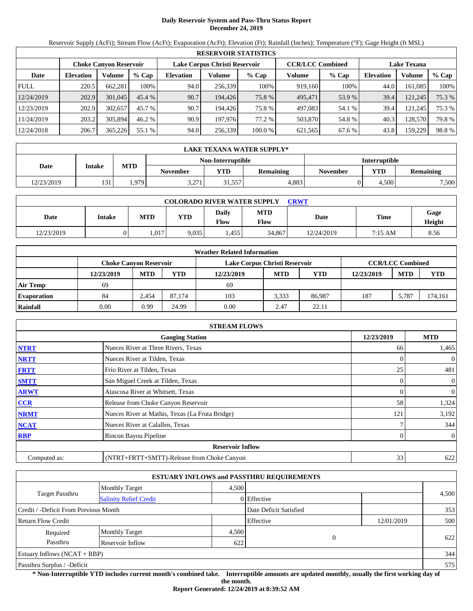# **Daily Reservoir System and Pass-Thru Status Report December 24, 2019**

Reservoir Supply (AcFt); Stream Flow (AcFt); Evaporation (AcFt); Elevation (Ft); Rainfall (Inches); Temperature (°F); Gage Height (ft MSL)

|             | <b>RESERVOIR STATISTICS</b>                                                               |         |         |                  |         |         |                    |         |                  |         |        |  |
|-------------|-------------------------------------------------------------------------------------------|---------|---------|------------------|---------|---------|--------------------|---------|------------------|---------|--------|--|
|             | <b>CCR/LCC Combined</b><br>Lake Corpus Christi Reservoir<br><b>Choke Canyon Reservoir</b> |         |         |                  |         |         | <b>Lake Texana</b> |         |                  |         |        |  |
| Date        | <b>Elevation</b>                                                                          | Volume  | $%$ Cap | <b>Elevation</b> | Volume  | $%$ Cap | Volume             | $%$ Cap | <b>Elevation</b> | Volume  | % Cap  |  |
| <b>FULL</b> | 220.5                                                                                     | 662.281 | 100%    | 94.0             | 256.339 | 100%    | 919.160            | 100%    | 44.0             | 161.085 | 100%   |  |
| 12/24/2019  | 202.9                                                                                     | 301,045 | 45.4%   | 90.7             | 194.426 | 75.8 %  | 495.471            | 53.9 %  | 39.4             | 121,245 | 75.3 % |  |
| 12/23/2019  | 202.9                                                                                     | 302,657 | 45.7 %  | 90.7             | 194.426 | 75.8 %  | 497,083            | 54.1 %  | 39.4             | 121.245 | 75.3 % |  |
| 11/24/2019  | 203.2                                                                                     | 305,894 | 46.2 %  | 90.9             | 197.976 | 77.2 %  | 503.870            | 54.8%   | 40.3             | 128,570 | 79.8%  |  |
| 12/24/2018  | 206.7                                                                                     | 365,226 | 55.1 %  | 94.0             | 256,339 | 100.0 % | 621,565            | 67.6 %  | 43.8             | 159,229 | 98.8%  |  |

|            | LAKE TEXANA WATER SUPPLY* |            |                 |                   |           |                 |                      |                  |  |  |  |
|------------|---------------------------|------------|-----------------|-------------------|-----------|-----------------|----------------------|------------------|--|--|--|
|            |                           |            |                 | Non-Interruptible |           |                 | <b>Interruptible</b> |                  |  |  |  |
| Date       | <b>Intake</b>             | <b>MTD</b> | <b>November</b> | YTD               | Remaining | <b>November</b> | <b>YTD</b>           | <b>Remaining</b> |  |  |  |
| 12/23/2019 | 131                       | .979       | 3,271           | 31,557            | 4.883     |                 | 4.500                | 7,500            |  |  |  |

| <b>COLORADO RIVER WATER SUPPLY</b><br>CRWT |        |            |            |                      |             |            |             |                       |  |  |  |
|--------------------------------------------|--------|------------|------------|----------------------|-------------|------------|-------------|-----------------------|--|--|--|
| Date                                       | Intake | <b>MTD</b> | <b>YTD</b> | Daily<br><b>Flow</b> | MTD<br>Flow | Date       | <b>Time</b> | Gage<br><b>Height</b> |  |  |  |
| 12/23/2019                                 |        | .017       | 9.035      | 1,455                | 34,867      | 12/24/2019 | 7:15 AM     | 8.56                  |  |  |  |

|                    |                               |            |        | <b>Weather Related Information</b> |            |            |            |                         |         |
|--------------------|-------------------------------|------------|--------|------------------------------------|------------|------------|------------|-------------------------|---------|
|                    | <b>Choke Canvon Reservoir</b> |            |        | Lake Corpus Christi Reservoir      |            |            |            | <b>CCR/LCC Combined</b> |         |
|                    | 12/23/2019                    | <b>MTD</b> | YTD    | 12/23/2019                         | <b>MTD</b> | <b>YTD</b> | 12/23/2019 | <b>MTD</b>              | YTD     |
| <b>Air Temp</b>    | 69                            |            |        | 69                                 |            |            |            |                         |         |
| <b>Evaporation</b> | 84                            | 2.454      | 87.174 | 103                                | 3.333      | 86.987     | 187        | 5.787                   | 174,161 |
| Rainfall           | 0.00                          | 0.99       | 24.99  | 0.00                               | 2.47       | 22.11      |            |                         |         |

|              | <b>STREAM FLOWS</b>                             |                |                |
|--------------|-------------------------------------------------|----------------|----------------|
|              | <b>Gauging Station</b>                          | 12/23/2019     | <b>MTD</b>     |
| <b>NTRT</b>  | Nueces River at Three Rivers, Texas             | 66             | 1,465          |
| <b>NRTT</b>  | Nueces River at Tilden, Texas                   |                | $\overline{0}$ |
| <b>FRTT</b>  | Frio River at Tilden, Texas                     | 25             | 481            |
| <b>SMTT</b>  | San Miguel Creek at Tilden, Texas               | 0              | $\overline{0}$ |
| <b>ARWT</b>  | Atascosa River at Whitsett, Texas               | $\overline{0}$ | $\overline{0}$ |
| CCR          | Release from Choke Canyon Reservoir             | 58             | 1,324          |
| <b>NRMT</b>  | Nueces River at Mathis, Texas (La Fruta Bridge) | 121            | 3,192          |
| <b>NCAT</b>  | Nueces River at Calallen, Texas                 |                | 344            |
| <b>RBP</b>   | Rincon Bayou Pipeline                           | 0              | $\overline{0}$ |
|              | <b>Reservoir Inflow</b>                         |                |                |
| Computed as: | (NTRT+FRTT+SMTT)-Release from Choke Canyon      | 33             | 622            |

|                                                         |                       |       | <b>ESTUARY INFLOWS and PASSTHRU REQUIREMENTS</b> |            |       |
|---------------------------------------------------------|-----------------------|-------|--------------------------------------------------|------------|-------|
|                                                         | <b>Monthly Target</b> | 4.500 |                                                  |            |       |
| <b>Target Passthru</b><br><b>Salinity Relief Credit</b> |                       |       | 0 Effective                                      |            | 4,500 |
| Credit / -Deficit From Previous Month                   |                       |       | Date Deficit Satisfied                           |            | 353   |
| <b>Return Flow Credit</b>                               |                       |       | Effective                                        | 12/01/2019 | 500   |
| Required                                                | <b>Monthly Target</b> | 4,500 |                                                  |            |       |
| Passthru                                                | Reservoir Inflow      | 622   | $\mathbf{0}$                                     |            | 622   |
| Estuary Inflows $(NCAT + RBP)$                          |                       |       |                                                  |            | 344   |
| Passthru Surplus / -Deficit                             |                       |       |                                                  |            | 575   |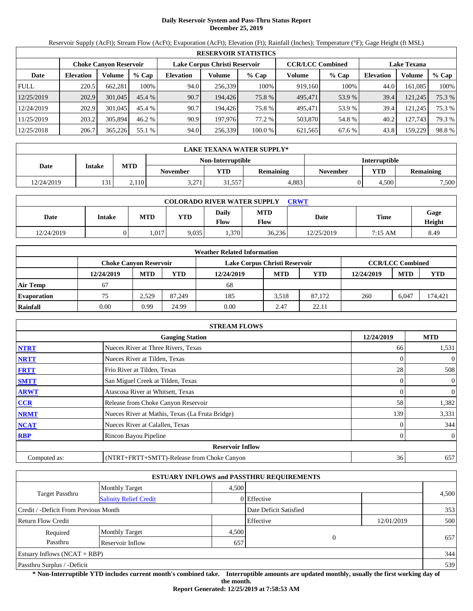# **Daily Reservoir System and Pass-Thru Status Report December 25, 2019**

Reservoir Supply (AcFt); Stream Flow (AcFt); Evaporation (AcFt); Elevation (Ft); Rainfall (Inches); Temperature (°F); Gage Height (ft MSL)

|             |                  |                               |         |                               |         | <b>RESERVOIR STATISTICS</b> |                         |         |                    |         |        |
|-------------|------------------|-------------------------------|---------|-------------------------------|---------|-----------------------------|-------------------------|---------|--------------------|---------|--------|
|             |                  | <b>Choke Canyon Reservoir</b> |         | Lake Corpus Christi Reservoir |         |                             | <b>CCR/LCC Combined</b> |         | <b>Lake Texana</b> |         |        |
| Date        | <b>Elevation</b> | Volume                        | $%$ Cap | <b>Elevation</b>              | Volume  | $%$ Cap                     | Volume                  | $%$ Cap | <b>Elevation</b>   | Volume  | % Cap  |
| <b>FULL</b> | 220.5            | 662.281                       | 100%    | 94.0                          | 256.339 | 100%                        | 919.160                 | 100%    | 44.0               | 161.085 | 100%   |
| 12/25/2019  | 202.9            | 301,045                       | 45.4%   | 90.7                          | 194.426 | 75.8 %                      | 495.471                 | 53.9 %  | 39.4               | 121,245 | 75.3 % |
| 12/24/2019  | 202.9            | 301,045                       | 45.4 %  | 90.7                          | 194.426 | 75.8 %                      | 495.471                 | 53.9 %  | 39.4               | 121.245 | 75.3 % |
| 11/25/2019  | 203.2            | 305,894                       | 46.2 %  | 90.9                          | 197.976 | 77.2 %                      | 503.870                 | 54.8%   | 40.2               | 127.743 | 79.3 % |
| 12/25/2018  | 206.7            | 365,226                       | 55.1 %  | 94.0                          | 256,339 | 100.0 %                     | 621,565                 | 67.6 %  | 43.8               | 159,229 | 98.8%  |

|            | LAKE TEXANA WATER SUPPLY* |            |                 |                   |                  |                      |            |                  |  |  |  |
|------------|---------------------------|------------|-----------------|-------------------|------------------|----------------------|------------|------------------|--|--|--|
|            |                           |            |                 | Non-Interruptible |                  | <b>Interruptible</b> |            |                  |  |  |  |
| Date       | <b>Intake</b>             | <b>MTD</b> | <b>November</b> | YTD               | <b>Remaining</b> | November             | <b>YTD</b> | <b>Remaining</b> |  |  |  |
| 12/24/2019 | 131                       | .110       | 3,271           | 1.557ء            | 4.883            |                      | 4.500      | 7,500            |  |  |  |

| <b>COLORADO RIVER WATER SUPPLY</b><br>CRWT |        |            |            |                      |             |            |             |                       |  |  |
|--------------------------------------------|--------|------------|------------|----------------------|-------------|------------|-------------|-----------------------|--|--|
| Date                                       | Intake | <b>MTD</b> | <b>YTD</b> | Daily<br><b>Flow</b> | MTD<br>Flow | Date       | <b>Time</b> | Gage<br><b>Height</b> |  |  |
| 12/24/2019                                 |        | .017       | 9.035      | 1,370                | 36,236      | 12/25/2019 | 7:15 AM     | 8.49                  |  |  |

|                    |                               |            |        | <b>Weather Related Information</b> |            |            |            |                         |            |
|--------------------|-------------------------------|------------|--------|------------------------------------|------------|------------|------------|-------------------------|------------|
|                    | <b>Choke Canvon Reservoir</b> |            |        | Lake Corpus Christi Reservoir      |            |            |            | <b>CCR/LCC Combined</b> |            |
|                    | 12/24/2019                    | <b>MTD</b> | YTD    | 12/24/2019                         | <b>MTD</b> | <b>YTD</b> | 12/24/2019 | <b>MTD</b>              | <b>YTD</b> |
| <b>Air Temp</b>    | 67                            |            |        | 68                                 |            |            |            |                         |            |
| <b>Evaporation</b> | 75                            | 2.529      | 87.249 | 185                                | 3.518      | 87.172     | 260        | 6.047                   | 174,421    |
| Rainfall           | 0.00                          | 0.99       | 24.99  | 0.00                               | 2.47       | 22.11      |            |                         |            |

|              | <b>STREAM FLOWS</b>                             |                |                |
|--------------|-------------------------------------------------|----------------|----------------|
|              | <b>Gauging Station</b>                          | 12/24/2019     | <b>MTD</b>     |
| <b>NTRT</b>  | Nueces River at Three Rivers, Texas             | 66             | 1,531          |
| <b>NRTT</b>  | Nueces River at Tilden, Texas                   |                | $\overline{0}$ |
| <b>FRTT</b>  | Frio River at Tilden, Texas                     | 28             | 508            |
| <b>SMTT</b>  | San Miguel Creek at Tilden, Texas               | 0              | $\overline{0}$ |
| <b>ARWT</b>  | Atascosa River at Whitsett, Texas               | $\overline{0}$ | $\overline{0}$ |
| CCR          | Release from Choke Canyon Reservoir             | 58             | 1,382          |
| <b>NRMT</b>  | Nueces River at Mathis, Texas (La Fruta Bridge) | 139            | 3,331          |
| <b>NCAT</b>  | Nueces River at Calallen, Texas                 |                | 344            |
| <b>RBP</b>   | Rincon Bayou Pipeline                           | 0              | $\overline{0}$ |
|              | <b>Reservoir Inflow</b>                         |                |                |
| Computed as: | (NTRT+FRTT+SMTT)-Release from Choke Canyon      | 36             | 657            |

|                                                         |                       |       | <b>ESTUARY INFLOWS and PASSTHRU REQUIREMENTS</b> |            |       |
|---------------------------------------------------------|-----------------------|-------|--------------------------------------------------|------------|-------|
|                                                         | <b>Monthly Target</b> | 4.500 |                                                  |            |       |
| <b>Target Passthru</b><br><b>Salinity Relief Credit</b> |                       |       | 0 Effective                                      |            | 4,500 |
| Credit / -Deficit From Previous Month                   |                       |       | Date Deficit Satisfied                           |            | 353   |
| <b>Return Flow Credit</b>                               |                       |       | Effective                                        | 12/01/2019 | 500   |
| Required                                                | <b>Monthly Target</b> | 4,500 |                                                  |            |       |
| Passthru                                                | Reservoir Inflow      | 657   | $\mathbf{0}$                                     |            | 657   |
| Estuary Inflows $(NCAT + RBP)$                          |                       |       |                                                  |            | 344   |
| Passthru Surplus / -Deficit                             |                       |       |                                                  |            | 539   |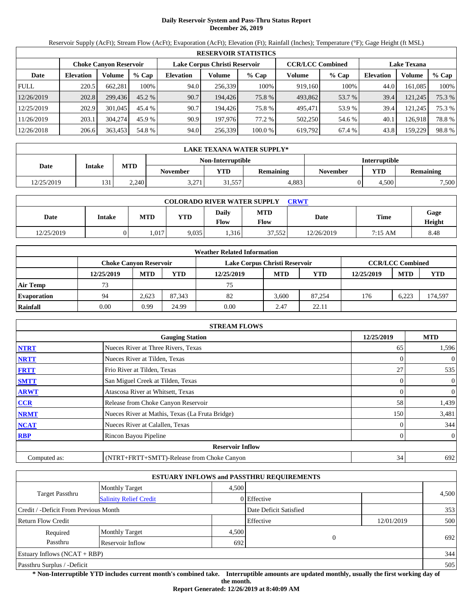# **Daily Reservoir System and Pass-Thru Status Report December 26, 2019**

Reservoir Supply (AcFt); Stream Flow (AcFt); Evaporation (AcFt); Elevation (Ft); Rainfall (Inches); Temperature (°F); Gage Height (ft MSL)

|             | <b>RESERVOIR STATISTICS</b> |                               |         |                               |         |         |                         |         |                    |         |        |  |
|-------------|-----------------------------|-------------------------------|---------|-------------------------------|---------|---------|-------------------------|---------|--------------------|---------|--------|--|
|             |                             | <b>Choke Canyon Reservoir</b> |         | Lake Corpus Christi Reservoir |         |         | <b>CCR/LCC Combined</b> |         | <b>Lake Texana</b> |         |        |  |
| Date        | <b>Elevation</b>            | Volume                        | $%$ Cap | <b>Elevation</b>              | Volume  | $%$ Cap | Volume                  | $%$ Cap | Elevation          | Volume  | % Cap  |  |
| <b>FULL</b> | 220.5                       | 662,281                       | 100%    | 94.0                          | 256,339 | 100%    | 919.160                 | 100%    | 44.0               | 161.085 | 100%   |  |
| 12/26/2019  | 202.8                       | 299,436                       | 45.2 %  | 90.7                          | 194.426 | 75.8 %  | 493,862                 | 53.7 %  | 39.4               | 121,245 | 75.3 % |  |
| 12/25/2019  | 202.9                       | 301,045                       | 45.4 %  | 90.7                          | 194.426 | 75.8%   | 495,471                 | 53.9 %  | 39.4               | 121.245 | 75.3 % |  |
| 11/26/2019  | 203.1                       | 304,274                       | 45.9 %  | 90.9                          | 197,976 | 77.2 %  | 502,250                 | 54.6 %  | 40.1               | 126.918 | 78.8%  |  |
| 12/26/2018  | 206.6                       | 363,453                       | 54.8 %  | 94.0                          | 256,339 | 100.0 % | 619,792                 | 67.4 %  | 43.8               | 159,229 | 98.8%  |  |

|            | LAKE TEXANA WATER SUPPLY* |            |                 |                   |                  |                      |            |                  |  |  |  |
|------------|---------------------------|------------|-----------------|-------------------|------------------|----------------------|------------|------------------|--|--|--|
|            |                           |            |                 | Non-Interruptible |                  | <b>Interruptible</b> |            |                  |  |  |  |
| Date       | <b>Intake</b>             | <b>MTD</b> | <b>November</b> | VTD               | <b>Remaining</b> | November             | <b>YTD</b> | <b>Remaining</b> |  |  |  |
| 12/25/2019 | 131                       | 2.240      | 3,271           | 1,557             | 4.883            |                      | 4.500      | 7,500            |  |  |  |

| <b>COLORADO RIVER WATER SUPPLY</b><br>CRWT |        |            |            |                      |             |            |             |                       |  |  |
|--------------------------------------------|--------|------------|------------|----------------------|-------------|------------|-------------|-----------------------|--|--|
| Date                                       | Intake | <b>MTD</b> | <b>YTD</b> | Daily<br><b>Flow</b> | MTD<br>Flow | Date       | <b>Time</b> | Gage<br><b>Height</b> |  |  |
| 12/25/2019                                 |        | .017       | 9.035      | 1,316                | 37,552      | 12/26/2019 | 7:15 AM     | 8.48                  |  |  |

|                    |            |                               |        | <b>Weather Related Information</b> |            |            |            |                         |            |
|--------------------|------------|-------------------------------|--------|------------------------------------|------------|------------|------------|-------------------------|------------|
|                    |            | <b>Choke Canvon Reservoir</b> |        | Lake Corpus Christi Reservoir      |            |            |            | <b>CCR/LCC Combined</b> |            |
|                    | 12/25/2019 | <b>MTD</b>                    | YTD    | 12/25/2019                         | <b>MTD</b> | <b>YTD</b> | 12/25/2019 | <b>MTD</b>              | <b>YTD</b> |
| <b>Air Temp</b>    | 73         |                               |        | 75                                 |            |            |            |                         |            |
| <b>Evaporation</b> | 94         | 2.623                         | 87.343 | 82                                 | 3.600      | 87.254     | 176        | 6.223                   | 174,597    |
| Rainfall           | 0.00       | 0.99                          | 24.99  | 0.00                               | 2.47       | 22.11      |            |                         |            |

|              | <b>STREAM FLOWS</b>                             |            |                  |
|--------------|-------------------------------------------------|------------|------------------|
|              | <b>Gauging Station</b>                          | 12/25/2019 | <b>MTD</b>       |
| <b>NTRT</b>  | Nueces River at Three Rivers, Texas             | 65         | 1,596            |
| <b>NRTT</b>  | Nueces River at Tilden, Texas                   |            | $\theta$         |
| <b>FRTT</b>  | Frio River at Tilden, Texas                     | 27         | 535              |
| <b>SMTT</b>  | San Miguel Creek at Tilden, Texas               |            | $\mathbf{0}$     |
| <b>ARWT</b>  | Atascosa River at Whitsett, Texas               |            | 0                |
| CCR          | Release from Choke Canyon Reservoir             | 58         | 1,439            |
| <b>NRMT</b>  | Nueces River at Mathis, Texas (La Fruta Bridge) | 150        | 3,481            |
| <b>NCAT</b>  | Nueces River at Calallen, Texas                 |            | 344              |
| <b>RBP</b>   | Rincon Bayou Pipeline                           |            | $\boldsymbol{0}$ |
|              | <b>Reservoir Inflow</b>                         |            |                  |
| Computed as: | (NTRT+FRTT+SMTT)-Release from Choke Canyon      | 34         | 692              |

|                                                  |                       |       | <b>ESTUARY INFLOWS and PASSTHRU REQUIREMENTS</b> |            |       |
|--------------------------------------------------|-----------------------|-------|--------------------------------------------------|------------|-------|
|                                                  | <b>Monthly Target</b> | 4.500 |                                                  |            |       |
| Target Passthru<br><b>Salinity Relief Credit</b> |                       |       | 0 Effective                                      |            | 4,500 |
| Credit / -Deficit From Previous Month            |                       |       | Date Deficit Satisfied                           |            | 353   |
| <b>Return Flow Credit</b>                        |                       |       | Effective                                        | 12/01/2019 | 500   |
| Required                                         | <b>Monthly Target</b> | 4,500 |                                                  |            |       |
| Passthru                                         | Reservoir Inflow      | 692   | 0                                                |            | 692   |
| Estuary Inflows $(NCAT + RBP)$                   |                       |       |                                                  |            | 344   |
| Passthru Surplus / -Deficit                      |                       |       |                                                  |            | 505   |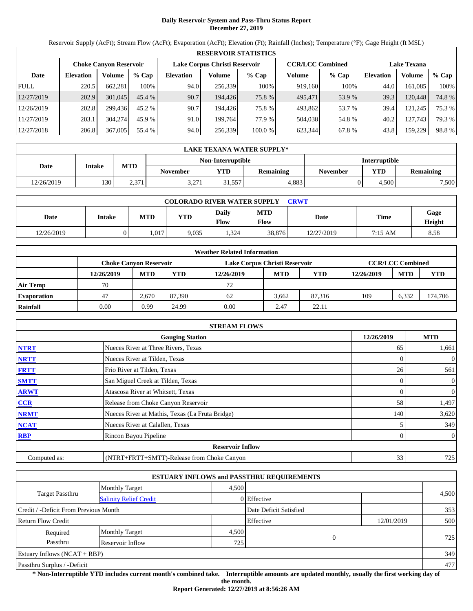# **Daily Reservoir System and Pass-Thru Status Report December 27, 2019**

Reservoir Supply (AcFt); Stream Flow (AcFt); Evaporation (AcFt); Elevation (Ft); Rainfall (Inches); Temperature (°F); Gage Height (ft MSL)

|             | <b>RESERVOIR STATISTICS</b> |                               |          |                               |         |         |                         |         |                    |         |        |  |
|-------------|-----------------------------|-------------------------------|----------|-------------------------------|---------|---------|-------------------------|---------|--------------------|---------|--------|--|
|             |                             | <b>Choke Canyon Reservoir</b> |          | Lake Corpus Christi Reservoir |         |         | <b>CCR/LCC Combined</b> |         | <b>Lake Texana</b> |         |        |  |
| Date        | <b>Elevation</b>            | Volume                        | $%$ Cap  | <b>Elevation</b>              | Volume  | $%$ Cap | Volume                  | $%$ Cap | <b>Elevation</b>   | Volume  | % Cap  |  |
| <b>FULL</b> | 220.5                       | 662,281                       | 100%     | 94.0                          | 256,339 | 100%    | 919,160                 | 100%    | 44.0               | 161.085 | 100%   |  |
| 12/27/2019  | 202.9                       | 301,045                       | 45.4 %   | 90.7                          | 194.426 | 75.8 %  | 495,471                 | 53.9 %  | 39.3               | 120,448 | 74.8%  |  |
| 12/26/2019  | 202.8                       | 299.436                       | $45.2\%$ | 90.7                          | 194.426 | 75.8%   | 493,862                 | 53.7 %  | 39.4               | 121.245 | 75.3 % |  |
| 11/27/2019  | 203.1                       | 304,274                       | 45.9 %   | 91.0                          | 199.764 | 77.9 %  | 504.038                 | 54.8%   | 40.2               | 127.743 | 79.3 % |  |
| 12/27/2018  | 206.8                       | 367,005                       | 55.4 %   | 94.0                          | 256,339 | 100.0 % | 623.344                 | 67.8%   | 43.8               | 159,229 | 98.8%  |  |

|            | LAKE TEXANA WATER SUPPLY* |            |                  |                   |                  |                      |            |                  |  |  |  |
|------------|---------------------------|------------|------------------|-------------------|------------------|----------------------|------------|------------------|--|--|--|
|            |                           |            |                  | Non-Interruptible |                  | <b>Interruptible</b> |            |                  |  |  |  |
| Date       | <b>Intake</b>             | <b>MTD</b> | <b>November</b>  | YTD               | <b>Remaining</b> | November             | <b>YTD</b> | <b>Remaining</b> |  |  |  |
| 12/26/2019 | 130                       | 2.371      | .271<br>، ∠ پې ب | 1.557ء            | 4.883            |                      | 4.500      | 7,500            |  |  |  |

| <b>COLORADO RIVER WATER SUPPLY</b><br>CRWT |        |            |            |                      |             |            |             |                       |  |  |  |
|--------------------------------------------|--------|------------|------------|----------------------|-------------|------------|-------------|-----------------------|--|--|--|
| Date                                       | Intake | <b>MTD</b> | <b>YTD</b> | Daily<br><b>Flow</b> | MTD<br>Flow | Date       | <b>Time</b> | Gage<br><b>Height</b> |  |  |  |
| 12/26/2019                                 |        | .017       | 9.035      | .324                 | 38,876      | 12/27/2019 | 7:15 AM     | 8.58                  |  |  |  |

|                    |            |                               |        | <b>Weather Related Information</b> |            |        |            |                         |            |
|--------------------|------------|-------------------------------|--------|------------------------------------|------------|--------|------------|-------------------------|------------|
|                    |            | <b>Choke Canvon Reservoir</b> |        | Lake Corpus Christi Reservoir      |            |        |            | <b>CCR/LCC Combined</b> |            |
|                    | 12/26/2019 | <b>MTD</b>                    | YTD    | 12/26/2019                         | <b>MTD</b> | YTD    | 12/26/2019 | <b>MTD</b>              | <b>YTD</b> |
| <b>Air Temp</b>    | 70         |                               |        | 72                                 |            |        |            |                         |            |
| <b>Evaporation</b> | 47         | 2.670                         | 87.390 | 62                                 | 3.662      | 87.316 | 109        | 6.332                   | 174,706    |
| Rainfall           | 0.00       | 0.99                          | 24.99  | 0.00                               | 2.47       | 22.11  |            |                         |            |

|              | <b>STREAM FLOWS</b>                             |            |                  |
|--------------|-------------------------------------------------|------------|------------------|
|              | <b>Gauging Station</b>                          | 12/26/2019 | <b>MTD</b>       |
| <b>NTRT</b>  | Nueces River at Three Rivers, Texas             | 65         | 1,661            |
| <b>NRTT</b>  | Nueces River at Tilden, Texas                   |            | $\theta$         |
| <b>FRTT</b>  | Frio River at Tilden, Texas                     | 26         | 561              |
| <b>SMTT</b>  | San Miguel Creek at Tilden, Texas               |            | $\mathbf{0}$     |
| <b>ARWT</b>  | Atascosa River at Whitsett, Texas               | 0          | $\boldsymbol{0}$ |
| <b>CCR</b>   | Release from Choke Canyon Reservoir             | 58         | 1,497            |
| <b>NRMT</b>  | Nueces River at Mathis, Texas (La Fruta Bridge) | 140        | 3,620            |
| <b>NCAT</b>  | Nueces River at Calallen, Texas                 |            | 349              |
| <b>RBP</b>   | Rincon Bayou Pipeline                           |            | $\overline{0}$   |
|              | <b>Reservoir Inflow</b>                         |            |                  |
| Computed as: | (NTRT+FRTT+SMTT)-Release from Choke Canyon      | 33         | 725              |

|                                       |                               |       | <b>ESTUARY INFLOWS and PASSTHRU REQUIREMENTS</b> |            |       |
|---------------------------------------|-------------------------------|-------|--------------------------------------------------|------------|-------|
|                                       | <b>Monthly Target</b>         | 4.500 |                                                  |            |       |
| <b>Target Passthru</b>                | <b>Salinity Relief Credit</b> |       | 0 Effective                                      |            | 4,500 |
| Credit / -Deficit From Previous Month |                               |       | Date Deficit Satisfied                           |            | 353   |
| <b>Return Flow Credit</b>             |                               |       | Effective                                        | 12/01/2019 | 500   |
| Required                              | <b>Monthly Target</b>         | 4,500 |                                                  |            |       |
| Passthru                              | Reservoir Inflow              | 725   | $\mathbf{0}$                                     |            | 725   |
| Estuary Inflows $(NCAT + RBP)$        |                               |       |                                                  |            | 349   |
| Passthru Surplus / -Deficit           |                               |       |                                                  |            | 477   |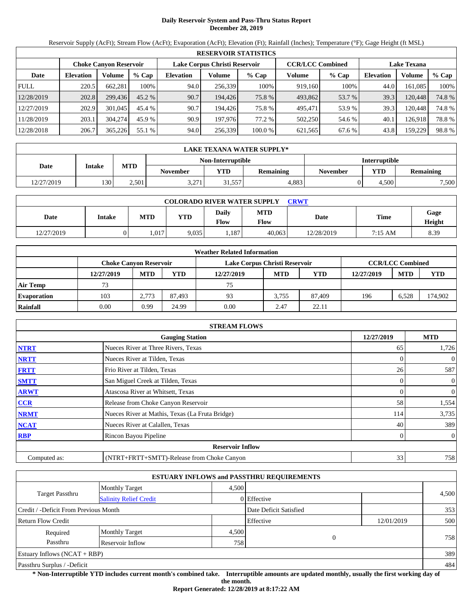# **Daily Reservoir System and Pass-Thru Status Report December 28, 2019**

Reservoir Supply (AcFt); Stream Flow (AcFt); Evaporation (AcFt); Elevation (Ft); Rainfall (Inches); Temperature (°F); Gage Height (ft MSL)

|             | <b>RESERVOIR STATISTICS</b> |                               |          |                  |                               |         |                         |         |                    |         |        |  |
|-------------|-----------------------------|-------------------------------|----------|------------------|-------------------------------|---------|-------------------------|---------|--------------------|---------|--------|--|
|             |                             | <b>Choke Canyon Reservoir</b> |          |                  | Lake Corpus Christi Reservoir |         | <b>CCR/LCC Combined</b> |         | <b>Lake Texana</b> |         |        |  |
| Date        | <b>Elevation</b>            | Volume                        | $%$ Cap  | <b>Elevation</b> | Volume                        | $%$ Cap | Volume                  | $%$ Cap | <b>Elevation</b>   | Volume  | % Cap  |  |
| <b>FULL</b> | 220.5                       | 662.281                       | 100%     | 94.0             | 256,339                       | 100%    | 919,160                 | 100%    | 44.0               | 161.085 | 100%   |  |
| 12/28/2019  | 202.8                       | 299,436                       | $45.2\%$ | 90.7             | 194,426                       | 75.8 %  | 493,862                 | 53.7 %  | 39.3               | 120.448 | 74.8%  |  |
| 12/27/2019  | 202.9                       | 301,045                       | 45.4 %   | 90.7             | 194.426                       | 75.8 %  | 495.471                 | 53.9 %  | 39.3               | 120.448 | 74.8 % |  |
| 11/28/2019  | 203.1                       | 304,274                       | 45.9 %   | 90.9             | 197.976                       | 77.2 %  | 502,250                 | 54.6 %  | 40.1               | 126.918 | 78.8%  |  |
| 12/28/2018  | 206.7                       | 365,226                       | 55.1 %   | 94.0             | 256,339                       | 100.0 % | 621,565                 | 67.6 %  | 43.8               | 159.229 | 98.8%  |  |

|            | LAKE TEXANA WATER SUPPLY* |            |                 |                      |           |                 |            |                  |  |  |  |
|------------|---------------------------|------------|-----------------|----------------------|-----------|-----------------|------------|------------------|--|--|--|
|            |                           |            |                 | <b>Interruptible</b> |           |                 |            |                  |  |  |  |
| Date       | <b>Intake</b>             | <b>MTD</b> | <b>November</b> | YTD                  | Remaining | <b>November</b> | <b>YTD</b> | <b>Remaining</b> |  |  |  |
| 12/27/2019 | 130                       | 2.501      | 3,271           | 1,557                | 4.883     |                 | 4.500      | 7,500            |  |  |  |

| <b>COLORADO RIVER WATER SUPPLY</b><br>CRWT |        |            |            |                      |             |            |             |                       |  |  |  |
|--------------------------------------------|--------|------------|------------|----------------------|-------------|------------|-------------|-----------------------|--|--|--|
| Date                                       | Intake | <b>MTD</b> | <b>YTD</b> | Daily<br><b>Flow</b> | MTD<br>Flow | Date       | <b>Time</b> | Gage<br><b>Height</b> |  |  |  |
| 12/27/2019                                 |        | .017       | 9.035      | 1,187                | 40.063      | 12/28/2019 | 7:15 AM     | 8.39                  |  |  |  |

|                    |                               |            |        | <b>Weather Related Information</b> |            |        |            |                         |            |
|--------------------|-------------------------------|------------|--------|------------------------------------|------------|--------|------------|-------------------------|------------|
|                    | <b>Choke Canvon Reservoir</b> |            |        | Lake Corpus Christi Reservoir      |            |        |            | <b>CCR/LCC Combined</b> |            |
|                    | 12/27/2019                    | <b>MTD</b> | YTD    | 12/27/2019                         | <b>MTD</b> | YTD    | 12/27/2019 | <b>MTD</b>              | <b>YTD</b> |
| <b>Air Temp</b>    | 73                            |            |        | 75                                 |            |        |            |                         |            |
| <b>Evaporation</b> | 103                           | 2.773      | 87.493 | 93                                 | 3.755      | 87,409 | 196        | 6.528                   | 174.902    |
| Rainfall           | 0.00                          | 0.99       | 24.99  | 0.00                               | 2.47       | 22.11  |            |                         |            |

|              | <b>STREAM FLOWS</b>                             |            |                  |
|--------------|-------------------------------------------------|------------|------------------|
|              | <b>Gauging Station</b>                          | 12/27/2019 | <b>MTD</b>       |
| <b>NTRT</b>  | Nueces River at Three Rivers, Texas             | 65         | 1,726            |
| <b>NRTT</b>  | Nueces River at Tilden, Texas                   |            | $\theta$         |
| <b>FRTT</b>  | Frio River at Tilden, Texas                     | 26         | 587              |
| <b>SMTT</b>  | San Miguel Creek at Tilden, Texas               | 0          | $\mathbf{0}$     |
| <b>ARWT</b>  | Atascosa River at Whitsett, Texas               |            | 0                |
| CCR          | Release from Choke Canyon Reservoir             | 58         | 1,554            |
| <b>NRMT</b>  | Nueces River at Mathis, Texas (La Fruta Bridge) | 114        | 3,735            |
| <b>NCAT</b>  | Nueces River at Calallen, Texas                 | 40         | 389              |
| <b>RBP</b>   | Rincon Bayou Pipeline                           |            | $\boldsymbol{0}$ |
|              | <b>Reservoir Inflow</b>                         |            |                  |
| Computed as: | (NTRT+FRTT+SMTT)-Release from Choke Canyon      | 33         | 758              |

|                                                  |                       |       | <b>ESTUARY INFLOWS and PASSTHRU REQUIREMENTS</b> |            |       |
|--------------------------------------------------|-----------------------|-------|--------------------------------------------------|------------|-------|
|                                                  | <b>Monthly Target</b> | 4.500 |                                                  |            |       |
| Target Passthru<br><b>Salinity Relief Credit</b> |                       |       | 0 Effective                                      |            | 4,500 |
| Credit / -Deficit From Previous Month            |                       |       | Date Deficit Satisfied                           |            | 353   |
| <b>Return Flow Credit</b>                        |                       |       | Effective                                        | 12/01/2019 | 500   |
| Required                                         | <b>Monthly Target</b> | 4,500 |                                                  |            |       |
| Passthru<br>Reservoir Inflow                     |                       |       | $\Omega$<br>758                                  |            | 758   |
| Estuary Inflows $(NCAT + RBP)$                   |                       |       |                                                  |            | 389   |
| Passthru Surplus / -Deficit                      |                       |       |                                                  |            | 484   |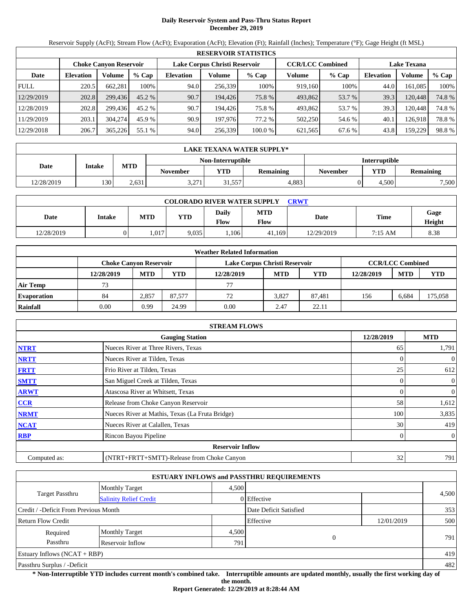# **Daily Reservoir System and Pass-Thru Status Report December 29, 2019**

Reservoir Supply (AcFt); Stream Flow (AcFt); Evaporation (AcFt); Elevation (Ft); Rainfall (Inches); Temperature (°F); Gage Height (ft MSL)

|             | <b>RESERVOIR STATISTICS</b> |                               |          |                               |         |         |                         |         |                    |         |        |  |
|-------------|-----------------------------|-------------------------------|----------|-------------------------------|---------|---------|-------------------------|---------|--------------------|---------|--------|--|
|             |                             | <b>Choke Canyon Reservoir</b> |          | Lake Corpus Christi Reservoir |         |         | <b>CCR/LCC Combined</b> |         | <b>Lake Texana</b> |         |        |  |
| Date        | <b>Elevation</b>            | Volume                        | $%$ Cap  | <b>Elevation</b>              | Volume  | $%$ Cap | Volume                  | $%$ Cap | <b>Elevation</b>   | Volume  | % Cap  |  |
| <b>FULL</b> | 220.5                       | 662.281                       | 100%     | 94.0                          | 256,339 | 100%    | 919,160                 | 100%    | 44.0               | 161.085 | 100%   |  |
| 12/29/2019  | 202.8                       | 299,436                       | $45.2\%$ | 90.7                          | 194,426 | 75.8 %  | 493,862                 | 53.7 %  | 39.3               | 120.448 | 74.8%  |  |
| 12/28/2019  | 202.8                       | 299.436                       | 45.2 %   | 90.7                          | 194.426 | 75.8 %  | 493.862                 | 53.7 %  | 39.3               | 120.448 | 74.8 % |  |
| 11/29/2019  | 203.1                       | 304,274                       | 45.9 %   | 90.9                          | 197.976 | 77.2 %  | 502,250                 | 54.6 %  | 40.1               | 126.918 | 78.8%  |  |
| 12/29/2018  | 206.7                       | 365,226                       | 55.1 %   | 94.0                          | 256,339 | 100.0 % | 621,565                 | 67.6 %  | 43.8               | 159.229 | 98.8%  |  |

|            | LAKE TEXANA WATER SUPPLY* |            |                 |                   |                      |          |            |                  |  |  |
|------------|---------------------------|------------|-----------------|-------------------|----------------------|----------|------------|------------------|--|--|
|            |                           |            |                 | Non-Interruptible | <b>Interruptible</b> |          |            |                  |  |  |
| Date       | <b>Intake</b>             | <b>MTD</b> | <b>November</b> | YTD               | <b>Remaining</b>     | November | <b>YTD</b> | <b>Remaining</b> |  |  |
| 12/28/2019 | 130                       | 2,631      | 3,271           | 1,557             | 4.883                |          | 4.500      | 7,500            |  |  |

| <b>COLORADO RIVER WATER SUPPLY</b><br>CRWT |        |            |            |                      |             |            |             |                       |  |  |
|--------------------------------------------|--------|------------|------------|----------------------|-------------|------------|-------------|-----------------------|--|--|
| Date                                       | Intake | <b>MTD</b> | <b>YTD</b> | Daily<br><b>Flow</b> | MTD<br>Flow | Date       | <b>Time</b> | Gage<br><b>Height</b> |  |  |
| 12/28/2019                                 |        | .017       | 9.035      | 1,106                | 41.169      | 12/29/2019 | 7:15 AM     | 8.38                  |  |  |

|                    |                        |            |        | <b>Weather Related Information</b> |            |            |            |                         |         |
|--------------------|------------------------|------------|--------|------------------------------------|------------|------------|------------|-------------------------|---------|
|                    | Choke Canvon Reservoir |            |        | Lake Corpus Christi Reservoir      |            |            |            | <b>CCR/LCC Combined</b> |         |
|                    | 12/28/2019             | <b>MTD</b> | YTD    | 12/28/2019                         | <b>MTD</b> | <b>YTD</b> | 12/28/2019 | <b>MTD</b>              | YTD     |
| Air Temp           | 73                     |            |        | 77                                 |            |            |            |                         |         |
| <b>Evaporation</b> | 84                     | 2.857      | 87.577 | 72                                 | 3.827      | 87.481     | 156        | 6.684                   | 175,058 |
| Rainfall           | 0.00                   | 0.99       | 24.99  | 0.00                               | 2.47       | 22.11      |            |                         |         |

|              | <b>STREAM FLOWS</b>                             |            |                |
|--------------|-------------------------------------------------|------------|----------------|
|              | <b>Gauging Station</b>                          | 12/28/2019 | <b>MTD</b>     |
| <b>NTRT</b>  | Nueces River at Three Rivers, Texas             | 65         | 1,791          |
| <b>NRTT</b>  | Nueces River at Tilden, Texas                   |            | $\mathbf{0}$   |
| <b>FRTT</b>  | Frio River at Tilden, Texas                     | 25         | 612            |
| <b>SMTT</b>  | San Miguel Creek at Tilden, Texas               |            | $\mathbf{0}$   |
| <b>ARWT</b>  | Atascosa River at Whitsett, Texas               | 0          | $\overline{0}$ |
| <b>CCR</b>   | Release from Choke Canyon Reservoir             | 58         | 1,612          |
| <b>NRMT</b>  | Nueces River at Mathis, Texas (La Fruta Bridge) | 100        | 3,835          |
| <b>NCAT</b>  | Nueces River at Calallen, Texas                 | 30         | 419            |
| <b>RBP</b>   | Rincon Bayou Pipeline                           |            | $\overline{0}$ |
|              | <b>Reservoir Inflow</b>                         |            |                |
| Computed as: | (NTRT+FRTT+SMTT)-Release from Choke Canyon      | 32         | 791            |

|                                                         |                       |       | <b>ESTUARY INFLOWS and PASSTHRU REQUIREMENTS</b> |            |       |
|---------------------------------------------------------|-----------------------|-------|--------------------------------------------------|------------|-------|
|                                                         | <b>Monthly Target</b> | 4.500 |                                                  |            |       |
| <b>Target Passthru</b><br><b>Salinity Relief Credit</b> |                       |       | 0 Effective                                      |            | 4,500 |
| Credit / -Deficit From Previous Month                   |                       |       | Date Deficit Satisfied                           |            | 353   |
| <b>Return Flow Credit</b>                               |                       |       | Effective                                        | 12/01/2019 | 500   |
| Required                                                | <b>Monthly Target</b> | 4,500 |                                                  |            |       |
| Passthru                                                | Reservoir Inflow      | 791   | $\Omega$                                         |            | 791   |
| Estuary Inflows $(NCAT + RBP)$                          |                       |       |                                                  |            | 419   |
| Passthru Surplus / -Deficit                             |                       |       |                                                  |            | 482   |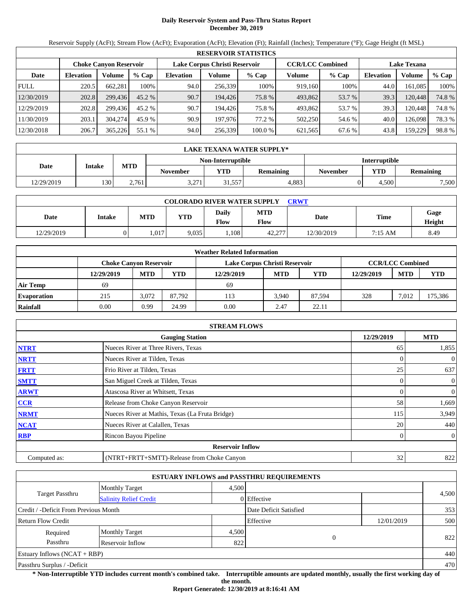# **Daily Reservoir System and Pass-Thru Status Report December 30, 2019**

Reservoir Supply (AcFt); Stream Flow (AcFt); Evaporation (AcFt); Elevation (Ft); Rainfall (Inches); Temperature (°F); Gage Height (ft MSL)

|             | <b>RESERVOIR STATISTICS</b> |                               |          |                               |         |         |                         |         |                    |         |        |  |
|-------------|-----------------------------|-------------------------------|----------|-------------------------------|---------|---------|-------------------------|---------|--------------------|---------|--------|--|
|             |                             | <b>Choke Canyon Reservoir</b> |          | Lake Corpus Christi Reservoir |         |         | <b>CCR/LCC Combined</b> |         | <b>Lake Texana</b> |         |        |  |
| Date        | <b>Elevation</b>            | Volume                        | $%$ Cap  | <b>Elevation</b>              | Volume  | $%$ Cap | Volume                  | $%$ Cap | <b>Elevation</b>   | Volume  | % Cap  |  |
| <b>FULL</b> | 220.5                       | 662.281                       | 100%     | 94.0                          | 256,339 | 100%    | 919,160                 | 100%    | 44.0               | 161.085 | 100%   |  |
| 12/30/2019  | 202.8                       | 299,436                       | $45.2\%$ | 90.7                          | 194,426 | 75.8 %  | 493,862                 | 53.7 %  | 39.3               | 120.448 | 74.8%  |  |
| 12/29/2019  | 202.8                       | 299.436                       | 45.2 %   | 90.7                          | 194.426 | 75.8 %  | 493.862                 | 53.7 %  | 39.3               | 120.448 | 74.8 % |  |
| 11/30/2019  | 203.1                       | 304,274                       | 45.9 %   | 90.9                          | 197.976 | 77.2 %  | 502,250                 | 54.6 %  | 40.0               | 126.098 | 78.3 % |  |
| 12/30/2018  | 206.7                       | 365,226                       | 55.1 %   | 94.0                          | 256,339 | 100.0 % | 621,565                 | 67.6 %  | 43.8               | 159.229 | 98.8%  |  |

|            | LAKE TEXANA WATER SUPPLY* |            |                  |                                           |                  |          |            |                  |  |  |
|------------|---------------------------|------------|------------------|-------------------------------------------|------------------|----------|------------|------------------|--|--|
|            |                           |            |                  | Non-Interruptible<br><b>Interruptible</b> |                  |          |            |                  |  |  |
| Date       | <b>Intake</b>             | <b>MTD</b> | <b>November</b>  | YTD                                       | <b>Remaining</b> | November | <b>YTD</b> | <b>Remaining</b> |  |  |
| 12/29/2019 | 130                       | 2.761      | .271<br>، ∠ پې ب | 1.557ء                                    | 4.883            |          | 4.500      | 7,500            |  |  |

| <b>COLORADO RIVER WATER SUPPLY</b><br>CRWT |        |            |            |                      |             |            |             |                       |  |  |
|--------------------------------------------|--------|------------|------------|----------------------|-------------|------------|-------------|-----------------------|--|--|
| Date                                       | Intake | <b>MTD</b> | <b>YTD</b> | Daily<br><b>Flow</b> | MTD<br>Flow | Date       | <b>Time</b> | Gage<br><b>Height</b> |  |  |
| 12/29/2019                                 |        | .017       | 9.035      | 0.108                | 42,277      | 12/30/2019 | 7:15 AM     | 8.49                  |  |  |

|                    |                               |            |        | <b>Weather Related Information</b> |            |        |            |                         |            |
|--------------------|-------------------------------|------------|--------|------------------------------------|------------|--------|------------|-------------------------|------------|
|                    | <b>Choke Canvon Reservoir</b> |            |        | Lake Corpus Christi Reservoir      |            |        |            | <b>CCR/LCC Combined</b> |            |
|                    | 12/29/2019                    | <b>MTD</b> | YTD    | 12/29/2019                         | <b>MTD</b> | YTD    | 12/29/2019 | <b>MTD</b>              | <b>YTD</b> |
| <b>Air Temp</b>    | 69                            |            |        | 69                                 |            |        |            |                         |            |
| <b>Evaporation</b> | 215                           | 3.072      | 87.792 | 113                                | 3.940      | 87.594 | 328        | 7.012                   | 175,386    |
| Rainfall           | 0.00                          | 0.99       | 24.99  | 0.00                               | 2.47       | 22.11  |            |                         |            |

|              | <b>STREAM FLOWS</b>                             |            |                  |
|--------------|-------------------------------------------------|------------|------------------|
|              | <b>Gauging Station</b>                          | 12/29/2019 | <b>MTD</b>       |
| <b>NTRT</b>  | Nueces River at Three Rivers, Texas             | 65         | 1,855            |
| <b>NRTT</b>  | Nueces River at Tilden, Texas                   |            | $\theta$         |
| <b>FRTT</b>  | Frio River at Tilden, Texas                     | 25         | 637              |
| <b>SMTT</b>  | San Miguel Creek at Tilden, Texas               | 0          | $\mathbf{0}$     |
| <b>ARWT</b>  | Atascosa River at Whitsett, Texas               |            | $\boldsymbol{0}$ |
| CCR          | Release from Choke Canyon Reservoir             | 58         | 1,669            |
| <b>NRMT</b>  | Nueces River at Mathis, Texas (La Fruta Bridge) | 115        | 3,949            |
| <b>NCAT</b>  | Nueces River at Calallen, Texas                 | 20         | 440              |
| <b>RBP</b>   | Rincon Bayou Pipeline                           |            | $\overline{0}$   |
|              | <b>Reservoir Inflow</b>                         |            |                  |
| Computed as: | (NTRT+FRTT+SMTT)-Release from Choke Canyon      | 32         | 822              |

|                                                  |                       |       | <b>ESTUARY INFLOWS and PASSTHRU REQUIREMENTS</b> |            |       |
|--------------------------------------------------|-----------------------|-------|--------------------------------------------------|------------|-------|
|                                                  | <b>Monthly Target</b> | 4.500 |                                                  |            |       |
| Target Passthru<br><b>Salinity Relief Credit</b> |                       |       | 0 Effective                                      |            | 4,500 |
| Credit / -Deficit From Previous Month            |                       |       | Date Deficit Satisfied                           |            | 353   |
| <b>Return Flow Credit</b>                        |                       |       | Effective                                        | 12/01/2019 | 500   |
| Required                                         | <b>Monthly Target</b> | 4,500 |                                                  |            |       |
| Passthru                                         | Reservoir Inflow      | 822   | 0                                                |            | 822   |
| Estuary Inflows $(NCAT + RBP)$                   |                       |       |                                                  |            | 440   |
| Passthru Surplus / -Deficit                      |                       |       |                                                  |            | 470   |